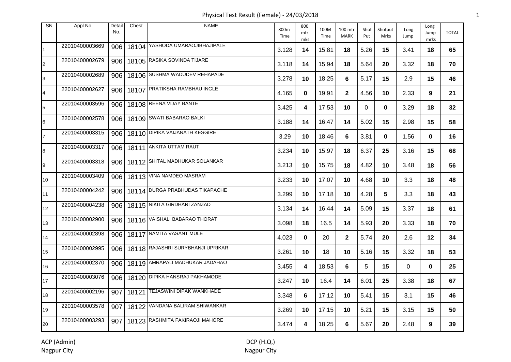Physical Test Result (Female) - 24/03/2018 1

| <b>SN</b>       | Appl No        | Detail<br>No. | Chest | <b>NAME</b>                           | 800m<br>Time | 800<br>mtr<br>mks | 100M<br>Time | 100 mtr<br><b>MARK</b> | Shot<br>Put | Shotput<br>Mrks | Long<br>Jump | Long<br>Jump<br>mrks | <b>TOTAL</b> |
|-----------------|----------------|---------------|-------|---------------------------------------|--------------|-------------------|--------------|------------------------|-------------|-----------------|--------------|----------------------|--------------|
|                 | 22010400003669 |               |       | 906 18104 YASHODA UMARAOJIBHAJIPALE   | 3.128        | 14                | 15.81        | 18                     | 5.26        | 15              | 3.41         | 18                   | 65           |
| $\overline{2}$  | 22010400002679 |               |       | 906   18105 RASIKA SOVINDA TIJARE     | 3.118        | 14                | 15.94        | 18                     | 5.64        | 20              | 3.32         | 18                   | 70           |
| 3               | 22010400002689 |               |       | 906   18106 SUSHMA WADUDEV REHAPADE   | 3.278        | 10                | 18.25        | 6                      | 5.17        | 15              | 2.9          | 15                   | 46           |
| $\overline{4}$  | 22010400002627 |               |       | 906   18107 PRATIKSHA RAMBHAU INGLE   | 4.165        | $\mathbf{0}$      | 19.91        | $\mathbf{2}$           | 4.56        | 10              | 2.33         | 9                    | 21           |
| $\overline{5}$  | 22010400003596 |               |       | 906   18108 REENA VIJAY BANTE         | 3.425        | 4                 | 17.53        | 10                     | $\Omega$    | 0               | 3.29         | 18                   | 32           |
| 6               | 22010400002578 |               |       | 906   18109 SWATI BABARAO BALKI       | 3.188        | 14                | 16.47        | 14                     | 5.02        | 15              | 2.98         | 15                   | 58           |
|                 | 22010400003315 |               |       | 906 18110 DIPIKA VAIJANATH KESGIRE    | 3.29         | 10                | 18.46        | 6                      | 3.81        | 0               | 1.56         | $\mathbf 0$          | 16           |
| 8               | 22010400003317 |               |       | 906   18111 ANKITA UTTAM RAUT         | 3.234        | 10                | 15.97        | 18                     | 6.37        | 25              | 3.16         | 15                   | 68           |
| 9               | 22010400003318 |               |       | 906 18112 SHITAL MADHUKAR SOLANKAR    | 3.213        | 10                | 15.75        | 18                     | 4.82        | 10              | 3.48         | 18                   | 56           |
| 10 <sup>°</sup> | 22010400003409 |               |       | 906   18113 VINA NAMDEO MASRAM        | 3.233        | 10                | 17.07        | 10                     | 4.68        | 10              | 3.3          | 18                   | 48           |
| 11              | 22010400004242 |               |       | 906 18114 DURGA PRABHUDAS TIKAPACHE   | 3.299        | 10                | 17.18        | 10                     | 4.28        | 5               | 3.3          | 18                   | 43           |
| 12 <sup>2</sup> | 22010400004238 |               |       | 906 18115 NIKITA GIRDHARI ZANZAD      | 3.134        | 14                | 16.44        | 14                     | 5.09        | 15              | 3.37         | 18                   | 61           |
| 13              | 22010400002900 |               |       | 906 18116 VAISHALI BABARAO THORAT     | 3.098        | 18                | 16.5         | 14                     | 5.93        | 20              | 3.33         | 18                   | 70           |
| 14              | 22010400002898 |               |       | 906 18117 NAMITA VASANT MULE          | 4.023        | $\mathbf 0$       | 20           | $\mathbf{2}$           | 5.74        | 20              | 2.6          | 12                   | 34           |
| 15              | 22010400002995 |               |       | 906 18118 RAJASHRI SURYBHANJI UPRIKAR | 3.261        | 10                | 18           | 10                     | 5.16        | 15              | 3.32         | 18                   | 53           |
| 16              | 22010400002370 |               |       | 906 18119 AMRAPALI MADHUKAR JADAHAO   | 3.455        | 4                 | 18.53        | 6                      | 5           | 15              | $\mathbf 0$  | $\mathbf{0}$         | 25           |
| 17              | 22010400003076 |               |       | 906   18120 DIPIKA HANSRAJ PAKHAMODE  | 3.247        | 10                | 16.4         | 14                     | 6.01        | 25              | 3.38         | 18                   | 67           |
| 18              | 22010400002196 |               |       | 907   18121 TEJASWINI DIPAK WANKHADE  | 3.348        | 6                 | 17.12        | 10                     | 5.41        | 15              | 3.1          | 15                   | 46           |
| 19              | 22010400003578 |               |       | 907 18122 VANDANA BALIRAM SHIWANKAR   | 3.269        | 10                | 17.15        | 10                     | 5.21        | 15              | 3.15         | 15                   | 50           |
| 20              | 22010400003293 |               |       | 907   18123 RASHMITA FAKIRAOJI MAHORE | 3.474        | 4                 | 18.25        | 6                      | 5.67        | 20              | 2.48         | 9                    | 39           |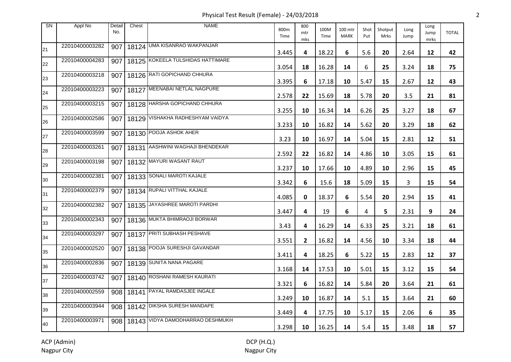Physical Test Result (Female) - 24/03/2018 2

| SN | Appl No        | Detail<br>No. | Chest | <b>NAME</b>                            | 800m<br>Time | 800<br>mtr<br>mks | 100M<br>Time | 100 mtr<br><b>MARK</b> | Shot<br>Put | Shotput<br>Mrks | Long<br>Jump | Long<br>Jump<br>mrks | <b>TOTAL</b> |
|----|----------------|---------------|-------|----------------------------------------|--------------|-------------------|--------------|------------------------|-------------|-----------------|--------------|----------------------|--------------|
| 21 | 22010400003282 | 907           |       | 18124 UMA KISANRAO WAKPANJAR           | 3.445        | 4                 | 18.22        | 6                      | 5.6         | 20              | 2.64         | 12                   | 42           |
| 22 | 22010400004283 | 907           |       | 18125 KOKEELA TULSHIDAS HATTIMARE      | 3.054        | 18                | 16.28        | 14                     | 6           | 25              | 3.24         | 18                   | 75           |
| 23 | 22010400003218 | 907           |       | 18126 RATI GOPICHAND CHHURA            | 3.395        | 6                 | 17.18        | 10                     | 5.47        | 15              | 2.67         | 12                   | 43           |
| 24 | 22010400003223 | 907           |       | 18127 MEENABAI NETLAL NAGPURE          | 2.578        | 22                | 15.69        | 18                     | 5.78        | 20              | 3.5          | 21                   | 81           |
| 25 | 22010400003215 | 907           |       | 18128 HARSHA GOPICHAND CHHURA          | 3.255        | 10                | 16.34        | 14                     | 6.26        | 25              | 3.27         | 18                   | 67           |
| 26 | 22010400002586 | 907           |       | 18129 VISHAKHA RADHESHYAM VAIDYA       | 3.233        | 10                | 16.82        | 14                     | 5.62        | 20              | 3.29         | 18                   | 62           |
| 27 | 22010400003599 | 907           |       | 18130 POOJA ASHOK AHER                 | 3.23         | 10                | 16.97        | 14                     | 5.04        | 15              | 2.81         | 12                   | 51           |
| 28 | 22010400003261 | 907           |       | 18131 AASHWINI WAGHAJI BHENDEKAR       | 2.592        | 22                | 16.82        | 14                     | 4.86        | 10              | 3.05         | 15                   | 61           |
| 29 | 22010400003198 | 907           |       | 18132 MAYURI WASANT RAUT               | 3.237        | 10                | 17.66        | 10                     | 4.89        | 10              | 2.96         | 15                   | 45           |
| 30 | 22010400002381 | 907           |       | 18133 SONALI MAROTI KAJALE             | 3.342        | 6                 | 15.6         | 18                     | 5.09        | 15              | 3            | 15                   | 54           |
| 31 | 22010400002379 |               |       | 907   18134 RUPALI VITTHAL KAJALE      | 4.085        | 0                 | 18.37        | 6                      | 5.54        | 20              | 2.94         | 15                   | 41           |
| 32 | 22010400002382 | 907           |       | 18135 JAYASHREE MAROTI PARDHI          | 3.447        | 4                 | 19           | 6                      | 4           | 5               | 2.31         | 9                    | 24           |
| 33 | 22010400002343 | 907           |       | 18136 MUKTA BHIMRAOJI BORWAR           | 3.43         | 4                 | 16.29        | 14                     | 6.33        | 25              | 3.21         | 18                   | 61           |
| 34 | 22010400003297 | 907           |       | 18137 PRITI SUBHASH PESHAVE            | 3.551        | $\mathbf{2}$      | 16.82        | 14                     | 4.56        | 10              | 3.34         | 18                   | 44           |
| 35 | 22010400002520 | 907           |       | 18138 POOJA SURESHJI GAVANDAR          | 3.411        | 4                 | 18.25        | 6                      | 5.22        | 15              | 2.83         | 12                   | 37           |
| 36 | 22010400002836 | 907           |       | 18139 SUNITA NANA PAGARE               | 3.168        | 14                | 17.53        | 10                     | 5.01        | 15              | 3.12         | 15                   | 54           |
| 37 | 22010400003742 | 907           |       | 18140 ROSHANI RAMESH KAURATI           | 3.321        | 6                 | 16.82        | 14                     | 5.84        | 20              | 3.64         | 21                   | 61           |
| 38 | 22010400002559 |               |       | 908   18141 PAYAL RAMDASJEE INGALE     | 3.249        | 10                | 16.87        | 14                     | 5.1         | 15              | 3.64         | 21                   | 60           |
| 39 | 22010400003944 |               |       | 908   18142 DIKSHA SURESH MANDAPE      | 3.449        | 4                 | 17.75        | 10                     | 5.17        | 15              | 2.06         | 6                    | 35           |
| 40 | 22010400003971 |               |       | 908   18143 VIDYA DAMODHARRAO DESHMUKH | 3.298        | 10                | 16.25        | 14                     | 5.4         | 15              | 3.48         | 18                   | 57           |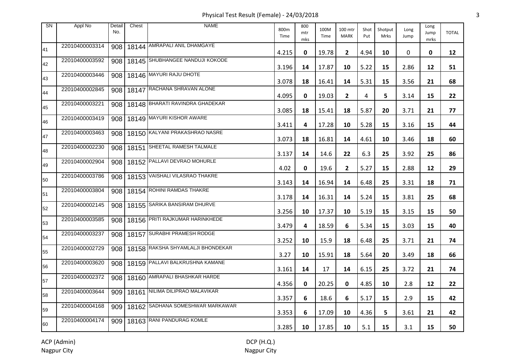Physical Test Result (Female) - 24/03/2018 3

| SN | Appl No        | Detail<br>No. | Chest | <b>NAME</b>                        | 800m<br>Time | 800<br>mtr<br>mks | 100M<br>Time | 100 mtr<br><b>MARK</b> | Shot<br>Put | Shotput<br><b>Mrks</b> | Long<br>Jump | Long<br>Jump<br>mrks | <b>TOTAL</b> |
|----|----------------|---------------|-------|------------------------------------|--------------|-------------------|--------------|------------------------|-------------|------------------------|--------------|----------------------|--------------|
| 41 | 22010400003314 | 908           |       | 18144 AMRAPALI ANIL DHAMGAYE       | 4.215        | 0                 | 19.78        | $\mathbf{2}$           | 4.94        | 10                     | 0            | 0                    | 12           |
| 42 | 22010400003592 | 908           |       | 18145 SHUBHANGEE NANDUJI KOKODE    | 3.196        | 14                | 17.87        | 10                     | 5.22        | 15                     | 2.86         | 12                   | 51           |
| 43 | 22010400003446 | 908           |       | 18146 MAYURI RAJU DHOTE            | 3.078        | 18                | 16.41        | 14                     | 5.31        | 15                     | 3.56         | 21                   | 68           |
| 44 | 22010400002845 | 908           |       | 18147 RACHANA SHRAVAN ALONE        | 4.095        | 0                 | 19.03        | $\mathbf{2}$           | 4           | 5                      | 3.14         | 15                   | 22           |
| 45 | 22010400003221 | 908           |       | 18148 BHARATI RAVINDRA GHADEKAR    | 3.085        | 18                | 15.41        | 18                     | 5.87        | 20                     | 3.71         | 21                   | 77           |
| 46 | 22010400003419 | 908           |       | 18149 MAYURI KISHOR AWARE          | 3.411        | 4                 | 17.28        | 10                     | 5.28        | 15                     | 3.16         | 15                   | 44           |
| 47 | 22010400003463 | 908           |       | 18150 KALYANI PRAKASHRAO NASRE     | 3.073        | 18                | 16.81        | 14                     | 4.61        | 10                     | 3.46         | 18                   | 60           |
| 48 | 22010400002230 | 908           |       | 18151 SHEETAL RAMESH TALMALE       | 3.137        | 14                | 14.6         | 22                     | 6.3         | 25                     | 3.92         | 25                   | 86           |
| 49 | 22010400002904 | 908           |       | 18152 PALLAVI DEVRAO MOHURLE       | 4.02         | 0                 | 19.6         | $\mathbf{2}$           | 5.27        | 15                     | 2.88         | 12                   | 29           |
| 50 | 22010400003786 | 908           |       | 18153 VAISHALI VILASRAO THAKRE     | 3.143        | 14                | 16.94        | 14                     | 6.48        | 25                     | 3.31         | 18                   | 71           |
| 51 | 22010400003804 |               |       | 908   18154   ROHINI RAMDAS THAKRE | 3.178        | 14                | 16.31        | 14                     | 5.24        | 15                     | 3.81         | 25                   | 68           |
| 52 | 22010400002145 |               |       | 908   18155 SARIKA BANSIRAM DHURVE | 3.256        | 10                | 17.37        | 10                     | 5.19        | 15                     | 3.15         | 15                   | 50           |
| 53 | 22010400003585 | 908           |       | 18156 PRITI RAJKUMAR HARINKHEDE    | 3.479        | 4                 | 18.59        | 6                      | 5.34        | 15                     | 3.03         | 15                   | 40           |
| 54 | 22010400003237 |               |       | 908   18157 SURABHI PRAMESH RODGE  | 3.252        | 10                | 15.9         | 18                     | 6.48        | 25                     | 3.71         | 21                   | 74           |
| 55 | 22010400002729 | 908           |       | 18158 RAKSHA SHYAMLALJI BHONDEKAR  | 3.27         | 10                | 15.91        | 18                     | 5.64        | 20                     | 3.49         | 18                   | 66           |
| 56 | 22010400003620 | 908           |       | 18159 PALLAVI BALKRUSHNA KAMANE    | 3.161        | 14                | 17           | 14                     | 6.15        | 25                     | 3.72         | 21                   | 74           |
| 57 | 22010400002372 | 908           |       | 18160 AMRAPALI BHASHKAR HARDE      | 4.356        | 0                 | 20.25        | 0                      | 4.85        | 10                     | 2.8          | 12                   | 22           |
| 58 | 22010400003644 | 909           |       | 18161 NILIMA DILIPRAO MALAVIKAR    | 3.357        | 6                 | 18.6         | 6                      | 5.17        | 15                     | 2.9          | 15                   | 42           |
| 59 | 22010400004168 | 909           |       | 18162 SADHANA SOMESHWAR MARKAWAR   | 3.353        | 6                 | 17.09        | 10                     | 4.36        | 5                      | 3.61         | 21                   | 42           |
| 60 | 22010400004174 |               |       | 909   18163 RANI PANDURAG KOMLE    | 3.285        | 10                | 17.85        | 10                     | 5.1         | 15                     | 3.1          | 15                   | 50           |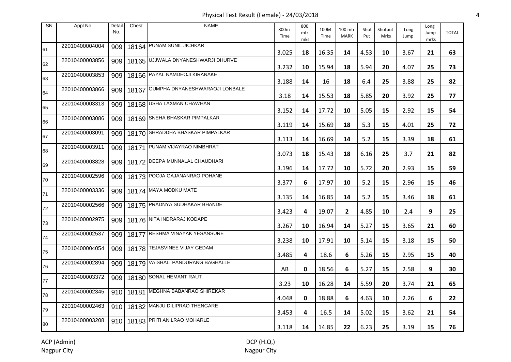Physical Test Result (Female) - 24/03/2018 4

| <b>SN</b> | Appl No        | Detail<br>No. | Chest | <b>NAME</b>                                | 800m<br>Time | 800<br>mtr<br>mks | 100M<br>Time | 100 mtr<br><b>MARK</b> | Shot<br>Put | Shotput<br>Mrks | Long<br>Jump | Long<br>Jump<br>mrks | <b>TOTAL</b> |
|-----------|----------------|---------------|-------|--------------------------------------------|--------------|-------------------|--------------|------------------------|-------------|-----------------|--------------|----------------------|--------------|
| 61        | 22010400004004 |               |       | 909   18164 PUNAM SUNIL JICHKAR            | 3.025        | 18                | 16.35        | 14                     | 4.53        | 10              | 3.67         | 21                   | 63           |
| 62        | 22010400003856 |               |       | 909   18165   UJJWALA DNYANESHWARJI DHURVE | 3.232        | 10                | 15.94        | 18                     | 5.94        | 20              | 4.07         | 25                   | 73           |
| 63        | 22010400003853 |               |       | 909   18166 PAYAL NAMDEOJI KIRANAKE        | 3.188        | 14                | 16           | 18                     | 6.4         | 25              | 3.88         | 25                   | 82           |
| 64        | 22010400003866 | 909           |       | 18167 GUMPHA DNYANESHWARAOJI LONBALE       | 3.18         | 14                | 15.53        | 18                     | 5.85        | 20              | 3.92         | 25                   | 77           |
| 65        | 22010400003313 |               |       | 909   18168 USHA LAXMAN CHAWHAN            | 3.152        | 14                | 17.72        | 10                     | 5.05        | 15              | 2.92         | 15                   | 54           |
| 66        | 22010400003086 |               |       | 909   18169 SNEHA BHASKAR PIMPALKAR        | 3.119        | 14                | 15.69        | 18                     | 5.3         | 15              | 4.01         | 25                   | 72           |
| 67        | 22010400003091 |               |       | 909   18170 SHRADDHA BHASKAR PIMPALKAR     | 3.113        | 14                | 16.69        | 14                     | 5.2         | 15              | 3.39         | 18                   | 61           |
| 68        | 22010400003911 |               |       | 909   18171 PUNAM VIJAYRAO NIMBHRAT        | 3.073        | 18                | 15.43        | 18                     | 6.16        | 25              | 3.7          | 21                   | 82           |
| 69        | 22010400003828 |               |       | 909 18172 DEEPA MUNNALAL CHAUDHARI         | 3.196        | 14                | 17.72        | 10                     | 5.72        | 20              | 2.93         | 15                   | 59           |
| 70        | 22010400002596 |               |       | 909   18173   POOJA GAJANANRAO POHANE      | 3.377        | 6                 | 17.97        | 10                     | 5.2         | 15              | 2.96         | 15                   | 46           |
| 71        | 22010400003336 | 909           |       | 18174 MAYA MODKU MATE                      | 3.135        | 14                | 16.85        | 14                     | 5.2         | 15              | 3.46         | 18                   | 61           |
| 72        | 22010400002566 |               |       | 909 18175 PRADNYA SUDHAKAR BHANDE          | 3.423        | 4                 | 19.07        | $\mathbf{2}$           | 4.85        | 10              | 2.4          | 9                    | 25           |
| 73        | 22010400002975 |               |       | 909 18176 NITA INDRARAJ KODAPE             | 3.267        | 10                | 16.94        | 14                     | 5.27        | 15              | 3.65         | 21                   | 60           |
| 74        | 22010400002537 |               |       | 909   18177 RESHMA VINAYAK YESANSURE       | 3.238        | 10                | 17.91        | 10                     | 5.14        | 15              | 3.18         | 15                   | 50           |
| 75        | 22010400004054 | 909           |       | 18178 TEJASVINEE VIJAY GEDAM               | 3.485        | 4                 | 18.6         | 6                      | 5.26        | 15              | 2.95         | 15                   | 40           |
| 76        | 22010400002894 |               |       | 909   18179 VAISHALI PANDURANG BAGHALLE    | AB           | 0                 | 18.56        | 6                      | 5.27        | 15              | 2.58         | 9                    | 30           |
| 77        | 22010400003372 |               |       | 909   18180 SONAL HEMANT RAUT              | 3.23         | 10                | 16.28        | 14                     | 5.59        | 20              | 3.74         | 21                   | 65           |
| 78        | 22010400002345 |               |       | 910   18181 MEGHNA BABANRAO SHIREKAR       | 4.048        | 0                 | 18.88        | 6                      | 4.63        | 10              | 2.26         | 6                    | 22           |
| 79        | 22010400002463 |               |       | 910   18182 MANJU DILIPRAO THENGARE        | 3.453        | 4                 | 16.5         | 14                     | 5.02        | 15              | 3.62         | 21                   | 54           |
| 80        | 22010400003208 |               |       | 910   18183 PRITI ANILRAO MOHARLE          | 3.118        | 14                | 14.85        | 22                     | 6.23        | 25              | 3.19         | 15                   | 76           |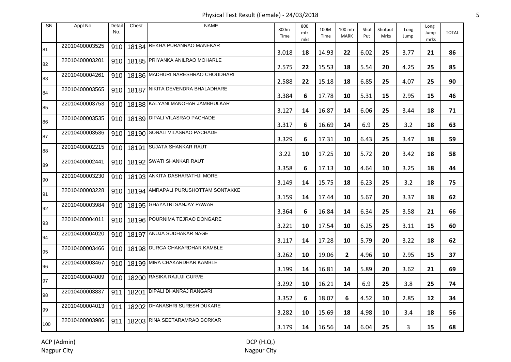Physical Test Result (Female) - 24/03/2018 5

| SN  | Appl No        | Detail<br>No. | Chest | <b>NAME</b>                                 | 800m<br>Time | 800<br>mtr<br>mks | 100M<br>Time | 100 mtr<br><b>MARK</b> | Shot<br>Put | Shotput<br>Mrks | Long<br>Jump | Long<br>Jump<br>mrks | <b>TOTAL</b> |
|-----|----------------|---------------|-------|---------------------------------------------|--------------|-------------------|--------------|------------------------|-------------|-----------------|--------------|----------------------|--------------|
| 81  | 22010400003525 | 910           |       | 18184 REKHA PURANRAO MANEKAR                | 3.018        | 18                | 14.93        | 22                     | 6.02        | 25              | 3.77         | 21                   | 86           |
| 82  | 22010400003201 | 910           |       | 18185 PRIYANKA ANILRAO MOHARLE              | 2.575        | 22                | 15.53        | 18                     | 5.54        | 20              | 4.25         | 25                   | 85           |
| 83  | 22010400004261 | 910           |       | 18186 MADHURI NARESHRAO CHOUDHARI           | 2.588        | 22                | 15.18        | 18                     | 6.85        | 25              | 4.07         | 25                   | 90           |
| 84  | 22010400003565 |               |       | 910   18187 NIKITA DEVENDRA BHALADHARE      | 3.384        | 6                 | 17.78        | 10                     | 5.31        | 15              | 2.95         | 15                   | 46           |
| 85  | 22010400003753 | 910           |       | 18188 KALYANI MANOHAR JAMBHULKAR            | 3.127        | 14                | 16.87        | 14                     | 6.06        | 25              | 3.44         | 18                   | 71           |
| 86  | 22010400003535 |               |       | 910   18189 DIPALI VILASRAO PACHADE         | 3.317        | 6                 | 16.69        | 14                     | 6.9         | 25              | 3.2          | 18                   | 63           |
| 87  | 22010400003536 | 910           |       | 18190 SONALI VILASRAO PACHADE               | 3.329        | 6                 | 17.31        | 10                     | 6.43        | 25              | 3.47         | 18                   | 59           |
| 88  | 22010400002215 |               |       | 910   18191 SUJATA SHANKAR RAUT             | 3.22         | 10                | 17.25        | 10                     | 5.72        | 20              | 3.42         | 18                   | 58           |
| 89  | 22010400002441 |               |       | 910   18192 SWATI SHANKAR RAUT              | 3.358        | 6                 | 17.13        | 10                     | 4.64        | 10              | 3.25         | 18                   | 44           |
| 90  | 22010400003230 |               |       | 910   18193 ANKITA DASHARATHJI MORE         | 3.149        | 14                | 15.75        | 18                     | 6.23        | 25              | 3.2          | 18                   | 75           |
| 91  | 22010400003228 |               |       | 910   18194   AMRAPALI PURUSHOTTAM SONTAKKE | 3.159        | 14                | 17.44        | 10                     | 5.67        | 20              | 3.37         | 18                   | 62           |
| 92  | 22010400003984 |               |       | 910   18195 GHAYATRI SANJAY PAWAR           | 3.364        | 6                 | 16.84        | 14                     | 6.34        | 25              | 3.58         | 21                   | 66           |
| 93  | 22010400004011 |               |       | 910   18196 POURNIMA TEJRAO DONGARE         | 3.221        | 10                | 17.54        | 10                     | 6.25        | 25              | 3.11         | 15                   | 60           |
| 94  | 22010400004020 |               |       | 910   18197 ANUJA SUDHAKAR NAGE             | 3.117        | 14                | 17.28        | 10                     | 5.79        | 20              | 3.22         | 18                   | 62           |
| 95  | 22010400003466 |               |       | 910   18198 DURGA CHAKARDHAR KAMBLE         | 3.262        | 10                | 19.06        | $\mathbf{2}$           | 4.96        | 10              | 2.95         | 15                   | 37           |
| 96  | 22010400003467 |               |       | 910   18199 MIRA CHAKARDHAR KAMBLE          | 3.199        | 14                | 16.81        | 14                     | 5.89        | 20              | 3.62         | 21                   | 69           |
| 97  | 22010400004009 |               |       | 910   18200 RASIKA RAJUJI GURVE             | 3.292        | 10                | 16.21        | 14                     | 6.9         | 25              | 3.8          | 25                   | 74           |
| 98  | 22010400003837 | 911           |       | 18201 DIPALI DHANRAJ RANGARI                | 3.352        | 6                 | 18.07        | 6                      | 4.52        | 10              | 2.85         | 12                   | 34           |
| 99  | 22010400004013 | 911           |       | 18202 DHANASHRI SURESH DUKARE               | 3.282        | 10                | 15.69        | 18                     | 4.98        | 10              | 3.4          | 18                   | 56           |
| 100 | 22010400003986 | 911           |       | 18203 RINA SEETARAMRAO BORKAR               | 3.179        | 14                | 16.56        | 14                     | 6.04        | 25              | 3            | 15                   | 68           |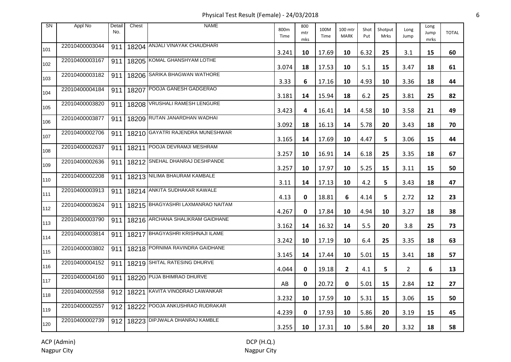Physical Test Result (Female) - 24/03/2018 6

| <b>SN</b> | Appl No        | Detail<br>No. | Chest | <b>NAME</b>                              | 800m<br>Time | 800<br>mtr<br>mks | 100M<br>Time | 100 mtr<br><b>MARK</b> | Shot<br>Put | Shotput<br>Mrks | Long<br>Jump   | Long<br>Jump<br>mrks | <b>TOTAL</b> |
|-----------|----------------|---------------|-------|------------------------------------------|--------------|-------------------|--------------|------------------------|-------------|-----------------|----------------|----------------------|--------------|
| 101       | 22010400003044 | 911           |       | 18204 ANJALI VINAYAK CHAUDHARI           | 3.241        | 10                | 17.69        | 10                     | 6.32        | 25              | 3.1            | 15                   | 60           |
| 102       | 22010400003167 | 911           |       | 18205 KOMAL GHANSHYAM LOTHE              | 3.074        | 18                | 17.53        | 10                     | 5.1         | 15              | 3.47           | 18                   | 61           |
| 103       | 22010400003182 | 911           |       | 18206 SARIKA BHAGWAN WATHORE             | 3.33         | 6                 | 17.16        | 10                     | 4.93        | 10              | 3.36           | 18                   | 44           |
| 104       | 22010400004184 | 911           |       | 18207 POOJA GANESH GADGERAO              | 3.181        | 14                | 15.94        | 18                     | $6.2$       | 25              | 3.81           | 25                   | 82           |
| 105       | 22010400003820 | 911           |       | 18208 VRUSHALI RAMESH LENGURE            | 3.423        | 4                 | 16.41        | 14                     | 4.58        | 10              | 3.58           | 21                   | 49           |
| 106       | 22010400003877 |               |       | 911   18209 RUTAN JANARDHAN WADHAI       | 3.092        | 18                | 16.13        | 14                     | 5.78        | 20              | 3.43           | 18                   | 70           |
| 107       | 22010400002706 | 911           |       | 18210 GAYATRI RAJENDRA MUNESHWAR         | 3.165        | 14                | 17.69        | 10                     | 4.47        | 5               | 3.06           | 15                   | 44           |
| 108       | 22010400002637 |               |       | 911   18211   POOJA DEVRAMJI MESHRAM     | 3.257        | 10                | 16.91        | 14                     | 6.18        | 25              | 3.35           | 18                   | 67           |
| 109       | 22010400002636 |               |       | 911   18212 SNEHAL DHANRAJ DESHPANDE     | 3.257        | 10                | 17.97        | 10                     | 5.25        | 15              | 3.11           | 15                   | 50           |
| 110       | 22010400002208 |               |       | 911   18213 NILIMA BHAURAM KAMBALE       | 3.11         | 14                | 17.13        | 10                     | 4.2         | 5               | 3.43           | 18                   | 47           |
| 111       | 22010400003913 |               |       | 911   18214 ANKITA SUDHAKAR KAWALE       | 4.13         | 0                 | 18.81        | 6                      | 4.14        | 5               | 2.72           | 12                   | 23           |
| 112       | 22010400003624 | 911           |       | 18215 BHAGYASHRI LAXMANRAO NAITAM        | 4.267        | 0                 | 17.84        | 10                     | 4.94        | 10              | 3.27           | 18                   | 38           |
| 113       | 22010400003790 | 911           |       | 18216 ARCHANA SHALIKRAM GAIDHANE         | 3.162        | 14                | 16.32        | 14                     | 5.5         | 20              | 3.8            | 25                   | 73           |
| 114       | 22010400003814 |               |       | 911   18217   BHAGYASHRI KRISHNAJI ILAME | 3.242        | 10                | 17.19        | 10                     | 6.4         | 25              | 3.35           | 18                   | 63           |
| 115       | 22010400003802 | 911           |       | 18218 PORNIMA RAVINDRA GAIDHANE          | 3.145        | 14                | 17.44        | 10                     | 5.01        | 15              | 3.41           | 18                   | 57           |
| 116       | 22010400004152 |               |       | 911   18219 SHITAL RATESING DHURVE       | 4.044        | 0                 | 19.18        | $\mathbf{2}$           | 4.1         | 5               | $\overline{2}$ | 6                    | 13           |
| 117       | 22010400004160 | 911           |       | 18220 PUJA BHIMRAO DHURVE                | AB           | 0                 | 20.72        | 0                      | 5.01        | 15              | 2.84           | 12                   | 27           |
| 118       | 22010400002558 |               |       | 912   18221   KAVITA VINODRAO LAWANKAR   | 3.232        | 10                | 17.59        | 10                     | 5.31        | 15              | 3.06           | 15                   | 50           |
| 119       | 22010400002557 |               |       | 912   18222 POOJA ANKUSHRAO RUDRAKAR     | 4.239        | 0                 | 17.93        | 10                     | 5.86        | 20              | 3.19           | 15                   | 45           |
| 120       | 22010400002739 |               |       | 912   18223 DIPJWALA DHANRAJ KAMBLE      | 3.255        | 10                | 17.31        | 10                     | 5.84        | 20              | 3.32           | 18                   | 58           |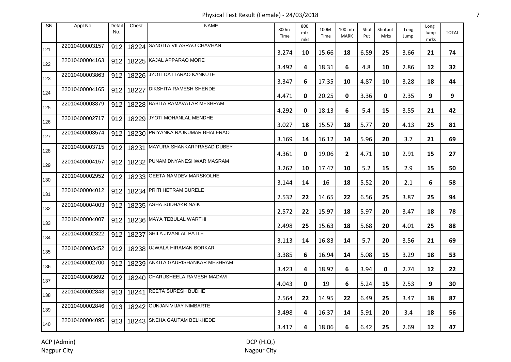Physical Test Result (Female) - 24/03/2018 7

| <b>SN</b> | Appl No        | Detail<br>No. | Chest     | <b>NAME</b>                          | 800m<br>Time | 800<br>mtr<br>mks | 100M<br>Time | 100 mtr<br><b>MARK</b> | Shot<br>Put | Shotput<br>Mrks | Long<br>Jump | Long<br>Jump<br>mrks | <b>TOTAL</b> |
|-----------|----------------|---------------|-----------|--------------------------------------|--------------|-------------------|--------------|------------------------|-------------|-----------------|--------------|----------------------|--------------|
| 121       | 22010400003157 | 912           |           | 18224 SANGITA VILASRAO CHAVHAN       | 3.274        | 10                | 15.66        | 18                     | 6.59        | 25              | 3.66         | 21                   | 74           |
| 122       | 22010400004163 | 912           |           | 18225 KAJAL APPARAO MORE             | 3.492        | 4                 | 18.31        | 6                      | 4.8         | 10              | 2.86         | 12                   | 32           |
| 123       | 22010400003863 | 912           |           | 18226 JYOTI DATTARAO KANKUTE         | 3.347        | 6                 | 17.35        | 10                     | 4.87        | 10              | 3.28         | 18                   | 44           |
| 124       | 22010400004165 | 912           | 18227     | <b>DIKSHITA RAMESH SHENDE</b>        | 4.471        | 0                 | 20.25        | 0                      | 3.36        | 0               | 2.35         | 9                    | 9            |
| 125       | 22010400003879 |               |           | 912   18228 BABITA RAMAVATAR MESHRAM | 4.292        | 0                 | 18.13        | 6                      | 5.4         | 15              | 3.55         | 21                   | 42           |
| 126       | 22010400002717 | 912           |           | 18229 JYOTI MOHANLAL MENDHE          | 3.027        | 18                | 15.57        | 18                     | 5.77        | 20              | 4.13         | 25                   | 81           |
| 127       | 22010400003574 | 912           |           | 18230 PRIYANKA RAJKUMAR BHALERAO     | 3.169        | 14                | 16.12        | 14                     | 5.96        | 20              | 3.7          | 21                   | 69           |
| 128       | 22010400003715 | 912           | 18231     | MAYURA SHANKARPRASAD DUBEY           | 4.361        | 0                 | 19.06        | $\mathbf{2}$           | 4.71        | 10              | 2.91         | 15                   | 27           |
| 129       | 22010400004157 |               |           | 912   18232 PUNAM DNYANESHWAR MASRAM | 3.262        | 10                | 17.47        | 10                     | 5.2         | 15              | 2.9          | 15                   | 50           |
| 130       | 22010400002952 | 912           |           | 18233 GEETA NAMDEV MARSKOLHE         | 3.144        | 14                | 16           | 18                     | 5.52        | 20              | 2.1          | 6                    | 58           |
| 131       | 22010400004012 |               |           | 912   18234   PRITI HETRAM BURELE    | 2.532        | 22                | 14.65        | 22                     | 6.56        | 25              | 3.87         | 25                   | 94           |
| 132       | 22010400004003 | 912           |           | 18235 ASHA SUDHAKR NAIK              | 2.572        | 22                | 15.97        | 18                     | 5.97        | 20              | 3.47         | 18                   | 78           |
| 133       | 22010400004007 | 912           |           | 18236 MAYA TEBULAL WARTHI            | 2.498        | 25                | 15.63        | 18                     | 5.68        | 20              | 4.01         | 25                   | 88           |
| 134       | 22010400002822 | 912           |           | 18237 SHILA JIVANLAL PATLE           | 3.113        | 14                | 16.83        | 14                     | 5.7         | 20              | 3.56         | 21                   | 69           |
| 135       | 22010400003452 | 912           |           | 18238 UJWALA HIRAMAN BORKAR          | 3.385        | 6                 | 16.94        | 14                     | 5.08        | 15              | 3.29         | 18                   | 53           |
| 136       | 22010400002700 | 912           |           | 18239 ANKITA GAURISHANKAR MESHRAM    | 3.423        | 4                 | 18.97        | 6                      | 3.94        | $\mathbf 0$     | 2.74         | 12                   | 22           |
| 137       | 22010400003692 | 912           |           | 18240 CHARUSHEELA RAMESH MADAVI      | 4.043        | 0                 | 19           | 6                      | 5.24        | 15              | 2.53         | 9                    | 30           |
| 138       | 22010400002848 |               | 913 18241 | <b>REETA SURESH BUDHE</b>            | 2.564        | 22                | 14.95        | 22                     | 6.49        | 25              | 3.47         | 18                   | 87           |
| 139       | 22010400002846 |               |           | 913   18242 GUNJAN VIJAY NIMBARTE    | 3.498        | 4                 | 16.37        | 14                     | 5.91        | 20              | 3.4          | 18                   | 56           |
| 140       | 22010400004095 |               |           | 913   18243 SNEHA GAUTAM BELKHEDE    | 3.417        | 4                 | 18.06        | 6                      | 6.42        | 25              | 2.69         | 12                   | 47           |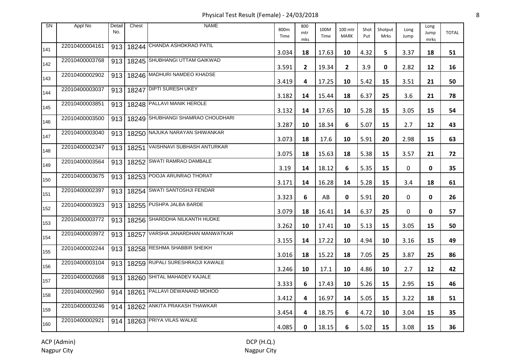Physical Test Result (Female) - 24/03/2018 8

| SN  | Appl No        | Detail<br>No. | Chest | <b>NAME</b>                              | 800m<br>Time | 800<br>mtr<br>mks | 100M<br>Time | 100 mtr<br><b>MARK</b> | Shot<br>Put | Shotput<br><b>Mrks</b> | Long<br>Jump | Long<br>Jump<br>mrks | <b>TOTAL</b> |
|-----|----------------|---------------|-------|------------------------------------------|--------------|-------------------|--------------|------------------------|-------------|------------------------|--------------|----------------------|--------------|
| 141 | 22010400004161 | 913           |       | 18244 CHANDA ASHOKRAO PATIL              | 3.034        | 18                | 17.63        | 10                     | 4.32        | 5.                     | 3.37         | 18                   | 51           |
| 142 | 22010400003768 | 913           |       | 18245 SHUBHANGI UTTAM GAIKWAD            | 3.591        | $\mathbf{2}$      | 19.34        | $\mathbf{2}$           | 3.9         | 0                      | 2.82         | 12                   | 16           |
| 143 | 22010400002902 | 913           |       | 18246 MADHURI NAMDEO KHADSE              | 3.419        | 4                 | 17.25        | 10                     | 5.42        | 15                     | 3.51         | 21                   | 50           |
| 144 | 22010400003037 |               |       | 913   18247 DIPTI SURESH UKEY            | 3.182        | 14                | 15.44        | 18                     | 6.37        | 25                     | 3.6          | 21                   | 78           |
| 145 | 22010400003851 |               |       | 913   18248 PALLAVI MANIK HEROLE         | 3.132        | 14                | 17.65        | 10                     | 5.28        | 15                     | 3.05         | 15                   | 54           |
| 146 | 22010400003500 |               |       | 913   18249 SHUBHANGI SHAMRAO CHOUDHARI  | 3.287        | 10                | 18.34        | 6                      | 5.07        | 15                     | 2.7          | 12                   | 43           |
| 147 | 22010400003040 |               |       | 913   18250 NAJUKA NARAYAN SHIWANKAR     | 3.073        | 18                | 17.6         | 10                     | 5.91        | 20                     | 2.98         | 15                   | 63           |
| 148 | 22010400002347 |               |       | 913   18251   VAISHNAVI SUBHASH ANTURKAR | 3.075        | 18                | 15.63        | 18                     | 5.38        | 15                     | 3.57         | 21                   | 72           |
| 149 | 22010400003564 |               |       | 913   18252 SWATI RAMRAO DAMBALE         | 3.19         | 14                | 18.12        | 6                      | 5.35        | 15                     | 0            | 0                    | 35           |
| 150 | 22010400003675 |               |       | 913   18253 POOJA ARUNRAO THORAT         | 3.171        | 14                | 16.28        | 14                     | 5.28        | 15                     | 3.4          | 18                   | 61           |
| 151 | 22010400002397 |               |       | 913   18254 SWATI SANTOSHJI FENDAR       | 3.323        | 6                 | AB           | 0                      | 5.91        | 20                     | 0            | 0                    | 26           |
| 152 | 22010400003923 |               |       | 913   18255 PUSHPA JALBA BARDE           | 3.079        | 18                | 16.41        | 14                     | 6.37        | 25                     | 0            | $\mathbf{0}$         | 57           |
| 153 | 22010400003772 |               |       | 913   18256 SHARDDHA NILKANTH HUDKE      | 3.262        | 10                | 17.41        | 10                     | 5.13        | 15                     | 3.05         | 15                   | 50           |
| 154 | 22010400003972 |               |       | 913   18257 VARSHA JANARDHAN MANWATKAR   | 3.155        | 14                | 17.22        | 10                     | 4.94        | 10                     | 3.16         | 15                   | 49           |
| 155 | 22010400002244 |               |       | 913   18258 RESHMA SHABBIR SHEIKH        | 3.016        | 18                | 15.22        | 18                     | 7.05        | 25                     | 3.87         | 25                   | 86           |
| 156 | 22010400003104 |               |       | 913   18259 RUPALI SURESHRAOJI KAWALE    | 3.246        | 10                | 17.1         | 10                     | 4.86        | 10                     | 2.7          | 12                   | 42           |
| 157 | 22010400002668 |               |       | 913   18260 SHITAL MAHADEV KAJALE        | 3.333        | 6                 | 17.43        | 10                     | 5.26        | 15                     | 2.95         | 15                   | 46           |
| 158 | 22010400002960 | 914           |       | 18261 PALLAVI DEWANAND MOHOD             | 3.412        | 4                 | 16.97        | 14                     | 5.05        | 15                     | 3.22         | 18                   | 51           |
| 159 | 22010400003246 | 914           |       | 18262 ANKITA PRAKASH THAWKAR             | 3.454        | 4                 | 18.75        | 6                      | 4.72        | 10                     | 3.04         | 15                   | 35           |
| 160 | 22010400002921 |               |       | 914   18263 PRIYA VILAS WALKE            | 4.085        | 0                 | 18.15        | 6                      | 5.02        | 15                     | 3.08         | 15                   | 36           |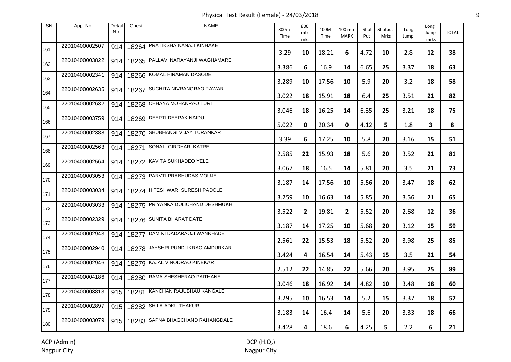Physical Test Result (Female) - 24/03/2018 9

| <b>SN</b> | Appl No        | Detail<br>No. | Chest | <b>NAME</b>                            | 800m<br>Time | 800<br>mtr<br>mks | 100M<br>Time | 100 mtr<br><b>MARK</b> | Shot<br>Put | Shotput<br>Mrks | Long<br>Jump | Long<br>Jump<br>mrks | <b>TOTAL</b> |
|-----------|----------------|---------------|-------|----------------------------------------|--------------|-------------------|--------------|------------------------|-------------|-----------------|--------------|----------------------|--------------|
| 161       | 22010400002507 | 914           |       | 18264 PRATIKSHA NANAJI KINHAKE         | 3.29         | 10                | 18.21        | 6                      | 4.72        | 10              | 2.8          | 12                   | 38           |
| 162       | 22010400003822 | 914           |       | 18265 PALLAVI NARAYANJI WAGHAMARE      | 3.386        | 6                 | 16.9         | 14                     | 6.65        | 25              | 3.37         | 18                   | 63           |
| 163       | 22010400002341 | 914           |       | 18266 KOMAL HIRAMAN DASODE             | 3.289        | 10                | 17.56        | 10                     | 5.9         | 20              | 3.2          | 18                   | 58           |
| 164       | 22010400002635 | 914           |       | 18267 SUCHITA NIVRANGRAO PAWAR         | 3.022        | 18                | 15.91        | 18                     | 6.4         | 25              | 3.51         | 21                   | 82           |
| 165       | 22010400002632 | 914           |       | 18268 CHHAYA MOHANRAO TURI             | 3.046        | 18                | 16.25        | 14                     | 6.35        | 25              | 3.21         | 18                   | 75           |
| 166       | 22010400003759 | 914           |       | 18269 DEEPTI DEEPAK NAIDU              | 5.022        | 0                 | 20.34        | 0                      | 4.12        | 5.              | 1.8          | 3                    | 8            |
| 167       | 22010400002388 | 914           |       | 18270 SHUBHANGI VIJAY TURANKAR         | 3.39         | 6                 | 17.25        | 10                     | 5.8         | 20              | 3.16         | 15                   | 51           |
| 168       | 22010400002563 | 914           | 18271 | SONALI GIRDHARI KATRE                  | 2.585        | 22                | 15.93        | 18                     | 5.6         | 20              | 3.52         | 21                   | 81           |
| 169       | 22010400002564 | 914           |       | 18272 KAVITA SUKHADEO YELE             | 3.067        | 18                | 16.5         | 14                     | 5.81        | 20              | 3.5          | 21                   | 73           |
| 170       | 22010400003053 | 914           |       | 18273 PARVTI PRABHUDAS MOUJE           | 3.187        | 14                | 17.56        | 10                     | 5.56        | 20              | 3.47         | 18                   | 62           |
| 171       | 22010400003034 |               |       | 914   18274   HITESHWARI SURESH PADOLE | 3.259        | 10                | 16.63        | 14                     | 5.85        | 20              | 3.56         | 21                   | 65           |
| 172       | 22010400003033 | 914           |       | 18275 PRIYANKA DULICHAND DESHMUKH      | 3.522        | $\mathbf{2}$      | 19.81        | $\overline{2}$         | 5.52        | 20              | 2.68         | 12                   | 36           |
| 173       | 22010400002329 | 914           |       | 18276 SUNITA BHARAT DATE               | 3.187        | 14                | 17.25        | 10                     | 5.68        | 20              | 3.12         | 15                   | 59           |
| 174       | 22010400002943 | 914           |       | 18277 DAMINI DADARAOJI WANKHADE        | 2.561        | 22                | 15.53        | 18                     | 5.52        | 20              | 3.98         | 25                   | 85           |
| 175       | 22010400002940 | 914           |       | 18278 JAYSHRI PUNDLIKRAO AMDURKAR      | 3.424        | 4                 | 16.54        | 14                     | 5.43        | 15              | 3.5          | 21                   | 54           |
| 176       | 22010400002946 | 914           |       | 18279 KAJAL VINODRAO KINEKAR           | 2.512        | 22                | 14.85        | 22                     | 5.66        | 20              | 3.95         | 25                   | 89           |
| 177       | 22010400004186 | 914           |       | 18280 RAMA SHESHERAO PAITHANE          | 3.046        | 18                | 16.92        | 14                     | 4.82        | 10              | 3.48         | 18                   | 60           |
| 178       | 22010400003813 | 915           |       | 18281 KANCHAN RAJUBHAU KANGALE         | 3.295        | 10                | 16.53        | 14                     | 5.2         | 15              | 3.37         | 18                   | 57           |
| 179       | 22010400002897 |               |       | 915   18282 SHILA ADKU THAKUR          | 3.183        | 14                | 16.4         | 14                     | 5.6         | 20              | 3.33         | 18                   | 66           |
| 180       | 22010400003079 |               |       | 915   18283 SAPNA BHAGCHAND RAHANGDALE | 3.428        | 4                 | 18.6         | 6                      | 4.25        | 5.              | 2.2          | 6                    | 21           |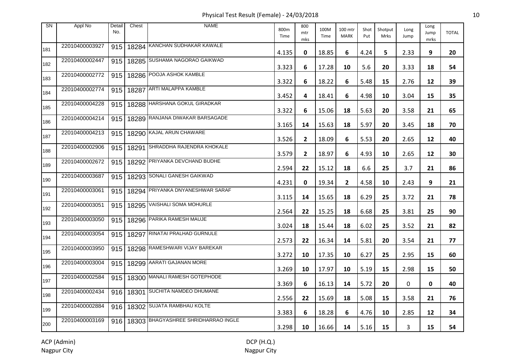Physical Test Result (Female) - 24/03/2018 10

| SN  | Appl No        | Detail<br>No. | Chest   | <b>NAME</b>                               | 800m<br>Time | 800<br>mtr<br>mks | 100M<br>Time | 100 mtr<br><b>MARK</b> | Shot<br>Put | Shotput<br><b>Mrks</b> | Long<br>Jump | Long<br>Jump<br>mrks | <b>TOTAL</b> |
|-----|----------------|---------------|---------|-------------------------------------------|--------------|-------------------|--------------|------------------------|-------------|------------------------|--------------|----------------------|--------------|
| 181 | 22010400003927 | 915           |         | 18284 KANCHAN SUDHAKAR KAWALE             | 4.135        | 0                 | 18.85        | 6                      | 4.24        | 5.                     | 2.33         | 9                    | 20           |
| 182 | 22010400002447 | 915           |         | 18285 SUSHAMA NAGORAO GAIKWAD             | 3.323        | 6                 | 17.28        | 10                     | 5.6         | 20                     | 3.33         | 18                   | 54           |
| 183 | 22010400002772 | 915           |         | 18286 POOJA ASHOK KAMBLE                  | 3.322        | 6                 | 18.22        | 6                      | 5.48        | 15                     | 2.76         | 12                   | 39           |
| 184 | 22010400002774 | 915           | l 18287 | <b>ARTI MALAPPA KAMBLE</b>                | 3.452        | 4                 | 18.41        | 6                      | 4.98        | 10                     | 3.04         | 15                   | 35           |
| 185 | 22010400004228 | 915           |         | 18288 HARSHANA GOKUL GIRADKAR             | 3.322        | 6                 | 15.06        | 18                     | 5.63        | 20                     | 3.58         | 21                   | 65           |
| 186 | 22010400004214 | 915           |         | 18289 RANJANA DIWAKAR BARSAGADE           | 3.165        | 14                | 15.63        | 18                     | 5.97        | 20                     | 3.45         | 18                   | 70           |
| 187 | 22010400004213 | 915           |         | 18290 KAJAL ARUN CHAWARE                  | 3.526        | $\mathbf{2}$      | 18.09        | 6                      | 5.53        | 20                     | 2.65         | 12                   | 40           |
| 188 | 22010400002906 | 915           | 18291   | SHRADDHA RAJENDRA KHOKALE                 | 3.579        | $\mathbf{2}$      | 18.97        | 6                      | 4.93        | 10                     | 2.65         | 12                   | 30           |
| 189 | 22010400002672 | 915           |         | 18292 PRIYANKA DEVCHAND BUDHE             | 2.594        | 22                | 15.12        | 18                     | 6.6         | 25                     | 3.7          | 21                   | 86           |
| 190 | 22010400003687 | 915           |         | 18293 SONALI GANESH GAIKWAD               | 4.231        | 0                 | 19.34        | $\overline{2}$         | 4.58        | 10                     | 2.43         | 9                    | 21           |
| 191 | 22010400003061 |               |         | 915   18294 PRIYANKA DNYANESHWAR SARAF    | 3.115        | 14                | 15.65        | 18                     | 6.29        | 25                     | 3.72         | 21                   | 78           |
| 192 | 22010400003051 |               |         | 915   18295 VAISHALI SOMA MOHURLE         | 2.564        | 22                | 15.25        | 18                     | 6.68        | 25                     | 3.81         | 25                   | 90           |
| 193 | 22010400003050 | 915           |         | 18296 PARIKA RAMESH MAUJE                 | 3.024        | 18                | 15.44        | 18                     | 6.02        | 25                     | 3.52         | 21                   | 82           |
| 194 | 22010400003054 | 915           |         | 18297 RINATAI PRALHAD GURNULE             | 2.573        | 22                | 16.34        | 14                     | 5.81        | 20                     | 3.54         | 21                   | 77           |
| 195 | 22010400003950 | 915           |         | 18298 RAMESHWARI VIJAY BAREKAR            | 3.272        | 10                | 17.35        | 10                     | 6.27        | 25                     | 2.95         | 15                   | 60           |
| 196 | 22010400003004 | 915           |         | 18299 AARATI GAJANAN MORE                 | 3.269        | 10                | 17.97        | 10                     | 5.19        | 15                     | 2.98         | 15                   | 50           |
| 197 | 22010400002584 | 915           |         | 18300 MANALI RAMESH GOTEPHODE             | 3.369        | 6                 | 16.13        | 14                     | 5.72        | 20                     | 0            | 0                    | 40           |
| 198 | 22010400002434 |               |         | 916   18301 SUCHITA NAMDEO DHUMANE        | 2.556        | 22                | 15.69        | 18                     | 5.08        | 15                     | 3.58         | 21                   | 76           |
| 199 | 22010400002884 |               |         | 916   18302 SUJATA RAMBHAU KOLTE          | 3.383        | 6                 | 18.28        | 6                      | 4.76        | 10                     | 2.85         | 12                   | 34           |
| 200 | 22010400003169 |               |         | 916   18303 BHAGYASHREE SHRIDHARRAO INGLE | 3.298        | 10                | 16.66        | 14                     | 5.16        | 15                     | 3            | 15                   | 54           |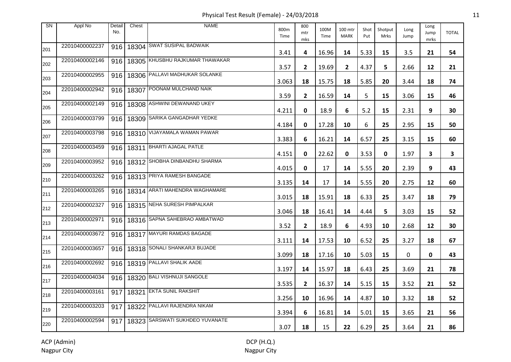Physical Test Result (Female) - 24/03/2018 11

| <b>SN</b> | Appl No        | Detail<br>No. | Chest     | <b>NAME</b>                            | 800m<br>Time | 800<br>mtr<br>mks | 100M<br>Time | 100 mtr<br><b>MARK</b> | Shot<br>Put | Shotput<br>Mrks | Long<br>Jump | Long<br>Jump<br>mrks | <b>TOTAL</b> |
|-----------|----------------|---------------|-----------|----------------------------------------|--------------|-------------------|--------------|------------------------|-------------|-----------------|--------------|----------------------|--------------|
| 201       | 22010400002237 | 916           |           | 18304 SWAT SUSIPAL BADWAIK             | 3.41         | 4                 | 16.96        | 14                     | 5.33        | 15              | 3.5          | 21                   | 54           |
| 202       | 22010400002146 | 916           |           | 18305 KHUSBHU RAJKUMAR THAWAKAR        | 3.57         | $\overline{2}$    | 19.69        | $\mathbf{2}$           | 4.37        | 5               | 2.66         | 12                   | 21           |
| 203       | 22010400002955 |               |           | 916   18306 PALLAVI MADHUKAR SOLANKE   | 3.063        | 18                | 15.75        | 18                     | 5.85        | 20              | 3.44         | 18                   | 74           |
| 204       | 22010400002942 |               | 916 18307 | POONAM MULCHAND NAIK                   | 3.59         | $\mathbf{2}$      | 16.59        | 14                     | 5           | 15              | 3.06         | 15                   | 46           |
| 205       | 22010400002149 |               |           | 916   18308 ASHWINI DEWANAND UKEY      | 4.211        | 0                 | 18.9         | 6                      | 5.2         | 15              | 2.31         | 9                    | 30           |
| 206       | 22010400003799 |               |           | 916   18309 SARIKA GANGADHAR YEDKE     | 4.184        | 0                 | 17.28        | 10                     | 6           | 25              | 2.95         | 15                   | 50           |
| 207       | 22010400003798 |               |           | 916   18310 VIJAYAMALA WAMAN PAWAR     | 3.383        | 6                 | 16.21        | 14                     | 6.57        | 25              | 3.15         | 15                   | 60           |
| 208       | 22010400003459 |               | 916 18311 | <b>BHARTI AJAGAL PATLE</b>             | 4.151        | 0                 | 22.62        | 0                      | 3.53        | 0               | 1.97         | 3                    | 3            |
| 209       | 22010400003952 |               |           | 916   18312 SHOBHA DINBANDHU SHARMA    | 4.015        | 0                 | 17           | 14                     | 5.55        | 20              | 2.39         | 9                    | 43           |
| 210       | 22010400003262 |               |           | 916   18313 PRIYA RAMESH BANGADE       | 3.135        | 14                | 17           | 14                     | 5.55        | 20              | 2.75         | 12                   | 60           |
| 211       | 22010400003265 |               |           | 916   18314   ARATI MAHENDRA WAGHAMARE | 3.015        | 18                | 15.91        | 18                     | 6.33        | 25              | 3.47         | 18                   | 79           |
| 212       | 22010400002327 |               |           | 916   18315 NEHA SURESH PIMPALKAR      | 3.046        | 18                | 16.41        | 14                     | 4.44        | 5               | 3.03         | 15                   | 52           |
| 213       | 22010400002971 |               |           | 916   18316 SAPNA SAHEBRAO AMBATWAD    | 3.52         | $\mathbf{2}$      | 18.9         | 6                      | 4.93        | 10              | 2.68         | 12                   | 30           |
| 214       | 22010400003672 |               |           | 916   18317 MAYURI RAMDAS BAGADE       | 3.111        | 14                | 17.53        | 10                     | 6.52        | 25              | 3.27         | 18                   | 67           |
| 215       | 22010400003657 |               |           | 916   18318 SONALI SHANKARJI BUJADE    | 3.099        | 18                | 17.16        | 10                     | 5.03        | 15              | 0            | 0                    | 43           |
| 216       | 22010400002692 |               |           | 916   18319 PALLAVI SHALIK AADE        | 3.197        | 14                | 15.97        | 18                     | 6.43        | 25              | 3.69         | 21                   | 78           |
| 217       | 22010400004034 |               |           | 916   18320 BALI VISHNUJI SANGOLE      | 3.535        | $\mathbf{2}$      | 16.37        | 14                     | 5.15        | 15              | 3.52         | 21                   | 52           |
| 218       | 22010400003161 | 917           |           | 18321 EKTA SUNIL RAKSHIT               | 3.256        | 10                | 16.96        | 14                     | 4.87        | 10              | 3.32         | 18                   | 52           |
| 219       | 22010400003203 | 917           |           | 18322 PALLAVI RAJENDRA NIKAM           | 3.394        | 6                 | 16.81        | 14                     | 5.01        | 15              | 3.65         | 21                   | 56           |
| 220       | 22010400002594 |               |           | 917   18323 SARSWATI SUKHDEO YUVANATE  | 3.07         | 18                | 15           | 22                     | 6.29        | 25              | 3.64         | 21                   | 86           |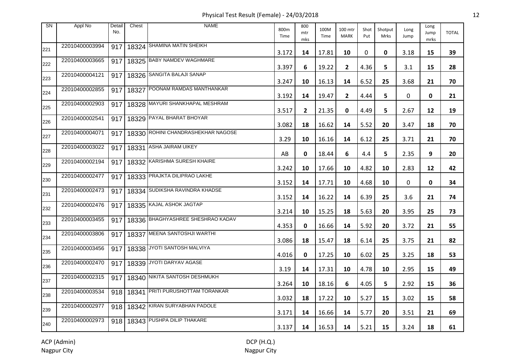Physical Test Result (Female) - 24/03/2018 12

| <b>SN</b> | Appl No        | Detail<br>No. | Chest | <b>NAME</b>                            | 800m<br>Time | 800<br>mtr<br>mks | 100M<br>Time | 100 mtr<br><b>MARK</b> | Shot<br>Put | Shotput<br>Mrks | Long<br>Jump | Long<br>Jump<br>mrks | <b>TOTAL</b> |
|-----------|----------------|---------------|-------|----------------------------------------|--------------|-------------------|--------------|------------------------|-------------|-----------------|--------------|----------------------|--------------|
| 221       | 22010400003994 | 917           |       | 18324 SHAMINA MATIN SHEIKH             | 3.172        | 14                | 17.81        | 10                     | 0           | $\mathbf 0$     | 3.18         | 15                   | 39           |
| 222       | 22010400003665 | 917           |       | 18325 BABY NAMDEV WAGHMARE             | 3.397        | 6                 | 19.22        | $\overline{2}$         | 4.36        | 5.              | 3.1          | 15                   | 28           |
| 223       | 22010400004121 | 917           |       | 18326 SANGITA BALAJI SANAP             | 3.247        | 10                | 16.13        | 14                     | 6.52        | 25              | 3.68         | 21                   | 70           |
| 224       | 22010400002855 | 917           |       | 18327 POONAM RAMDAS MANTHANKAR         | 3.192        | 14                | 19.47        | $\overline{2}$         | 4.44        | 5               | 0            | 0                    | 21           |
| 225       | 22010400002903 | 917           |       | 18328 MAYURI SHANKHAPAL MESHRAM        | 3.517        | $\mathbf{2}$      | 21.35        | 0                      | 4.49        | 5               | 2.67         | 12                   | 19           |
| 226       | 22010400002541 | 917           |       | 18329 PAYAL BHARAT BHOYAR              | 3.082        | 18                | 16.62        | 14                     | 5.52        | 20              | 3.47         | 18                   | 70           |
| 227       | 22010400004071 | 917           |       | 18330 ROHINI CHANDRASHEKHAR NAGOSE     | 3.29         | 10                | 16.16        | 14                     | 6.12        | 25              | 3.71         | 21                   | 70           |
| 228       | 22010400003022 |               |       | 917   18331 ASHA JAIRAM UIKEY          | AB           | 0                 | 18.44        | 6                      | 4.4         | 5               | 2.35         | 9                    | 20           |
| 229       | 22010400002194 |               |       | 917   18332 KARISHMA SURESH KHAIRE     | 3.242        | 10                | 17.66        | 10                     | 4.82        | 10              | 2.83         | 12                   | 42           |
| 230       | 22010400002477 | 917           |       | 18333 PRAJKTA DILIPRAO LAKHE           | 3.152        | 14                | 17.71        | 10                     | 4.68        | 10              | 0            | 0                    | 34           |
| 231       | 22010400002473 |               |       | 917   18334   SUDIKSHA RAVINDRA KHADSE | 3.152        | 14                | 16.22        | 14                     | 6.39        | 25              | 3.6          | 21                   | 74           |
| 232       | 22010400002476 | 917           |       | 18335 KAJAL ASHOK JAGTAP               | 3.214        | 10                | 15.25        | 18                     | 5.63        | 20              | 3.95         | 25                   | 73           |
| 233       | 22010400003455 | 917           |       | 18336 BHAGHYASHREE SHESHRAO KADAV      | 4.353        | 0                 | 16.66        | 14                     | 5.92        | 20              | 3.72         | 21                   | 55           |
| 234       | 22010400003806 | 917           |       | 18337 MEENA SANTOSHJI WARTHI           | 3.086        | 18                | 15.47        | 18                     | 6.14        | 25              | 3.75         | 21                   | 82           |
| 235       | 22010400003456 | 917           |       | 18338 JYOTI SANTOSH MALVIYA            | 4.016        | 0                 | 17.25        | 10                     | 6.02        | 25              | 3.25         | 18                   | 53           |
| 236       | 22010400002470 |               |       | 917   18339 JYOTI DARYAV AGASE         | 3.19         | 14                | 17.31        | 10                     | 4.78        | 10              | 2.95         | 15                   | 49           |
| 237       | 22010400002315 | 917           |       | 18340 NIKITA SANTOSH DESHMUKH          | 3.264        | 10                | 18.16        | 6                      | 4.05        | 5               | 2.92         | 15                   | 36           |
| 238       | 22010400003534 |               |       | 918   18341 PRITI PURUSHOTTAM TORANKAR | 3.032        | 18                | 17.22        | 10                     | 5.27        | 15              | 3.02         | 15                   | 58           |
| 239       | 22010400002977 |               |       | 918   18342 KIRAN SURYABHAN PADOLE     | 3.171        | 14                | 16.66        | 14                     | 5.77        | 20              | 3.51         | 21                   | 69           |
| 240       | 22010400002973 |               |       | 918   18343 PUSHPA DILIP THAKARE       | 3.137        | 14                | 16.53        | 14                     | 5.21        | 15              | 3.24         | 18                   | 61           |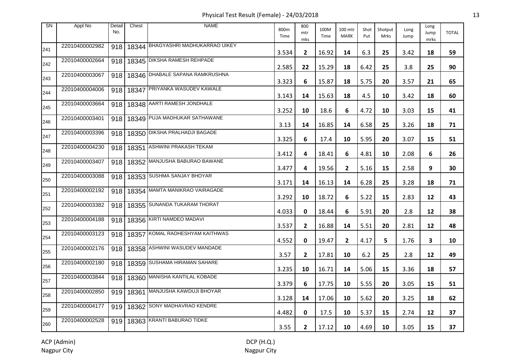Physical Test Result (Female) - 24/03/2018 13

| <b>SN</b> | Appl No        | Detail<br>No. | Chest     | <b>NAME</b>                            | 800m<br>Time | 800<br>mtr<br>mks | 100M<br>Time | 100 mtr<br><b>MARK</b> | Shot<br>Put | Shotput<br><b>Mrks</b> | Long<br>Jump | Long<br>Jump<br>mrks | <b>TOTAL</b> |
|-----------|----------------|---------------|-----------|----------------------------------------|--------------|-------------------|--------------|------------------------|-------------|------------------------|--------------|----------------------|--------------|
| 241       | 22010400002982 | 918           |           | 18344 BHAGYASHRI MADHUKARRAO UIKEY     | 3.534        | $\mathbf{2}$      | 16.92        | 14                     | 6.3         | 25                     | 3.42         | 18                   | 59           |
| 242       | 22010400002664 | 918           |           | 18345 DIKSHA RAMESH REHPADE            | 2.585        | 22                | 15.29        | 18                     | 6.42        | 25                     | 3.8          | 25                   | 90           |
| 243       | 22010400003067 | 918           |           | 18346 DHABALE SAPANA RAMKRUSHNA        | 3.323        | 6                 | 15.87        | 18                     | 5.75        | 20                     | 3.57         | 21                   | 65           |
| 244       | 22010400004006 | 918           | 18347     | PRIYANKA WASUDEV KAWALE                | 3.143        | 14                | 15.63        | 18                     | 4.5         | 10                     | 3.42         | 18                   | 60           |
| 245       | 22010400003664 | 918           |           | 18348 ARTI RAMESH JONDHALE             | 3.252        | 10                | 18.6         | 6                      | 4.72        | 10                     | 3.03         | 15                   | 41           |
| 246       | 22010400003401 |               |           | 918   18349 PUJA MADHUKAR SATHAWANE    | 3.13         | 14                | 16.85        | 14                     | 6.58        | 25                     | 3.26         | 18                   | 71           |
| 247       | 22010400003396 | 918           |           | 18350 DIKSHA PRALHADJI BAGADE          | 3.325        | 6                 | 17.4         | 10                     | 5.95        | 20                     | 3.07         | 15                   | 51           |
| 248       | 22010400004230 |               | 918 18351 | <b>ASHWINI PRAKASH TEKAM</b>           | 3.412        | 4                 | 18.41        | 6                      | 4.81        | 10                     | 2.08         | 6                    | 26           |
| 249       | 22010400003407 |               |           | 918   18352 MANJUSHA BABURAO BAWANE    | 3.477        | 4                 | 19.56        | $\mathbf{2}$           | 5.16        | 15                     | 2.58         | 9                    | 30           |
| 250       | 22010400003088 |               |           | 918   18353 SUSHMA SANJAY BHOYAR       | 3.171        | 14                | 16.13        | 14                     | 6.28        | 25                     | 3.28         | 18                   | 71           |
| 251       | 22010400002192 |               |           | 918   18354   MAMTA MANIKRAO VAIRAGADE | 3.292        | 10                | 18.72        | 6                      | 5.22        | 15                     | 2.83         | 12                   | 43           |
| 252       | 22010400003382 |               |           | 918   18355 SUNANDA TUKARAM THORAT     | 4.033        | 0                 | 18.44        | 6                      | 5.91        | 20                     | 2.8          | 12                   | 38           |
| 253       | 22010400004188 |               |           | 918   18356 KIRTI NAMDEO MADAVI        | 3.537        | $\mathbf{2}$      | 16.88        | 14                     | 5.51        | 20                     | 2.81         | 12                   | 48           |
| 254       | 22010400003123 |               |           | 918   18357 KOMAL RADHESHYAM KAITHWAS  | 4.552        | 0                 | 19.47        | $\overline{2}$         | 4.17        | 5                      | 1.76         | 3                    | 10           |
| 255       | 22010400002176 |               |           | 918   18358 ASHWINI WASUDEV MANDADE    | 3.57         | $\mathbf{2}$      | 17.81        | 10                     | $6.2$       | 25                     | 2.8          | 12                   | 49           |
| 256       | 22010400002180 |               |           | 918   18359 SUSHAMA HIRAMAN SAHARE     | 3.235        | 10                | 16.71        | 14                     | 5.06        | 15                     | 3.36         | 18                   | 57           |
| 257       | 22010400003844 | 918           |           | 18360 MANISHA KANTILAL KOBADE          | 3.379        | 6                 | 17.75        | 10                     | 5.55        | 20                     | 3.05         | 15                   | 51           |
| 258       | 22010400002850 | 919           |           | 18361 MANJUSHA KAWDUJI BHOYAR          | 3.128        | 14                | 17.06        | 10                     | 5.62        | 20                     | 3.25         | 18                   | 62           |
| 259       | 22010400004177 |               |           | 919   18362 SONY MADHAVRAO KENDRE      | 4.482        | 0                 | 17.5         | 10                     | 5.37        | 15                     | 2.74         | 12                   | 37           |
| 260       | 22010400002528 |               |           | 919   18363 KRANTI BABURAO TIDKE       | 3.55         | $\mathbf{2}$      | 17.12        | 10                     | 4.69        | 10                     | 3.05         | 15                   | 37           |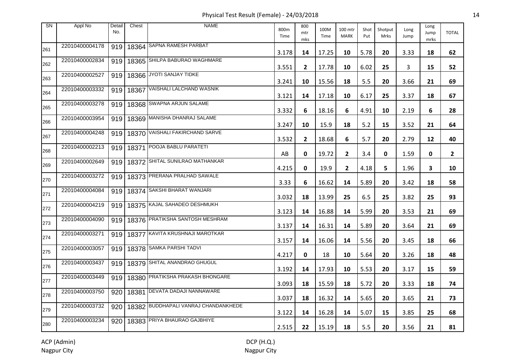Physical Test Result (Female) - 24/03/2018 14

| <b>SN</b> | Appl No        | Detail<br>No. | Chest     | <b>NAME</b>                           | 800m<br>Time | 800<br>mtr<br>mks | 100M<br>Time | 100 mtr<br><b>MARK</b> | Shot<br>Put | Shotput<br>Mrks | Long<br>Jump | Long<br>Jump<br>mrks | <b>TOTAL</b>   |
|-----------|----------------|---------------|-----------|---------------------------------------|--------------|-------------------|--------------|------------------------|-------------|-----------------|--------------|----------------------|----------------|
| 261       | 22010400004178 | 919           |           | 18364 SAPNA RAMESH PARBAT             | 3.178        | 14                | 17.25        | 10                     | 5.78        | 20              | 3.33         | 18                   | 62             |
| 262       | 22010400002834 | 919           |           | 18365 SHILPA BABURAO WAGHMARE         | 3.551        | $\overline{2}$    | 17.78        | 10                     | 6.02        | 25              | 3            | 15                   | 52             |
| 263       | 22010400002527 | 919           |           | 18366 JYOTI SANJAY TIDKE              | 3.241        | 10                | 15.56        | 18                     | 5.5         | 20              | 3.66         | 21                   | 69             |
| 264       | 22010400003332 | 919           |           | 18367 VAISHALI LALCHAND WASNIK        | 3.121        | 14                | 17.18        | 10                     | 6.17        | 25              | 3.37         | 18                   | 67             |
| 265       | 22010400003278 | 919           |           | 18368 SWAPNA ARJUN SALAME             | 3.332        | 6                 | 18.16        | 6                      | 4.91        | 10              | 2.19         | 6                    | 28             |
| 266       | 22010400003954 | 919           |           | 18369 MANISHA DHANRAJ SALAME          | 3.247        | 10                | 15.9         | 18                     | 5.2         | 15              | 3.52         | 21                   | 64             |
| 267       | 22010400004248 | 919           |           | 18370 VAISHALI FAKIRCHAND SARVE       | 3.532        | $\mathbf{2}$      | 18.68        | 6                      | 5.7         | 20              | 2.79         | 12                   | 40             |
| 268       | 22010400002213 |               | 919 18371 | POOJA BABLU PARATETI                  | AB           | 0                 | 19.72        | $\mathbf{2}$           | 3.4         | 0               | 1.59         | 0                    | $\overline{2}$ |
| 269       | 22010400002649 | 919           |           | 18372 SHITAL SUNILRAO MATHANKAR       | 4.215        | 0                 | 19.9         | $\mathbf{2}$           | 4.18        | 5.              | 1.96         | 3                    | 10             |
| 270       | 22010400003272 |               |           | 919   18373 PRERANA PRALHAD SAWALE    | 3.33         | 6                 | 16.62        | 14                     | 5.89        | 20              | 3.42         | 18                   | 58             |
| 271       | 22010400004084 |               |           | 919   18374 SAKSHI BHARAT WANJARI     | 3.032        | 18                | 13.99        | 25                     | 6.5         | 25              | 3.82         | 25                   | 93             |
| 272       | 22010400004219 |               |           | 919   18375 KAJAL SAHADEO DESHMUKH    | 3.123        | 14                | 16.88        | 14                     | 5.99        | 20              | 3.53         | 21                   | 69             |
| 273       | 22010400004090 | 919           |           | 18376 PRATIKSHA SANTOSH MESHRAM       | 3.137        | 14                | 16.31        | 14                     | 5.89        | 20              | 3.64         | 21                   | 69             |
| 274       | 22010400003271 |               |           | 919   18377 KAVITA KRUSHNAJI MAROTKAR | 3.157        | 14                | 16.06        | 14                     | 5.56        | 20              | 3.45         | 18                   | 66             |
| 275       | 22010400003057 |               |           | 919   18378 SAMKA PARSHI TADVI        | 4.217        | 0                 | 18           | 10                     | 5.64        | 20              | 3.26         | 18                   | 48             |
| 276       | 22010400003437 |               |           | 919   18379 SHITAL ANANDRAO GHUGUL    | 3.192        | 14                | 17.93        | 10                     | 5.53        | 20              | 3.17         | 15                   | 59             |
| 277       | 22010400003449 | 919           |           | 18380 PRATIKSHA PRAKASH BHONGARE      | 3.093        | 18                | 15.59        | 18                     | 5.72        | 20              | 3.33         | 18                   | 74             |
| 278       | 22010400003750 | 920           |           | 18381 DEVATA DADAJI NANNAWARE         | 3.037        | 18                | 16.32        | 14                     | 5.65        | 20              | 3.65         | 21                   | 73             |
| 279       | 22010400003732 | 920           |           | 18382 BUDDHAPALI VANRAJ CHANDANKHEDE  | 3.122        | 14                | 16.28        | 14                     | 5.07        | 15              | 3.85         | 25                   | 68             |
| 280       | 22010400003234 | 920           |           | 18383 PRIYA BHAURAO GAJBHIYE          | 2.515        | 22                | 15.19        | 18                     | 5.5         | 20              | 3.56         | 21                   | 81             |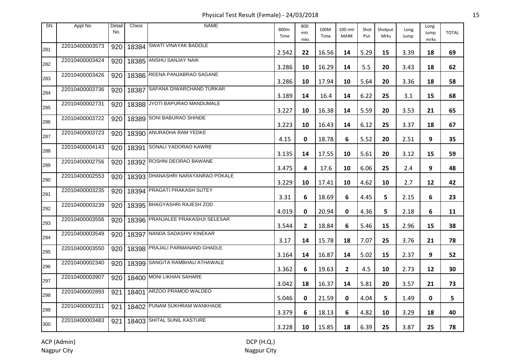Physical Test Result (Female) - 24/03/2018 15

| <b>SN</b> | Appl No        | Detail<br>No. | Chest | <b>NAME</b>                       | 800m<br>Time | 800<br>mtr<br>mks | 100M<br>Time | 100 mtr<br><b>MARK</b> | Shot<br>Put | Shotput<br>Mrks | Long<br>Jump | Long<br>Jump<br>mrks | <b>TOTAL</b> |
|-----------|----------------|---------------|-------|-----------------------------------|--------------|-------------------|--------------|------------------------|-------------|-----------------|--------------|----------------------|--------------|
| 281       | 22010400003573 | 920           |       | 18384 SWATI VINAYAK BADOLE        | 2.542        | 22                | 16.56        | 14                     | 5.29        | 15              | 3.39         | 18                   | 69           |
| 282       | 22010400003424 | 920           |       | 18385 ANSHU SANJAY NAIK           | 3.286        | 10                | 16.29        | 14                     | 5.5         | 20              | 3.43         | 18                   | 62           |
| 283       | 22010400003426 | 920           |       | 18386 REENA PANJABRAO SAGANE      | 3.286        | 10                | 17.94        | 10                     | 5.64        | 20              | 3.36         | 18                   | 58           |
| 284       | 22010400003736 | 920           | 18387 | SAPANA DIWARCHAND TURKAR          | 3.189        | 14                | 16.4         | 14                     | 6.22        | 25              | 3.1          | 15                   | 68           |
| 285       | 22010400002731 | 920           |       | 18388 JYOTI BAPURAO MANDUMALE     | 3.227        | 10                | 16.38        | 14                     | 5.59        | 20              | 3.53         | 21                   | 65           |
| 286       | 22010400003722 | 920           |       | 18389 SONI BABURAO SHINDE         | 3.223        | 10                | 16.43        | 14                     | 6.12        | 25              | 3.37         | 18                   | 67           |
| 287       | 22010400003723 | 920           |       | 18390 ANURADHA RAM YEDKE          | 4.15         | 0                 | 18.78        | 6                      | 5.52        | 20              | 2.51         | 9                    | 35           |
| 288       | 22010400004143 | 920           | 18391 | SONALI YADORAO KAWRE              | 3.135        | 14                | 17.55        | 10                     | 5.61        | 20              | 3.12         | 15                   | 59           |
| 289       | 22010400002756 | 920           |       | 18392 ROSHNI DEORAO BAWANE        | 3.475        | 4                 | 17.6         | 10                     | 6.06        | 25              | 2.4          | 9                    | 48           |
| 290       | 22010400002553 | 920           |       | 18393 DHANASHRI NARAYANRAO POKALE | 3.229        | 10                | 17.41        | 10                     | 4.62        | 10              | 2.7          | 12                   | 42           |
| 291       | 22010400003235 | 920           |       | 18394 PRAGATI PRAKASH SUTEY       | 3.31         | 6                 | 18.69        | 6                      | 4.45        | 5               | 2.15         | 6                    | 23           |
| 292       | 22010400003239 | 920           |       | 18395 BHAGYASHRI RAJESH ZOD       | 4.019        | 0                 | 20.94        | 0                      | 4.36        | 5               | 2.18         | 6                    | 11           |
| 293       | 22010400003556 | 920           |       | 18396 PRANJALEE PRAKASHJI SELESAR | 3.544        | $\mathbf{2}$      | 18.84        | 6                      | 5.46        | 15              | 2.96         | 15                   | 38           |
| 294       | 22010400003549 | 920           |       | 18397 NANDA SADASHIV KINEKAR      | 3.17         | 14                | 15.78        | 18                     | 7.07        | 25              | 3.76         | 21                   | 78           |
| 295       | 22010400003550 | 920           |       | 18398 PRAJALI PARMANAND GHADLE    | 3.164        | 14                | 16.87        | 14                     | 5.02        | 15              | 2.37         | 9                    | 52           |
| 296       | 22010400002340 | 920           |       | 18399 SANGITA RAMBHAU ATHAWALE    | 3.362        | 6                 | 19.63        | $\mathbf{2}$           | 4.5         | 10              | 2.73         | 12                   | 30           |
| 297       | 22010400003907 | 920           |       | 18400 MONI LIKHAN SAHARE          | 3.042        | 18                | 16.37        | 14                     | 5.81        | 20              | 3.57         | 21                   | 73           |
| 298       | 22010400002893 | 921           |       | 18401 ARZOO PRAMOD WALDEO         | 5.046        | 0                 | 21.59        | 0                      | 4.04        | 5.              | 1.49         | 0                    | 5            |
| 299       | 22010400002311 | 921           |       | 18402 PUNAM SUKHRAM WANKHADE      | 3.379        | 6                 | 18.13        | 6                      | 4.82        | 10              | 3.29         | 18                   | 40           |
| 300       | 22010400003483 | 921           |       | 18403 SHITAL SUNIL KASTURE        | 3.228        | 10                | 15.85        | 18                     | 6.39        | 25              | 3.87         | 25                   | 78           |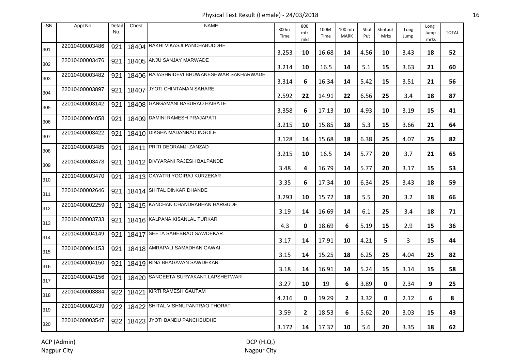Physical Test Result (Female) - 24/03/2018 16

| <b>SN</b> | Appl No        | Detail<br>No. | Chest | <b>NAME</b>                                | 800m<br>Time | 800<br>mtr<br>mks | 100M<br>Time | 100 mtr<br><b>MARK</b> | Shot<br>Put | Shotput<br>Mrks | Long<br>Jump | Long<br>Jump<br>mrks | <b>TOTAL</b> |
|-----------|----------------|---------------|-------|--------------------------------------------|--------------|-------------------|--------------|------------------------|-------------|-----------------|--------------|----------------------|--------------|
| 301       | 22010400003486 | 921           |       | 18404 RAKHI VIKASJI PANCHABUDDHE           | 3.253        | 10                | 16.68        | 14                     | 4.56        | 10              | 3.43         | 18                   | 52           |
| 302       | 22010400003476 | 921           |       | 18405 ANJU SANJAY MARWADE                  | 3.214        | 10                | 16.5         | 14                     | 5.1         | 15              | 3.63         | 21                   | 60           |
| 303       | 22010400003482 | 921           |       | 18406 RAJASHRIDEVI BHUWANESHWAR SAKHARWADE | 3.314        | 6                 | 16.34        | 14                     | 5.42        | 15              | 3.51         | 21                   | 56           |
| 304       | 22010400003897 | 921           |       | 18407 JYOTI CHINTAMAN SAHARE               | 2.592        | 22                | 14.91        | 22                     | 6.56        | 25              | 3.4          | 18                   | 87           |
| 305       | 22010400003142 | 921           |       | 18408 GANGAMANI BABURAO HAIBATE            | 3.358        | 6                 | 17.13        | 10                     | 4.93        | 10              | 3.19         | 15                   | 41           |
| 306       | 22010400004058 | 921           |       | 18409 DAMINI RAMESH PRAJAPATI              | 3.215        | 10                | 15.85        | 18                     | 5.3         | 15              | 3.66         | 21                   | 64           |
| 307       | 22010400003422 | 921           |       | 18410 DIKSHA MADANRAO INGOLE               | 3.128        | 14                | 15.68        | 18                     | 6.38        | 25              | 4.07         | 25                   | 82           |
| 308       | 22010400003485 | 921           |       | 18411 PRITI DEORAMJI ZANZAD                | 3.215        | 10                | 16.5         | 14                     | 5.77        | 20              | 3.7          | 21                   | 65           |
| 309       | 22010400003473 | 921           |       | 18412 DIVYARANI RAJESH BALPANDE            | 3.48         | 4                 | 16.79        | 14                     | 5.77        | 20              | 3.17         | 15                   | 53           |
| 310       | 22010400003470 | 921           |       | 18413 GAYATRI YOGIRAJ KURZEKAR             | 3.35         | 6                 | 17.34        | 10                     | 6.34        | 25              | 3.43         | 18                   | 59           |
| 311       | 22010400002646 | 921           |       | 18414 SHITAL DINKAR DHANDE                 | 3.293        | 10                | 15.72        | 18                     | 5.5         | 20              | 3.2          | 18                   | 66           |
| 312       | 22010400002259 | 921           |       | 18415 KANCHAN CHANDRABHAN HARGUDE          | 3.19         | 14                | 16.69        | 14                     | 6.1         | 25              | 3.4          | 18                   | 71           |
| 313       | 22010400003733 | 921           |       | 18416 KALPANA KISANLAL TURKAR              | 4.3          | 0                 | 18.69        | 6                      | 5.19        | 15              | 2.9          | 15                   | 36           |
| 314       | 22010400004149 | 921           |       | 18417 SEETA SAHEBRAO SAWDEKAR              | 3.17         | 14                | 17.91        | 10                     | 4.21        | 5               | 3            | 15                   | 44           |
| 315       | 22010400004153 | 921           |       | 18418 AMRAPALI SAMADHAN GAWAI              | 3.15         | 14                | 15.25        | 18                     | 6.25        | 25              | 4.04         | 25                   | 82           |
| 316       | 22010400004150 | 921           |       | 18419 RINA BHAGAVAN SAWDEKAR               | 3.18         | 14                | 16.91        | 14                     | 5.24        | 15              | 3.14         | 15                   | 58           |
| 317       | 22010400004156 | 921           |       | 18420 SANGEETA SURYAKANT LAPSHETWAR        | 3.27         | 10                | 19           | 6                      | 3.89        | 0               | 2.34         | 9                    | 25           |
| 318       | 22010400003884 |               |       | 922   18421 KIRTI RAMESH GAUTAM            | 4.216        | 0                 | 19.29        | $\mathbf{2}$           | 3.32        | 0               | 2.12         | 6                    | 8            |
| 319       | 22010400002439 | 922           |       | 18422 SHITAL VISHNUPANTRAO THORAT          | 3.59         | $\mathbf{2}$      | 18.53        | 6                      | 5.62        | 20              | 3.03         | 15                   | 43           |
| 320       | 22010400003547 |               |       | 922   18423 JYOTI BANDU PANCHBUDHE         | 3.172        | 14                | 17.37        | 10                     | 5.6         | 20              | 3.35         | 18                   | 62           |

DCP (H.Q.) Nagpur City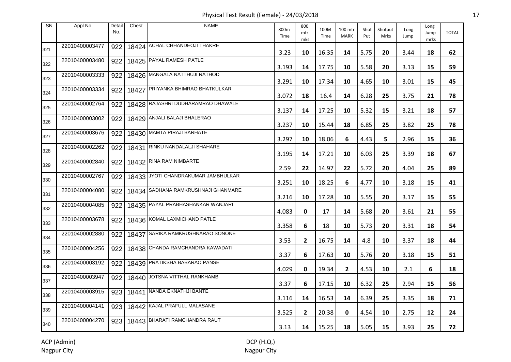Physical Test Result (Female) - 24/03/2018 17

| SN  | Appl No        | Detail<br>No. | Chest | <b>NAME</b>                               | 800m<br>Time | 800<br>mtr<br>mks | 100M<br>Time | 100 mtr<br><b>MARK</b> | Shot<br>Put | Shotput<br>Mrks | Long<br>Jump | Long<br>Jump<br>mrks | <b>TOTAL</b> |
|-----|----------------|---------------|-------|-------------------------------------------|--------------|-------------------|--------------|------------------------|-------------|-----------------|--------------|----------------------|--------------|
| 321 | 22010400003477 | 922           |       | 18424 ACHAL CHHANDEOJI THAKRE             | 3.23         | 10                | 16.35        | 14                     | 5.75        | 20              | 3.44         | 18                   | 62           |
| 322 | 22010400003480 | 922           |       | 18425 PAYAL RAMESH PATLE                  | 3.193        | 14                | 17.75        | 10                     | 5.58        | 20              | 3.13         | 15                   | 59           |
| 323 | 22010400003333 | 922           |       | 18426 MANGALA NATTHUJI RATHOD             | 3.291        | 10                | 17.34        | 10                     | 4.65        | 10              | 3.01         | 15                   | 45           |
| 324 | 22010400003334 | 922           |       | 18427 PRIYANKA BHIMRAO BHATKULKAR         | 3.072        | 18                | 16.4         | 14                     | 6.28        | 25              | 3.75         | 21                   | 78           |
| 325 | 22010400002764 | 922           |       | 18428 RAJASHRI DUDHARAMRAO DHAWALE        | 3.137        | 14                | 17.25        | 10                     | 5.32        | 15              | 3.21         | 18                   | 57           |
| 326 | 22010400003002 | 922           |       | 18429 ANJALI BALAJI BHALERAO              | 3.237        | 10                | 15.44        | 18                     | 6.85        | 25              | 3.82         | 25                   | 78           |
| 327 | 22010400003676 | 922           |       | 18430 MAMTA PIRAJI BARHATE                | 3.297        | 10                | 18.06        | 6                      | 4.43        | 5               | 2.96         | 15                   | 36           |
| 328 | 22010400002262 | 922           |       | 18431 RINKU NANDALALJI SHAHARE            | 3.195        | 14                | 17.21        | 10                     | 6.03        | 25              | 3.39         | 18                   | 67           |
| 329 | 22010400002840 | 922           |       | 18432 RINA RAM NIMBARTE                   | 2.59         | 22                | 14.97        | 22                     | 5.72        | 20              | 4.04         | 25                   | 89           |
| 330 | 22010400002767 |               |       | 922   18433 JYOTI CHANDRAKUMAR JAMBHULKAR | 3.251        | 10                | 18.25        | 6                      | 4.77        | 10              | 3.18         | 15                   | 41           |
| 331 | 22010400004080 |               |       | 922   18434 SADHANA RAMKRUSHNAJI GHANMARE | 3.216        | 10                | 17.28        | 10                     | 5.55        | 20              | 3.17         | 15                   | 55           |
| 332 | 22010400004085 | 922           |       | 18435 PAYAL PRABHASHANKAR WANJARI         | 4.083        | 0                 | 17           | 14                     | 5.68        | 20              | 3.61         | 21                   | 55           |
| 333 | 22010400003678 | 922           |       | 18436 KOMAL LAXMICHAND PATLE              | 3.358        | 6                 | 18           | 10                     | 5.73        | 20              | 3.31         | 18                   | 54           |
| 334 | 22010400002880 |               |       | 922   18437   SARIKA RAMKRUSHNARAO SONONE | 3.53         | $\mathbf{2}$      | 16.75        | 14                     | 4.8         | 10              | 3.37         | 18                   | 44           |
| 335 | 22010400004256 |               |       | 922   18438 CHANDA RAMCHANDRA KAWADATI    | 3.37         | 6                 | 17.63        | 10                     | 5.76        | 20              | 3.18         | 15                   | 51           |
| 336 | 22010400003192 | 922           |       | 18439 PRATIKSHA BABARAO PANSE             | 4.029        | 0                 | 19.34        | $\mathbf{2}$           | 4.53        | 10              | 2.1          | 6                    | 18           |
| 337 | 22010400003947 | 922           |       | 18440 JOTSNA VITTHAL RANKHAMB             | 3.37         | 6                 | 17.15        | 10                     | 6.32        | 25              | 2.94         | 15                   | 56           |
| 338 | 22010400003915 |               |       | 923   18441   NANDA EKNATHJI BANTE        | 3.116        | 14                | 16.53        | 14                     | 6.39        | 25              | 3.35         | 18                   | 71           |
| 339 | 22010400004141 |               |       | 923   18442 KAJAL PRAFULL MALASANE        | 3.525        | $\mathbf{2}$      | 20.38        | 0                      | 4.54        | 10              | 2.75         | 12                   | 24           |
| 340 | 22010400004270 |               |       | 923   18443   BHARATI RAMCHANDRA RAUT     | 3.13         | 14                | 15.25        | 18                     | 5.05        | 15              | 3.93         | 25                   | 72           |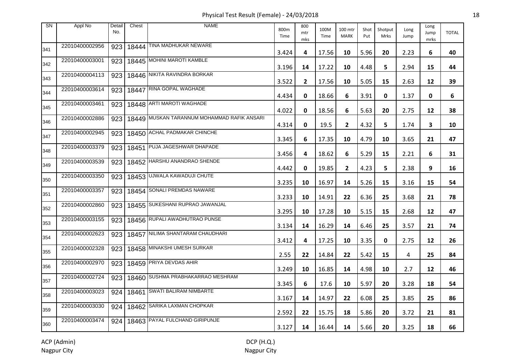Physical Test Result (Female) - 24/03/2018 18

| <b>SN</b> | Appl No        | Detail<br>No. | Chest | <b>NAME</b>                                 | 800m<br>Time | 800<br>mtr<br>mks | 100M<br>Time | 100 mtr<br><b>MARK</b> | Shot<br>Put | Shotput<br><b>Mrks</b> | Long<br>Jump | Long<br>Jump<br>mrks | <b>TOTAL</b> |
|-----------|----------------|---------------|-------|---------------------------------------------|--------------|-------------------|--------------|------------------------|-------------|------------------------|--------------|----------------------|--------------|
| 341       | 22010400002956 | 923           |       | 18444 TINA MADHUKAR NEWARE                  | 3.424        | 4                 | 17.56        | 10                     | 5.96        | 20                     | 2.23         | 6                    | 40           |
| 342       | 22010400003001 | 923           |       | 18445 MOHINI MAROTI KAMBLE                  | 3.196        | 14                | 17.22        | 10                     | 4.48        | 5                      | 2.94         | 15                   | 44           |
| 343       | 22010400004113 | 923           |       | 18446 NIKITA RAVINDRA BORKAR                | 3.522        | $\mathbf{2}$      | 17.56        | 10                     | 5.05        | 15                     | 2.63         | 12                   | 39           |
| 344       | 22010400003614 | 923           | 18447 | <b>RINA GOPAL WAGHADE</b>                   | 4.434        | 0                 | 18.66        | 6                      | 3.91        | $\mathbf{0}$           | 1.37         | 0                    | 6            |
| 345       | 22010400003461 | 923           |       | 18448 ARTI MAROTI WAGHADE                   | 4.022        | 0                 | 18.56        | 6                      | 5.63        | 20                     | 2.75         | 12                   | 38           |
| 346       | 22010400002886 | 923           |       | 18449 MUSKAN TARANNUM MOHAMMAD RAFIK ANSARI | 4.314        | 0                 | 19.5         | $\mathbf{2}$           | 4.32        | 5.                     | 1.74         | 3                    | 10           |
| 347       | 22010400002945 | 923           |       | 18450 ACHAL PADMAKAR CHINCHE                | 3.345        | 6                 | 17.35        | 10                     | 4.79        | 10                     | 3.65         | 21                   | 47           |
| 348       | 22010400003379 | 923           | 18451 | PUJA JAGESHWAR DHAPADE                      | 3.456        | 4                 | 18.62        | 6                      | 5.29        | 15                     | 2.21         | 6                    | 31           |
| 349       | 22010400003539 | 923           |       | 18452 HARSHU ANANDRAO SHENDE                | 4.442        | 0                 | 19.85        | $\mathbf{2}$           | 4.23        | 5                      | 2.38         | 9                    | 16           |
| 350       | 22010400003350 | 923           |       | 18453 UJWALA KAWADUJI CHUTE                 | 3.235        | 10                | 16.97        | 14                     | 5.26        | 15                     | 3.16         | 15                   | 54           |
| 351       | 22010400003357 |               |       | 923   18454 SONALI PREMDAS NAWARE           | 3.233        | 10                | 14.91        | 22                     | 6.36        | 25                     | 3.68         | 21                   | 78           |
| 352       | 22010400002860 | 923           |       | 18455 SUKESHANI RUPRAO JAWANJAL             | 3.295        | 10                | 17.28        | 10                     | 5.15        | 15                     | 2.68         | 12                   | 47           |
| 353       | 22010400003155 | 923           |       | 18456 RUPALI AWADHUTRAO PUNSE               | 3.134        | 14                | 16.29        | 14                     | 6.46        | 25                     | 3.57         | 21                   | 74           |
| 354       | 22010400002623 | 923           |       | 18457 NILIMA SHANTARAM CHAUDHARI            | 3.412        | 4                 | 17.25        | 10                     | 3.35        | 0                      | 2.75         | 12                   | 26           |
| 355       | 22010400002328 | 923           |       | 18458 MINAKSHI UMESH SURKAR                 | 2.55         | 22                | 14.84        | 22                     | 5.42        | 15                     | 4            | 25                   | 84           |
| 356       | 22010400002970 | 923           |       | 18459 PRIYA DEVDAS AHIR                     | 3.249        | 10                | 16.85        | 14                     | 4.98        | 10                     | 2.7          | 12                   | 46           |
| 357       | 22010400002724 | 923           |       | 18460 SUSHMA PRABHAKARRAO MESHRAM           | 3.345        | 6                 | 17.6         | 10                     | 5.97        | 20                     | 3.28         | 18                   | 54           |
| 358       | 22010400003023 | 924           |       | 18461 SWATI BALIRAM NIMBARTE                | 3.167        | 14                | 14.97        | 22                     | 6.08        | 25                     | 3.85         | 25                   | 86           |
| 359       | 22010400003030 | 924           |       | 18462 SARIKA LAXMAN CHOPKAR                 | 2.592        | 22                | 15.75        | 18                     | 5.86        | 20                     | 3.72         | 21                   | 81           |
| 360       | 22010400003474 | 924           |       | 18463 PAYAL FULCHAND GIRIPUNJE              | 3.127        | 14                | 16.44        | 14                     | 5.66        | 20                     | 3.25         | 18                   | 66           |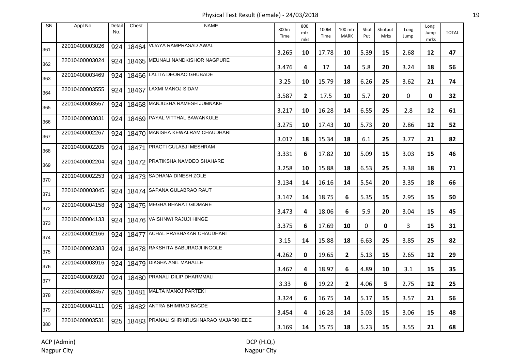Physical Test Result (Female) - 24/03/2018 19

| <b>SN</b> | Appl No        | Detail<br>No. | Chest | <b>NAME</b>                             | 800m<br>Time | 800<br>mtr<br>mks | 100M<br>Time | 100 mtr<br><b>MARK</b> | Shot<br>Put | Shotput<br>Mrks | Long<br>Jump | Long<br>Jump<br>mrks | <b>TOTAL</b> |
|-----------|----------------|---------------|-------|-----------------------------------------|--------------|-------------------|--------------|------------------------|-------------|-----------------|--------------|----------------------|--------------|
| 361       | 22010400003026 | 924           |       | 18464 VIJAYA RAMPRASAD AWAL             | 3.265        | 10                | 17.78        | 10                     | 5.39        | 15              | 2.68         | 12                   | 47           |
| 362       | 22010400003024 | 924           |       | 18465 MEUNALI NANDKISHOR NAGPURE        | 3.476        | 4                 | 17           | 14                     | 5.8         | 20              | 3.24         | 18                   | 56           |
| 363       | 22010400003469 | 924           |       | 18466 LALITA DEORAO GHUBADE             | 3.25         | 10                | 15.79        | 18                     | 6.26        | 25              | 3.62         | 21                   | 74           |
| 364       | 22010400003555 | 924           |       | 18467 LAXMI MANOJ SIDAM                 | 3.587        | $\mathbf{2}$      | 17.5         | 10                     | 5.7         | 20              | 0            | 0                    | 32           |
| 365       | 22010400003557 | 924           |       | 18468 MANJUSHA RAMESH JUMNAKE           | 3.217        | 10                | 16.28        | 14                     | 6.55        | 25              | 2.8          | 12                   | 61           |
| 366       | 22010400003031 | 924           |       | 18469 PAYAL VITTHAL BAWANKULE           | 3.275        | 10                | 17.43        | 10                     | 5.73        | 20              | 2.86         | 12                   | 52           |
| 367       | 22010400002267 | 924           |       | 18470 MANISHA KEWALRAM CHAUDHARI        | 3.017        | 18                | 15.34        | 18                     | 6.1         | 25              | 3.77         | 21                   | 82           |
| 368       | 22010400002205 | 924           |       | 18471 PRAGTI GULABJI MESHRAM            | 3.331        | 6                 | 17.82        | 10                     | 5.09        | 15              | 3.03         | 15                   | 46           |
| 369       | 22010400002204 | 924           |       | 18472 PRATIKSHA NAMDEO SHAHARE          | 3.258        | 10                | 15.88        | 18                     | 6.53        | 25              | 3.38         | 18                   | 71           |
| 370       | 22010400002253 | 924           |       | 18473 SADHANA DINESH ZOLE               | 3.134        | 14                | 16.16        | 14                     | 5.54        | 20              | 3.35         | 18                   | 66           |
| 371       | 22010400003045 | 924           |       | 18474 SAPANA GULABRAO RAUT              | 3.147        | 14                | 18.75        | 6                      | 5.35        | 15              | 2.95         | 15                   | 50           |
| 372       | 22010400004158 | 924           |       | 18475 MEGHA BHARAT GIDMARE              | 3.473        | 4                 | 18.06        | 6                      | 5.9         | 20              | 3.04         | 15                   | 45           |
| 373       | 22010400004133 | 924           |       | 18476 VAISHNWI RAJUJI HINGE             | 3.375        | 6                 | 17.69        | 10                     | 0           | 0               | 3            | 15                   | 31           |
| 374       | 22010400002166 | 924           |       | 18477 ACHAL PRABHAKAR CHAUDHARI         | 3.15         | 14                | 15.88        | 18                     | 6.63        | 25              | 3.85         | 25                   | 82           |
| 375       | 22010400002383 | 924           |       | 18478 RAKSHITA BABURAOJI INGOLE         | 4.262        | 0                 | 19.65        | $\mathbf{2}$           | 5.13        | 15              | 2.65         | 12                   | 29           |
| 376       | 22010400003916 | 924           |       | 18479 DIKSHA ANIL MAHALLE               | 3.467        | 4                 | 18.97        | 6                      | 4.89        | 10              | 3.1          | 15                   | 35           |
| 377       | 22010400003920 | 924           |       | 18480 PRANALI DILIP DHARMMALI           | 3.33         | 6                 | 19.22        | $\mathbf{2}$           | 4.06        | 5               | 2.75         | 12                   | 25           |
| 378       | 22010400003457 | 925           |       | 18481 MALTA MANOJ PARTEKI               | 3.324        | 6                 | 16.75        | 14                     | 5.17        | 15              | 3.57         | 21                   | 56           |
| 379       | 22010400004111 | 925           |       | 18482 ANTRA BHIMRAO BAGDE               | 3.454        | 4                 | 16.28        | 14                     | 5.03        | 15              | 3.06         | 15                   | 48           |
| 380       | 22010400003531 | 925           |       | 18483 PRANALI SHRIKRUSHNARAO MAJARKHEDE | 3.169        | 14                | 15.75        | 18                     | 5.23        | 15              | 3.55         | 21                   | 68           |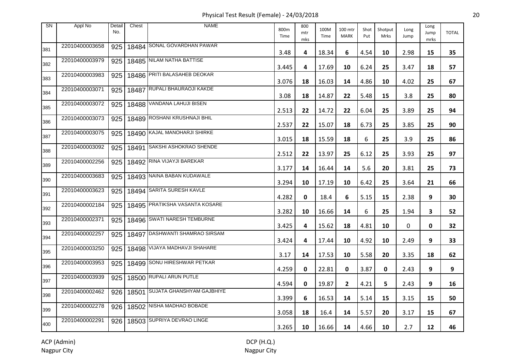Physical Test Result (Female) - 24/03/2018 20

| <b>SN</b> | Appl No        | Detail<br>No. | Chest | <b>NAME</b>                     | 800m<br>Time | 800<br>mtr<br>mks | 100M<br>Time | 100 mtr<br><b>MARK</b> | Shot<br>Put | Shotput<br><b>Mrks</b> | Long<br>Jump | Long<br>Jump<br>mrks | <b>TOTAL</b> |
|-----------|----------------|---------------|-------|---------------------------------|--------------|-------------------|--------------|------------------------|-------------|------------------------|--------------|----------------------|--------------|
| 381       | 22010400003658 | 925           |       | 18484 SONAL GOVARDHAN PAWAR     | 3.48         | 4                 | 18.34        | 6                      | 4.54        | 10                     | 2.98         | 15                   | 35           |
| 382       | 22010400003979 | 925           |       | 18485 NILAM NATHA BATTISE       | 3.445        | 4                 | 17.69        | 10                     | 6.24        | 25                     | 3.47         | 18                   | 57           |
| 383       | 22010400003983 | 925           |       | 18486 PRITI BALASAHEB DEOKAR    | 3.076        | 18                | 16.03        | 14                     | 4.86        | 10                     | 4.02         | 25                   | 67           |
| 384       | 22010400003071 | 925           |       | 18487 RUPALI BHAURAOJI KAKDE    | 3.08         | 18                | 14.87        | 22                     | 5.48        | 15                     | 3.8          | 25                   | 80           |
| 385       | 22010400003072 | 925           |       | 18488 VANDANA LAHUJI BISEN      | 2.513        | 22                | 14.72        | 22                     | 6.04        | 25                     | 3.89         | 25                   | 94           |
| 386       | 22010400003073 | 925           |       | 18489 ROSHANI KRUSHNAJI BHIL    | 2.537        | 22                | 15.07        | 18                     | 6.73        | 25                     | 3.85         | 25                   | 90           |
| 387       | 22010400003075 | 925           |       | 18490 KAJAL MANOHARJI SHIRKE    | 3.015        | 18                | 15.59        | 18                     | 6           | 25                     | 3.9          | 25                   | 86           |
| 388       | 22010400003092 | 925           | 18491 | <b>SAKSHI ASHOKRAO SHENDE</b>   | 2.512        | 22                | 13.97        | 25                     | 6.12        | 25                     | 3.93         | 25                   | 97           |
| 389       | 22010400002256 | 925           |       | 18492 RINA VIJAYJI BAREKAR      | 3.177        | 14                | 16.44        | 14                     | 5.6         | 20                     | 3.81         | 25                   | 73           |
| 390       | 22010400003683 | 925           |       | 18493 NAINA BABAN KUDAWALE      | 3.294        | 10                | 17.19        | 10                     | 6.42        | 25                     | 3.64         | 21                   | 66           |
| 391       | 22010400003623 | 925           |       | 18494 SARITA SURESH KAVLE       | 4.282        | 0                 | 18.4         | 6                      | 5.15        | 15                     | 2.38         | 9                    | 30           |
| 392       | 22010400002184 | 925           |       | 18495 PRATIKSHA VASANTA KOSARE  | 3.282        | 10                | 16.66        | 14                     | 6           | 25                     | 1.94         | 3                    | 52           |
| 393       | 22010400002371 | 925           |       | 18496 SWATI NARESH TEMBURNE     | 3.425        | 4                 | 15.62        | 18                     | 4.81        | 10                     | 0            | 0                    | 32           |
| 394       | 22010400002257 | 925           |       | 18497 DASHWANTI SHAMRAO SIRSAM  | 3.424        | 4                 | 17.44        | 10                     | 4.92        | 10                     | 2.49         | 9                    | 33           |
| 395       | 22010400003250 | 925           |       | 18498 VIJAYA MADHAVJI SHAHARE   | 3.17         | 14                | 17.53        | 10                     | 5.58        | 20                     | 3.35         | 18                   | 62           |
| 396       | 22010400003953 | 925           |       | 18499 SONU HIRESHWAR PETKAR     | 4.259        | 0                 | 22.81        | 0                      | 3.87        | 0                      | 2.43         | 9                    | 9            |
| 397       | 22010400003939 | 925           |       | 18500 RUPALI ARUN PUTLE         | 4.594        | 0                 | 19.87        | $\mathbf{2}$           | 4.21        | 5.                     | 2.43         | 9                    | 16           |
| 398       | 22010400002462 | 926           |       | 18501 SUJATA GHANSHYAM GAJBHIYE | 3.399        | 6                 | 16.53        | 14                     | 5.14        | 15                     | 3.15         | 15                   | 50           |
| 399       | 22010400002278 | 926           |       | 18502 NISHA MADHAO BOBADE       | 3.058        | 18                | 16.4         | 14                     | 5.57        | 20                     | 3.17         | 15                   | 67           |
| 400       | 22010400002291 | 926           |       | 18503 SUPRIYA DEVRAO LINGE      | 3.265        | 10                | 16.66        | 14                     | 4.66        | 10                     | 2.7          | 12                   | 46           |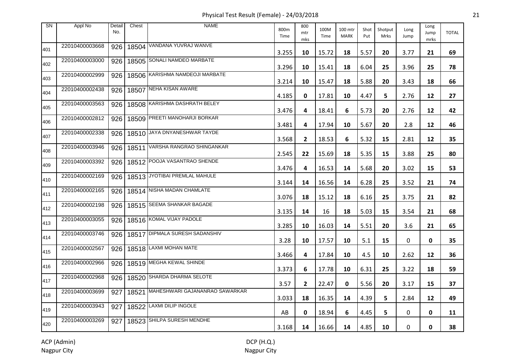Physical Test Result (Female) - 24/03/2018 21

| <b>SN</b> | Appl No        | Detail<br>No. | Chest | <b>NAME</b>                          | 800m<br>Time | 800<br>mtr<br>mks | 100M<br>Time | 100 mtr<br><b>MARK</b> | Shot<br>Put | Shotput<br>Mrks | Long<br>Jump | Long<br>Jump<br>mrks | <b>TOTAL</b> |
|-----------|----------------|---------------|-------|--------------------------------------|--------------|-------------------|--------------|------------------------|-------------|-----------------|--------------|----------------------|--------------|
| 401       | 22010400003668 | 926           |       | 18504 VANDANA YUVRAJ WANVE           | 3.255        | 10                | 15.72        | 18                     | 5.57        | 20              | 3.77         | 21                   | 69           |
| 402       | 22010400003000 | 926           |       | 18505 SONALI NAMDEO MARBATE          | 3.296        | 10                | 15.41        | 18                     | 6.04        | 25              | 3.96         | 25                   | 78           |
| 403       | 22010400002999 | 926           |       | 18506 KARISHMA NAMDEOJI MARBATE      | 3.214        | 10                | 15.47        | 18                     | 5.88        | 20              | 3.43         | 18                   | 66           |
| 404       | 22010400002438 | 926           | 18507 | NEHA KISAN AWARE                     | 4.185        | 0                 | 17.81        | 10                     | 4.47        | 5               | 2.76         | 12                   | 27           |
| 405       | 22010400003563 | 926           |       | 18508 KARISHMA DASHRATH BELEY        | 3.476        | 4                 | 18.41        | 6                      | 5.73        | 20              | 2.76         | 12                   | 42           |
| 406       | 22010400002812 | 926           |       | 18509 PREETI MANOHARJI BORKAR        | 3.481        | 4                 | 17.94        | 10                     | 5.67        | 20              | 2.8          | 12                   | 46           |
| 407       | 22010400002338 | 926           |       | 18510 JAYA DNYANESHWAR TAYDE         | 3.568        | $\mathbf{2}$      | 18.53        | 6                      | 5.32        | 15              | 2.81         | 12                   | 35           |
| 408       | 22010400003946 | 926           | 18511 | VARSHA RANGRAO SHINGANKAR            | 2.545        | 22                | 15.69        | 18                     | 5.35        | 15              | 3.88         | 25                   | 80           |
| 409       | 22010400003392 | 926           |       | 18512 POOJA VASANTRAO SHENDE         | 3.476        | 4                 | 16.53        | 14                     | 5.68        | 20              | 3.02         | 15                   | 53           |
| 410       | 22010400002169 | 926           |       | 18513 JYOTIBAI PREMLAL MAHULE        | 3.144        | 14                | 16.56        | 14                     | 6.28        | 25              | 3.52         | 21                   | 74           |
| 411       | 22010400002165 | 926           |       | 18514 NISHA MADAN CHAMLATE           | 3.076        | 18                | 15.12        | 18                     | 6.16        | 25              | 3.75         | 21                   | 82           |
| 412       | 22010400002198 | 926           |       | 18515 SEEMA SHANKAR BAGADE           | 3.135        | 14                | 16           | 18                     | 5.03        | 15              | 3.54         | 21                   | 68           |
| 413       | 22010400003055 | 926           |       | 18516 KOMAL VIJAY PADOLE             | 3.285        | 10                | 16.03        | 14                     | 5.51        | 20              | 3.6          | 21                   | 65           |
| 414       | 22010400003746 | 926           |       | 18517 DIPMALA SURESH SADANSHIV       | 3.28         | 10                | 17.57        | 10                     | 5.1         | 15              | 0            | 0                    | 35           |
| 415       | 22010400002567 | 926           |       | 18518 LAXMI MOHAN MATE               | 3.466        | 4                 | 17.84        | 10                     | 4.5         | 10              | 2.62         | 12                   | 36           |
| 416       | 22010400002966 | 926           |       | 18519 MEGHA KEWAL SHINDE             | 3.373        | 6                 | 17.78        | 10                     | 6.31        | 25              | 3.22         | 18                   | 59           |
| 417       | 22010400002968 | 926           |       | 18520 SHARDA DHARMA SELOTE           | 3.57         | $\mathbf{2}$      | 22.47        | 0                      | 5.56        | 20              | 3.17         | 15                   | 37           |
| 418       | 22010400003699 | 927           |       | 18521 MAHESHWARI GAJANANRAO SAWARKAR | 3.033        | 18                | 16.35        | 14                     | 4.39        | 5               | 2.84         | 12                   | 49           |
| 419       | 22010400003943 | 927           |       | 18522 LAXMI DILIP INGOLE             | AB           | 0                 | 18.94        | 6                      | 4.45        | 5               | 0            | 0                    | 11           |
| 420       | 22010400003269 | 927           |       | 18523 SHILPA SURESH MENDHE           | 3.168        | 14                | 16.66        | 14                     | 4.85        | 10              | 0            | 0                    | 38           |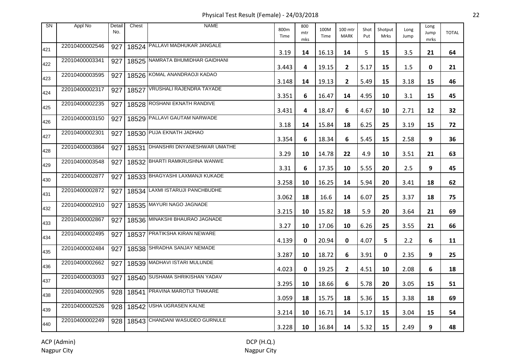Physical Test Result (Female) - 24/03/2018 22

| <b>SN</b> | Appl No        | Detail<br>No. | Chest | <b>NAME</b>                       | 800m<br>Time | 800<br>mtr<br>mks | 100M<br>Time | 100 mtr<br><b>MARK</b>  | Shot<br>Put | Shotput<br>Mrks | Long<br>Jump | Long<br>Jump<br>mrks | <b>TOTAL</b> |
|-----------|----------------|---------------|-------|-----------------------------------|--------------|-------------------|--------------|-------------------------|-------------|-----------------|--------------|----------------------|--------------|
| 421       | 22010400002546 | 927           |       | 18524 PALLAVI MADHUKAR JANGALE    | 3.19         | 14                | 16.13        | 14                      | 5           | 15              | 3.5          | 21                   | 64           |
| 422       | 22010400003341 | 927           |       | 18525 NAMRATA BHUMIDHAR GAIDHANI  | 3.443        | 4                 | 19.15        | $\overline{2}$          | 5.17        | 15              | 1.5          | 0                    | 21           |
| 423       | 22010400003595 | 927           |       | 18526 KOMAL ANANDRAOJI KADAO      | 3.148        | 14                | 19.13        | $\overline{2}$          | 5.49        | 15              | 3.18         | 15                   | 46           |
| 424       | 22010400002317 | 927           |       | 18527 VRUSHALI RAJENDRA TAYADE    | 3.351        | 6                 | 16.47        | 14                      | 4.95        | 10              | 3.1          | 15                   | 45           |
| 425       | 22010400002235 | 927           |       | 18528 ROSHANI EKNATH RANDIVE      | 3.431        | 4                 | 18.47        | 6                       | 4.67        | 10              | 2.71         | 12                   | 32           |
| 426       | 22010400003150 | 927           |       | 18529 PALLAVI GAUTAM NARWADE      | 3.18         | 14                | 15.84        | 18                      | 6.25        | 25              | 3.19         | 15                   | 72           |
| 427       | 22010400002301 | 927           |       | 18530 PUJA EKNATH JADHAO          | 3.354        | 6                 | 18.34        | 6                       | 5.45        | 15              | 2.58         | 9                    | 36           |
| 428       | 22010400003864 | 927           |       | 18531 DHANSHRI DNYANESHWAR UMATHE | 3.29         | 10                | 14.78        | 22                      | 4.9         | 10              | 3.51         | 21                   | 63           |
| 429       | 22010400003548 | 927           |       | 18532 BHARTI RAMKRUSHNA WANWE     | 3.31         | 6                 | 17.35        | 10                      | 5.55        | 20              | 2.5          | 9                    | 45           |
| 430       | 22010400002877 | 927           |       | 18533 BHAGYASHI LAXMANJI KUKADE   | 3.258        | 10                | 16.25        | 14                      | 5.94        | 20              | 3.41         | 18                   | 62           |
| 431       | 22010400002872 | 927           |       | 18534 LAXMI ISTARUJI PANCHBUDHE   | 3.062        | 18                | 16.6         | 14                      | 6.07        | 25              | 3.37         | 18                   | 75           |
| 432       | 22010400002910 | 927           |       | 18535 MAYURI NAGO JAGNADE         | 3.215        | 10                | 15.82        | 18                      | 5.9         | 20              | 3.64         | 21                   | 69           |
| 433       | 22010400002867 | 927           |       | 18536 MINAKSHI BHAURAO JAGNADE    | 3.27         | 10                | 17.06        | 10                      | 6.26        | 25              | 3.55         | 21                   | 66           |
| 434       | 22010400002495 | 927           |       | 18537 PRATIKSHA KIRAN NEWARE      | 4.139        | 0                 | 20.94        | 0                       | 4.07        | 5               | 2.2          | 6                    | 11           |
| 435       | 22010400002484 | 927           |       | 18538 SHRADHA SANJAY NEMADE       | 3.287        | 10                | 18.72        | 6                       | 3.91        | 0               | 2.35         | 9                    | 25           |
| 436       | 22010400002662 | 927           |       | 18539 MADHAVI ISTARI MULUNDE      | 4.023        | 0                 | 19.25        | $\overline{\mathbf{2}}$ | 4.51        | 10              | 2.08         | 6                    | 18           |
| 437       | 22010400003093 | 927           |       | 18540 SUSHAMA SHRIKISHAN YADAV    | 3.295        | 10                | 18.66        | 6                       | 5.78        | 20              | 3.05         | 15                   | 51           |
| 438       | 22010400002905 | 928           |       | 18541 PRAVINA MAROTIJI THAKARE    | 3.059        | 18                | 15.75        | 18                      | 5.36        | 15              | 3.38         | 18                   | 69           |
| 439       | 22010400002526 | 928           |       | 18542 USHA UGRASEN KALNE          | 3.214        | 10                | 16.71        | 14                      | 5.17        | 15              | 3.04         | 15                   | 54           |
| 440       | 22010400002249 | 928           |       | 18543 CHANDANI WASUDEO GURNULE    | 3.228        | 10                | 16.84        | 14                      | 5.32        | 15              | 2.49         | 9                    | 48           |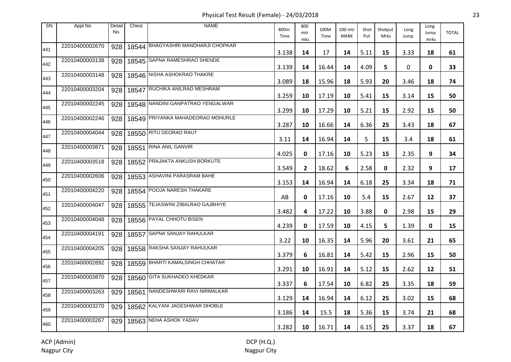Physical Test Result (Female) - 24/03/2018 23

| <b>SN</b> | Appl No        | Detail<br>No. | Chest | <b>NAME</b>                        | 800m<br>Time | 800<br>mtr<br>mks | 100M<br>Time | 100 mtr<br><b>MARK</b> | Shot<br>Put | Shotput<br>Mrks | Long<br>Jump | Long<br>Jump<br>mrks | <b>TOTAL</b> |
|-----------|----------------|---------------|-------|------------------------------------|--------------|-------------------|--------------|------------------------|-------------|-----------------|--------------|----------------------|--------------|
| 441       | 22010400002670 | 928           |       | 18544 BHAGYASHRI MANOHARJI CHOPKAR | 3.138        | 14                | 17           | 14                     | 5.11        | 15              | 3.33         | 18                   | 61           |
| 442       | 22010400003138 | 928           |       | 18545 SAPNA RAMESHRAO SHENDE       | 3.139        | 14                | 16.44        | 14                     | 4.09        | 5.              | 0            | 0                    | 33           |
| 443       | 22010400003148 | 928           |       | 18546 NISHA ASHOKRAO THAKRE        | 3.089        | 18                | 15.96        | 18                     | 5.93        | 20              | 3.46         | 18                   | 74           |
| 444       | 22010400003204 | 928           | 18547 | RUCHIKA ANILRAO MESHRAM            | 3.259        | 10                | 17.19        | 10                     | 5.41        | 15              | 3.14         | 15                   | 50           |
| 445       | 22010400002245 | 928           |       | 18548 NANDINI GANPATRAO YENGALWAR  | 3.299        | 10                | 17.29        | 10                     | 5.21        | 15              | 2.92         | 15                   | 50           |
| 446       | 22010400002246 | 928           |       | 18549 PRIYANKA MAHADEORAO MOHURLE  | 3.287        | 10                | 16.66        | 14                     | 6.36        | 25              | 3.43         | 18                   | 67           |
| 447       | 22010400004044 | 928           |       | 18550 RITU DEORAO RAUT             | 3.11         | 14                | 16.94        | 14                     | 5           | 15              | 3.4          | 18                   | 61           |
| 448       | 22010400003871 | 928           | 18551 | <b>RINA ANIL GANVIR</b>            | 4.025        | 0                 | 17.16        | 10                     | 5.23        | 15              | 2.35         | 9                    | 34           |
| 449       | 22010400003518 | 928           |       | 18552 PRAJAKTA ANKUSH BORKUTE      | 3.549        | $\mathbf{2}$      | 18.62        | 6                      | 2.58        | 0               | 2.32         | 9                    | 17           |
| 450       | 22010400002606 | 928           |       | 18553 ASHAVINI PARASRAM BAHE       | 3.153        | 14                | 16.94        | 14                     | 6.18        | 25              | 3.34         | 18                   | 71           |
| 451       | 22010400004220 | 928           |       | 18554 POOJA NARESH THAKARE         | AB           | 0                 | 17.16        | 10                     | 5.4         | 15              | 2.67         | 12                   | 37           |
| 452       | 22010400004047 | 928           |       | 18555 TEJASWINI ZIBALRAO GAJBHIYE  | 3.482        | 4                 | 17.22        | 10                     | 3.88        | 0               | 2.98         | 15                   | 29           |
| 453       | 22010400004048 | 928           |       | 18556 PAYAL CHHOTU BISEN           | 4.239        | 0                 | 17.59        | 10                     | 4.15        | 5               | 1.39         | 0                    | 15           |
| 454       | 22010400004191 | 928           |       | 18557 SAPNA SANJAY RAHULKAR        | 3.22         | 10                | 16.35        | 14                     | 5.96        | 20              | 3.61         | 21                   | 65           |
| 455       | 22010400004205 | 928           |       | 18558 RAKSHA SANJAY RAHULKAR       | 3.379        | 6                 | 16.81        | 14                     | 5.42        | 15              | 2.96         | 15                   | 50           |
| 456       | 22010400002892 | 928           |       | 18559 BHARTI KAMALSINGH CHHATAR    | 3.291        | 10                | 16.91        | 14                     | 5.12        | 15              | 2.62         | 12                   | 51           |
| 457       | 22010400003870 | 928           |       | 18560 GITA SUKHADEO KHEDKAR        | 3.337        | 6                 | 17.54        | 10                     | 6.82        | 25              | 3.35         | 18                   | 59           |
| 458       | 22010400003263 | 929           |       | 18561 NANDESHWARI RAVI NIRMALKAR   | 3.129        | 14                | 16.94        | 14                     | 6.12        | 25              | 3.02         | 15                   | 68           |
| 459       | 22010400003270 | 929           |       | 18562 KALYANI JAGESHWAR DHOBLE     | 3.186        | 14                | 15.5         | 18                     | 5.36        | 15              | 3.74         | 21                   | 68           |
| 460       | 22010400003267 | 929           |       | 18563 NEHA ASHOK YADAV             | 3.282        | 10                | 16.71        | 14                     | 6.15        | 25              | 3.37         | 18                   | 67           |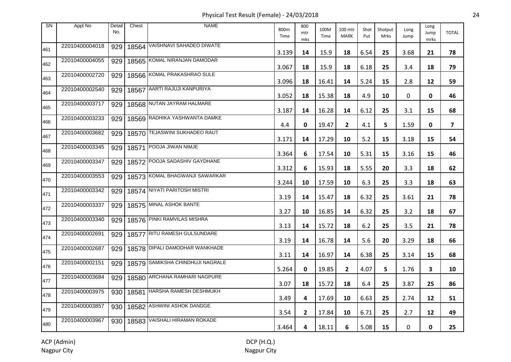Physical Test Result (Female) - 24/03/2018 24

| <b>SN</b> | Appl No        | Detail<br>No. | Chest | <b>NAME</b>                      | 800m<br>Time | 800<br>mtr<br>mks | 100M<br>Time | 100 mtr<br><b>MARK</b> | Shot<br>Put | Shotput<br>Mrks | Long<br>Jump | Long<br>Jump<br>mrks | <b>TOTAL</b> |
|-----------|----------------|---------------|-------|----------------------------------|--------------|-------------------|--------------|------------------------|-------------|-----------------|--------------|----------------------|--------------|
| 461       | 22010400004018 | 929           |       | 18564 VAISHNAVI SAHADEO DIWATE   | 3.139        | 14                | 15.9         | 18                     | 6.54        | 25              | 3.68         | 21                   | 78           |
| 462       | 22010400004055 | 929           |       | 18565 KOMAL NIRANJAN DAMODAR     | 3.067        | 18                | 15.9         | 18                     | 6.18        | 25              | 3.4          | 18                   | 79           |
| 463       | 22010400002720 | 929           |       | 18566 KOMAL PRAKASHRAO SULE      | 3.096        | 18                | 16.41        | 14                     | 5.24        | 15              | 2.8          | 12                   | 59           |
| 464       | 22010400002540 | 929           |       | 18567 AARTI RAJUJI KANPURIYA     | 3.052        | 18                | 15.38        | 18                     | 4.9         | 10              | 0            | 0                    | 46           |
| 465       | 22010400003717 | 929           |       | 18568 NUTAN JAYRAM HALMARE       | 3.187        | 14                | 16.28        | 14                     | 6.12        | 25              | 3.1          | 15                   | 68           |
| 466       | 22010400003233 | 929           |       | 18569 RADHIKA YASHWANTA DAMKE    | 4.4          | 0                 | 19.47        | $\mathbf{2}$           | 4.1         | 5               | 1.59         | 0                    | 7            |
| 467       | 22010400003682 | 929           |       | 18570 TEJASWINI SUKHADEO RAUT    | 3.171        | 14                | 17.29        | 10                     | 5.2         | 15              | 3.18         | 15                   | 54           |
| 468       | 22010400003345 | 929           | 18571 | POOJA JIWAN NIMJE                | 3.364        | 6                 | 17.54        | 10                     | 5.31        | 15              | 3.16         | 15                   | 46           |
| 469       | 22010400003347 | 929           |       | 18572 POOJA SADASHIV GAYDHANE    | 3.312        | 6                 | 15.93        | 18                     | 5.55        | 20              | 3.3          | 18                   | 62           |
| 470       | 22010400003553 | 929           |       | 18573 KOMAL BHAGWANJI SAWARKAR   | 3.244        | 10                | 17.59        | 10                     | 6.3         | 25              | 3.3          | 18                   | 63           |
| 471       | 22010400003342 | 929           |       | 18574 NIYATI PARITOSH MISTRI     | 3.19         | 14                | 15.47        | 18                     | 6.32        | 25              | 3.61         | 21                   | 78           |
| 472       | 22010400003337 | 929           |       | 18575 MINAL ASHOK BANTE          | 3.27         | 10                | 16.85        | 14                     | 6.32        | 25              | 3.2          | 18                   | 67           |
| 473       | 22010400003340 | 929           |       | 18576 PINKI RAMVILAS MISHRA      | 3.13         | 14                | 15.72        | 18                     | 6.2         | 25              | 3.5          | 21                   | 78           |
| 474       | 22010400002691 | 929           |       | 18577 RITU RAMESH GULSUNDARE     | 3.19         | 14                | 16.78        | 14                     | 5.6         | 20              | 3.29         | 18                   | 66           |
| 475       | 22010400002687 | 929           |       | 18578 DIPALI DAMODHAR WANKHADE   | 3.11         | 14                | 16.97        | 14                     | 6.38        | 25              | 3.14         | 15                   | 68           |
| 476       | 22010400002151 | 929           |       | 18579 SAMIKSHA CHINDHUJI NAGRALE | 5.264        | 0                 | 19.85        | $\mathbf{2}$           | 4.07        | 5               | 1.76         | 3                    | 10           |
| 477       | 22010400003684 | 929           |       | 18580 ARCHANA RAMHARI NAGPURE    | 3.07         | 18                | 15.72        | 18                     | 6.4         | 25              | 3.87         | 25                   | 86           |
| 478       | 22010400003975 | 930           |       | 18581 HARSHA RAMESH DESHMUKH     | 3.49         | 4                 | 17.69        | 10                     | 6.63        | 25              | 2.74         | 12                   | 51           |
| 479       | 22010400003857 | 930           |       | 18582 ASHWINI ASHOK DANDGE       | 3.54         | $\mathbf{2}$      | 17.84        | 10                     | 6.71        | 25              | 2.7          | 12                   | 49           |
| 480       | 22010400003967 | 930           |       | 18583 VAISHALI HIRAMAN ROKADE    | 3.464        | 4                 | 18.11        | 6                      | 5.08        | 15              | 0            | 0                    | 25           |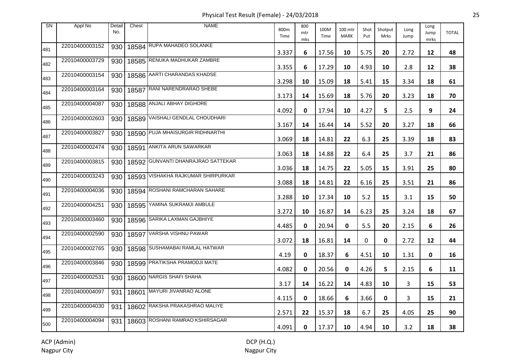Physical Test Result (Female) - 24/03/2018 25

| <b>SN</b> | Appl No        | Detail<br>No. | Chest | <b>NAME</b>                        | 800m<br>Time | 800<br>mtr<br>mks | 100M<br>Time | 100 mtr<br><b>MARK</b> | Shot<br>Put | Shotput<br><b>Mrks</b> | Long<br>Jump | Long<br>Jump<br>mrks | <b>TOTAL</b> |
|-----------|----------------|---------------|-------|------------------------------------|--------------|-------------------|--------------|------------------------|-------------|------------------------|--------------|----------------------|--------------|
| 481       | 22010400003152 | 930           |       | 18584 RUPA MAHADEO SOLANKE         | 3.337        | 6                 | 17.56        | 10                     | 5.75        | 20                     | 2.72         | 12                   | 48           |
| 482       | 22010400003729 | 930           |       | 18585 RENUKA MADHUKAR ZAMBRE       | 3.355        | 6                 | 17.29        | 10                     | 4.93        | 10                     | 2.8          | 12                   | 38           |
| 483       | 22010400003154 | 930           |       | 18586 ARTI CHARANDAS KHADSE        | 3.298        | 10                | 15.09        | 18                     | 5.41        | 15                     | 3.34         | 18                   | 61           |
| 484       | 22010400003164 | 930           | 18587 | RANI NARENDRARAO SHEBE             | 3.173        | 14                | 15.69        | 18                     | 5.76        | 20                     | 3.23         | 18                   | 70           |
| 485       | 22010400004087 | 930           |       | 18588 ANJALI ABHAY DIGHORE         | 4.092        | 0                 | 17.94        | 10                     | 4.27        | 5.                     | 2.5          | 9                    | 24           |
| 486       | 22010400002603 | 930           |       | 18589 VAISHALI GENDLAL CHOUDHARI   | 3.167        | 14                | 16.44        | 14                     | 5.52        | 20                     | 3.27         | 18                   | 66           |
| 487       | 22010400003827 | 930           |       | 18590 PUJA MHAISURGIR RIDHNARTHI   | 3.069        | 18                | 14.81        | 22                     | 6.3         | 25                     | 3.39         | 18                   | 83           |
| 488       | 22010400002474 | 930           | 18591 | <b>ANKITA ARUN SAWARKAR</b>        | 3.063        | 18                | 14.88        | 22                     | 6.4         | 25                     | 3.7          | 21                   | 86           |
| 489       | 22010400003815 | 930           |       | 18592 GUNVANTI DHANRAJRAO SATTEKAR | 3.036        | 18                | 14.75        | 22                     | 5.05        | 15                     | 3.91         | 25                   | 80           |
| 490       | 22010400003243 | 930           |       | 18593 VISHAKHA RAJKUMAR SHIRPURKAR | 3.088        | 18                | 14.81        | 22                     | 6.16        | 25                     | 3.51         | 21                   | 86           |
| 491       | 22010400004036 | 930           |       | 18594 ROSHANI RAMCHARAN SAHARE     | 3.288        | 10                | 17.34        | 10                     | 5.2         | 15                     | 3.1          | 15                   | 50           |
| 492       | 22010400004251 | 930           |       | 18595 YAMINA SUKRAMJI AMBULE       | 3.272        | 10                | 16.87        | 14                     | 6.23        | 25                     | 3.24         | 18                   | 67           |
| 493       | 22010400003460 | 930           |       | 18596 SARIKA LAXMAN GAJBHIYE       | 4.485        | 0                 | 20.94        | 0                      | 5.5         | 20                     | 2.15         | 6                    | 26           |
| 494       | 22010400002590 | 930           |       | 18597 VARSHA VISHNU PAWAR          | 3.072        | 18                | 16.81        | 14                     | 0           | 0                      | 2.72         | 12                   | 44           |
| 495       | 22010400002765 | 930           |       | 18598 SUSHAMABAI RAMLAL HATWAR     | 4.19         | 0                 | 18.37        | 6                      | 4.51        | 10                     | 1.31         | 0                    | 16           |
| 496       | 22010400003846 | 930           |       | 18599 PRATIKSHA PRAMODJI MATE      | 4.082        | 0                 | 20.56        | 0                      | 4.26        | 5                      | 2.15         | 6                    | 11           |
| 497       | 22010400002531 | 930           |       | 18600 NARGIS SHAFI SHAHA           | 3.17         | 14                | 16.22        | 14                     | 4.83        | 10                     | 3            | 15                   | 53           |
| 498       | 22010400004097 | 931           |       | 18601 MAYURI JIVANRAO ALONE        | 4.115        | 0                 | 18.66        | 6                      | 3.66        | 0                      | 3            | 15                   | 21           |
| 499       | 22010400004030 | 931           |       | 18602 RAKSHA PRAKASHRAO MALIYE     | 2.571        | 22                | 15.37        | 18                     | 6.7         | 25                     | 4.05         | 25                   | 90           |
| 500       | 22010400004094 | 931           |       | 18603 ROSHANI RAMRAO KSHIRSAGAR    | 4.091        | 0                 | 17.37        | 10                     | 4.94        | 10                     | 3.2          | 18                   | 38           |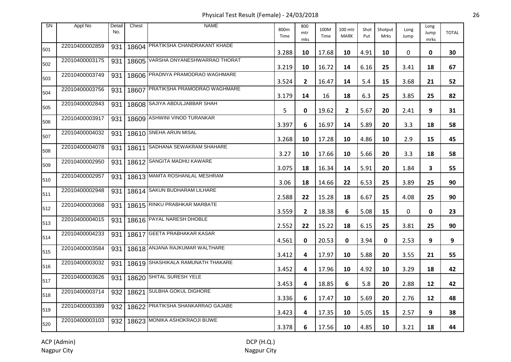Physical Test Result (Female) - 24/03/2018 26

| <b>SN</b> | Appl No        | Detail<br>No. | Chest | <b>NAME</b>                       | 800m<br>Time | 800<br>mtr<br>mks | 100M<br>Time | 100 mtr<br><b>MARK</b> | Shot<br>Put | Shotput<br><b>Mrks</b> | Long<br>Jump | Long<br>Jump<br>mrks | <b>TOTAL</b> |
|-----------|----------------|---------------|-------|-----------------------------------|--------------|-------------------|--------------|------------------------|-------------|------------------------|--------------|----------------------|--------------|
| 501       | 22010400002859 | 931           |       | 18604 PRATIKSHA CHANDRAKANT KHADE | 3.288        | 10                | 17.68        | 10                     | 4.91        | 10                     | 0            | 0                    | 30           |
| 502       | 22010400003175 | 931           | 18605 | VARSHA DNYANESHWARRAO THORAT      | 3.219        | 10                | 16.72        | 14                     | 6.16        | 25                     | 3.41         | 18                   | 67           |
| 503       | 22010400003749 | 931           |       | 18606 PRADNYA PRAMODRAO WAGHMARE  | 3.524        | $\mathbf{2}$      | 16.47        | 14                     | 5.4         | 15                     | 3.68         | 21                   | 52           |
| 504       | 22010400003756 | 931           | 18607 | PRATIKSHA PRAMODRAO WAGHMARE      | 3.179        | 14                | 16           | 18                     | 6.3         | 25                     | 3.85         | 25                   | 82           |
| 505       | 22010400002843 | 931           |       | 18608 SAJIYA ABDULJABBAR SHAH     | 5            | 0                 | 19.62        | $\mathbf{2}$           | 5.67        | 20                     | 2.41         | 9                    | 31           |
| 506       | 22010400003917 | 931           |       | 18609 ASHWINI VINOD TURANKAR      | 3.397        | 6                 | 16.97        | 14                     | 5.89        | 20                     | 3.3          | 18                   | 58           |
| 507       | 22010400004032 | 931           |       | 18610 SNEHA ARUN MISAL            | 3.268        | 10                | 17.28        | 10                     | 4.86        | 10                     | 2.9          | 15                   | 45           |
| 508       | 22010400004078 | 931           | 18611 | SADHANA SEWAKRAM SHAHARE          | 3.27         | 10                | 17.66        | 10                     | 5.66        | 20                     | 3.3          | 18                   | 58           |
| 509       | 22010400002950 | 931           |       | 18612 SANGITA MADHU KAWARE        | 3.075        | 18                | 16.34        | 14                     | 5.91        | 20                     | 1.84         | 3                    | 55           |
| 510       | 22010400002957 | 931           |       | 18613 MAMTA ROSHANLAL MESHRAM     | 3.06         | 18                | 14.66        | 22                     | 6.53        | 25                     | 3.89         | 25                   | 90           |
| 511       | 22010400002948 | 931           |       | 18614 SAKUN BUDHARAM LILHARE      | 2.588        | 22                | 15.28        | 18                     | 6.67        | 25                     | 4.08         | 25                   | 90           |
| 512       | 22010400003068 | 931           |       | 18615 RINKU PRABHKAR MARBATE      | 3.559        | $\mathbf{2}$      | 18.38        | 6                      | 5.08        | 15                     | 0            | 0                    | 23           |
| 513       | 22010400004015 | 931           |       | 18616 PAYAL NARESH DHOBLE         | 2.552        | 22                | 15.22        | 18                     | 6.15        | 25                     | 3.81         | 25                   | 90           |
| 514       | 22010400004233 | 931           |       | 18617 GEETA PRABHAKAR KASAR       | 4.561        | 0                 | 20.53        | 0                      | 3.94        | 0                      | 2.53         | 9                    | 9            |
| 515       | 22010400003584 | 931           |       | 18618 ANJANA RAJKUMAR WALTHARE    | 3.412        | 4                 | 17.97        | 10                     | 5.88        | 20                     | 3.55         | 21                   | 55           |
| 516       | 22010400003032 | 931           |       | 18619 SHASHIKALA RAMUNATH THAKARE | 3.452        | 4                 | 17.96        | 10                     | 4.92        | 10                     | 3.29         | 18                   | 42           |
| 517       | 22010400003626 | 931           |       | 18620 SHITAL SURESH YELE          | 3.453        | 4                 | 18.85        | 6                      | 5.8         | 20                     | 2.88         | 12                   | 42           |
| 518       | 22010400003714 | 932           |       | 18621 SULBHA GOKUL DIGHORE        | 3.336        | 6                 | 17.47        | 10                     | 5.69        | 20                     | 2.76         | 12                   | 48           |
| 519       | 22010400003389 | 932           |       | 18622 PRATIKSHA SHANKARRAO GAJABE | 3.423        | 4                 | 17.35        | 10                     | 5.05        | 15                     | 2.57         | 9                    | 38           |
| 520       | 22010400003103 | 932           |       | 18623 MONIKA ASHOKRAOJI BIJWE     | 3.378        | 6                 | 17.56        | 10                     | 4.85        | 10                     | 3.21         | 18                   | 44           |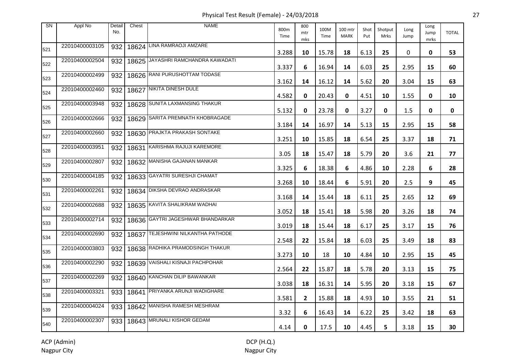Physical Test Result (Female) - 24/03/2018 27

| <b>SN</b> | Appl No        | Detail<br>No. | Chest | <b>NAME</b>                        | 800m<br>Time | 800<br>mtr<br>mks | 100M<br>Time | 100 mtr<br><b>MARK</b> | Shot<br>Put | Shotput<br>Mrks | Long<br>Jump | Long<br>Jump<br>mrks | <b>TOTAL</b> |
|-----------|----------------|---------------|-------|------------------------------------|--------------|-------------------|--------------|------------------------|-------------|-----------------|--------------|----------------------|--------------|
| 521       | 22010400003105 | 932           |       | 18624 LINA RAMRAOJI AMZARE         | 3.288        | 10                | 15.78        | 18                     | 6.13        | 25              | 0            | 0                    | 53           |
| 522       | 22010400002504 | 932           |       | 18625 JAYASHRI RAMCHANDRA KAWADATI | 3.337        | 6                 | 16.94        | 14                     | 6.03        | 25              | 2.95         | 15                   | 60           |
| 523       | 22010400002499 | 932           |       | 18626 RANI PURUSHOTTAM TODASE      | 3.162        | 14                | 16.12        | 14                     | 5.62        | 20              | 3.04         | 15                   | 63           |
| 524       | 22010400002460 | 932           |       | 18627 NIKITA DINESH DULE           | 4.582        | 0                 | 20.43        | 0                      | 4.51        | 10              | 1.55         | 0                    | 10           |
| 525       | 22010400003948 | 932           |       | 18628 SUNITA LAXMANSING THAKUR     | 5.132        | 0                 | 23.78        | 0                      | 3.27        | 0               | 1.5          | 0                    | 0            |
| 526       | 22010400002666 | 932           |       | 18629 SARITA PREMNATH KHOBRAGADE   | 3.184        | 14                | 16.97        | 14                     | 5.13        | 15              | 2.95         | 15                   | 58           |
| 527       | 22010400002660 | 932           |       | 18630 PRAJKTA PRAKASH SONTAKE      | 3.251        | 10                | 15.85        | 18                     | 6.54        | 25              | 3.37         | 18                   | 71           |
| 528       | 22010400003951 | 932           | 18631 | KARISHMA RAJUJI KAREMORE           | 3.05         | 18                | 15.47        | 18                     | 5.79        | 20              | 3.6          | 21                   | 77           |
| 529       | 22010400002807 | 932           |       | 18632 MANISHA GAJANAN MANKAR       | 3.325        | 6                 | 18.38        | 6                      | 4.86        | 10              | 2.28         | 6                    | 28           |
| 530       | 22010400004185 | 932           |       | 18633 GAYATRI SURESHJI CHAMAT      | 3.268        | 10                | 18.44        | 6                      | 5.91        | 20              | 2.5          | 9                    | 45           |
| 531       | 22010400002261 | 932           |       | 18634 DIKSHA DEVRAO ANDRASKAR      | 3.168        | 14                | 15.44        | 18                     | 6.11        | 25              | 2.65         | 12                   | 69           |
| 532       | 22010400002688 | 932           |       | 18635 KAVITA SHALIKRAM WADHAI      | 3.052        | 18                | 15.41        | 18                     | 5.98        | 20              | 3.26         | 18                   | 74           |
| 533       | 22010400002714 | 932           |       | 18636 GAYTRI JAGESHWAR BHANDARKAR  | 3.019        | 18                | 15.44        | 18                     | 6.17        | 25              | 3.17         | 15                   | 76           |
| 534       | 22010400002690 | 932           |       | 18637 TEJESHWINI NILKANTHA PATHODE | 2.548        | 22                | 15.84        | 18                     | 6.03        | 25              | 3.49         | 18                   | 83           |
| 535       | 22010400003803 | 932           |       | 18638 RADHIKA PRAMODSINGH THAKUR   | 3.273        | 10                | 18           | 10                     | 4.84        | 10              | 2.95         | 15                   | 45           |
| 536       | 22010400002290 | 932           |       | 18639 VAISHALI KISNAJI PACHPOHAR   | 2.564        | 22                | 15.87        | 18                     | 5.78        | 20              | 3.13         | 15                   | 75           |
| 537       | 22010400002269 | 932           |       | 18640 KANCHAN DILIP BAWANKAR       | 3.038        | 18                | 16.31        | 14                     | 5.95        | 20              | 3.18         | 15                   | 67           |
| 538       | 22010400003321 | 933           | 18641 | PRIYANKA ARUNJI WADIGHARE          | 3.581        | $\mathbf{2}$      | 15.88        | 18                     | 4.93        | 10              | 3.55         | 21                   | 51           |
| 539       | 22010400004024 |               |       | 933   18642 MANISHA RAMESH MESHRAM | 3.32         | 6                 | 16.43        | 14                     | 6.22        | 25              | 3.42         | 18                   | 63           |
| 540       | 22010400002307 | 933           |       | 18643 MRUNALI KISHOR GEDAM         | 4.14         | 0                 | 17.5         | 10                     | 4.45        | 5               | 3.18         | 15                   | 30           |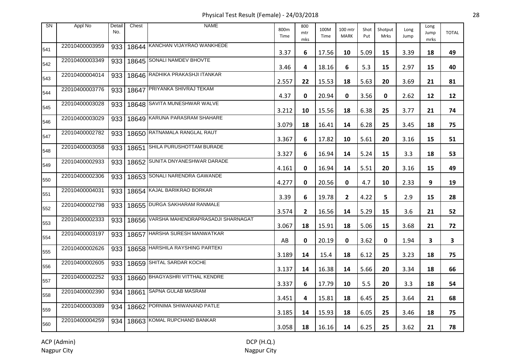Physical Test Result (Female) - 24/03/2018 28

| <b>SN</b> | Appl No        | Detail<br>No. | Chest | <b>NAME</b>                             | 800m<br>Time | 800<br>mtr<br>mks | 100M<br>Time | 100 mtr<br><b>MARK</b> | Shot<br>Put | Shotput<br><b>Mrks</b> | Long<br>Jump | Long<br>Jump<br>mrks | <b>TOTAL</b> |
|-----------|----------------|---------------|-------|-----------------------------------------|--------------|-------------------|--------------|------------------------|-------------|------------------------|--------------|----------------------|--------------|
| 541       | 22010400003959 | 933           |       | 18644 KANCHAN VIJAYRAO WANKHEDE         | 3.37         | 6                 | 17.56        | 10                     | 5.09        | 15                     | 3.39         | 18                   | 49           |
| 542       | 22010400003349 | 933           |       | 18645 SONALI NAMDEV BHOVTE              | 3.46         | 4                 | 18.16        | 6                      | 5.3         | 15                     | 2.97         | 15                   | 40           |
| 543       | 22010400004014 | 933           |       | 18646 RADHIKA PRAKASHJI ITANKAR         | 2.557        | 22                | 15.53        | 18                     | 5.63        | 20                     | 3.69         | 21                   | 81           |
| 544       | 22010400003776 | 933           | 18647 | PRIYANKA SHIVRAJ TEKAM                  | 4.37         | 0                 | 20.94        | 0                      | 3.56        | 0                      | 2.62         | 12                   | 12           |
| 545       | 22010400003028 | 933           |       | 18648 SAVITA MUNESHWAR WALVE            | 3.212        | 10                | 15.56        | 18                     | 6.38        | 25                     | 3.77         | 21                   | 74           |
| 546       | 22010400003029 | 933           |       | 18649 KARUNA PARASRAM SHAHARE           | 3.079        | 18                | 16.41        | 14                     | 6.28        | 25                     | 3.45         | 18                   | 75           |
| 547       | 22010400002782 | 933           |       | 18650 RATNAMALA RANGLAL RAUT            | 3.367        | 6                 | 17.82        | 10                     | 5.61        | 20                     | 3.16         | 15                   | 51           |
| 548       | 22010400003058 | 933           | 18651 | <b>SHILA PURUSHOTTAM BURADE</b>         | 3.327        | 6                 | 16.94        | 14                     | 5.24        | 15                     | 3.3          | 18                   | 53           |
| 549       | 22010400002933 | 933           |       | 18652 SUNITA DNYANESHWAR DARADE         | 4.161        | 0                 | 16.94        | 14                     | 5.51        | 20                     | 3.16         | 15                   | 49           |
| 550       | 22010400002306 | 933           |       | 18653 SONALI NARENDRA GAWANDE           | 4.277        | 0                 | 20.56        | 0                      | 4.7         | 10                     | 2.33         | 9                    | 19           |
| 551       | 22010400004031 | 933           |       | 18654 KAJAL BARIKRAO BORKAR             | 3.39         | 6                 | 19.78        | $\mathbf{2}$           | 4.22        | 5                      | 2.9          | 15                   | 28           |
| 552       | 22010400002798 | 933           |       | 18655 DURGA SAKHARAM RANMALE            | 3.574        | $\overline{2}$    | 16.56        | 14                     | 5.29        | 15                     | 3.6          | 21                   | 52           |
| 553       | 22010400002333 | 933           |       | 18656 VARSHA MAHENDRAPRASADJI SHARNAGAT | 3.067        | 18                | 15.91        | 18                     | 5.06        | 15                     | 3.68         | 21                   | 72           |
| 554       | 22010400003197 | 933           |       | 18657 HARSHA SURESH MANWATKAR           | AB           | 0                 | 20.19        | 0                      | 3.62        | $\mathbf 0$            | 1.94         | 3                    | 3            |
| 555       | 22010400002626 | 933           |       | 18658 HARSHILA RAYSHING PARTEKI         | 3.189        | 14                | 15.4         | 18                     | 6.12        | 25                     | 3.23         | 18                   | 75           |
| 556       | 22010400002605 | 933           |       | 18659 SHITAL SARDAR KOCHE               | 3.137        | 14                | 16.38        | 14                     | 5.66        | 20                     | 3.34         | 18                   | 66           |
| 557       | 22010400002252 | 933           |       | 18660 BHAGYASHRI VITTHAL KENDRE         | 3.337        | 6                 | 17.79        | 10                     | 5.5         | 20                     | 3.3          | 18                   | 54           |
| 558       | 22010400002390 | 934           |       | 18661 SAPNA GULAB MASRAM                | 3.451        | 4                 | 15.81        | 18                     | 6.45        | 25                     | 3.64         | 21                   | 68           |
| 559       | 22010400003089 | 934           |       | 18662 PORNIMA SHIWANAND PATLE           | 3.185        | 14                | 15.93        | 18                     | 6.05        | 25                     | 3.46         | 18                   | 75           |
| 560       | 22010400004259 | 934           |       | 18663 KOMAL RUPCHAND BANKAR             | 3.058        | 18                | 16.16        | 14                     | 6.25        | 25                     | 3.62         | 21                   | 78           |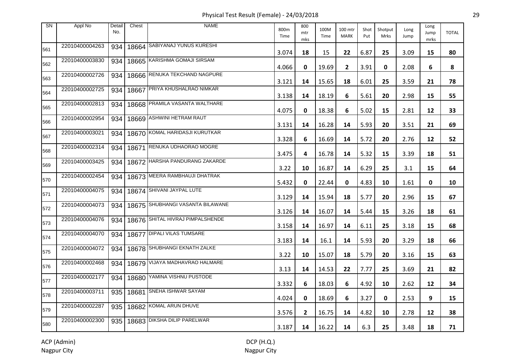Physical Test Result (Female) - 24/03/2018 29

| <b>SN</b> | Appl No        | Detail<br>No. | Chest | <b>NAME</b>                      | 800m<br>Time | 800<br>mtr<br>mks | 100M<br>Time | 100 mtr<br><b>MARK</b> | Shot<br>Put | Shotput<br>Mrks | Long<br>Jump | Long<br>Jump<br>mrks | <b>TOTAL</b> |
|-----------|----------------|---------------|-------|----------------------------------|--------------|-------------------|--------------|------------------------|-------------|-----------------|--------------|----------------------|--------------|
| 561       | 22010400004263 | 934           |       | 18664 SABIYANAJ YUNUS KURESHI    | 3.074        | 18                | 15           | 22                     | 6.87        | 25              | 3.09         | 15                   | 80           |
| 562       | 22010400003830 | 934           |       | 18665 KARISHMA GOMAJI SIRSAM     | 4.066        | 0                 | 19.69        | $\mathbf{2}$           | 3.91        | $\mathbf 0$     | 2.08         | 6                    | 8            |
| 563       | 22010400002726 | 934           |       | 18666 RENUKA TEKCHAND NAGPURE    | 3.121        | 14                | 15.65        | 18                     | 6.01        | 25              | 3.59         | 21                   | 78           |
| 564       | 22010400002725 | 934           | 18667 | PRIYA KHUSHALRAO NIMKAR          | 3.138        | 14                | 18.19        | 6                      | 5.61        | 20              | 2.98         | 15                   | 55           |
| 565       | 22010400002813 | 934           |       | 18668 PRAMILA VASANTA WALTHARE   | 4.075        | 0                 | 18.38        | 6                      | 5.02        | 15              | 2.81         | 12                   | 33           |
| 566       | 22010400002954 | 934           |       | 18669 ASHWINI HETRAM RAUT        | 3.131        | 14                | 16.28        | 14                     | 5.93        | 20              | 3.51         | 21                   | 69           |
| 567       | 22010400003021 | 934           |       | 18670 KOMAL HARIDASJI KURUTKAR   | 3.328        | 6                 | 16.69        | 14                     | 5.72        | 20              | 2.76         | 12                   | 52           |
| 568       | 22010400002314 | 934           | 18671 | RENUKA UDHAORAO MOGRE            | 3.475        | 4                 | 16.78        | 14                     | 5.32        | 15              | 3.39         | 18                   | 51           |
| 569       | 22010400003425 | 934           |       | 18672 HARSHA PANDURANG ZAKARDE   | 3.22         | 10                | 16.87        | 14                     | 6.29        | 25              | 3.1          | 15                   | 64           |
| 570       | 22010400002454 | 934           |       | 18673 MEERA RAMBHAUJI DHATRAK    | 5.432        | 0                 | 22.44        | 0                      | 4.83        | 10              | 1.61         | 0                    | 10           |
| 571       | 22010400004075 | 934           |       | 18674 SHIVANI JAYPAL LUTE        | 3.129        | 14                | 15.94        | 18                     | 5.77        | 20              | 2.96         | 15                   | 67           |
| 572       | 22010400004073 | 934           |       | 18675 SHUBHANGI VASANTA BILAWANE | 3.126        | 14                | 16.07        | 14                     | 5.44        | 15              | 3.26         | 18                   | 61           |
| 573       | 22010400004076 | 934           |       | 18676 SHITAL HIVRAJ PIMPALSHENDE | 3.158        | 14                | 16.97        | 14                     | 6.11        | 25              | 3.18         | 15                   | 68           |
| 574       | 22010400004070 | 934           |       | 18677 DIPALI VILAS TUMSARE       | 3.183        | 14                | 16.1         | 14                     | 5.93        | 20              | 3.29         | 18                   | 66           |
| 575       | 22010400004072 | 934           |       | 18678 SHUBHANGI EKNATH ZALKE     | 3.22         | 10                | 15.07        | 18                     | 5.79        | 20              | 3.16         | 15                   | 63           |
| 576       | 22010400002468 | 934           |       | 18679 VIJAYA MADHAVRAO HALMARE   | 3.13         | 14                | 14.53        | 22                     | 7.77        | 25              | 3.69         | 21                   | 82           |
| 577       | 22010400002177 | 934           |       | 18680 YAMINA VISHNU PUSTODE      | 3.332        | 6                 | 18.03        | 6                      | 4.92        | 10              | 2.62         | 12                   | 34           |
| 578       | 22010400003711 | 935           |       | 18681 SNEHA ISHWAR SAYAM         | 4.024        | 0                 | 18.69        | 6                      | 3.27        | 0               | 2.53         | 9                    | 15           |
| 579       | 22010400002287 | 935           |       | 18682 KOMAL ARUN DHUVE           | 3.576        | $\overline{2}$    | 16.75        | 14                     | 4.82        | 10              | 2.78         | 12                   | 38           |
| 580       | 22010400002300 | 935           |       | 18683 DIKSHA DILIP PARELWAR      | 3.187        | 14                | 16.22        | 14                     | 6.3         | 25              | 3.48         | 18                   | 71           |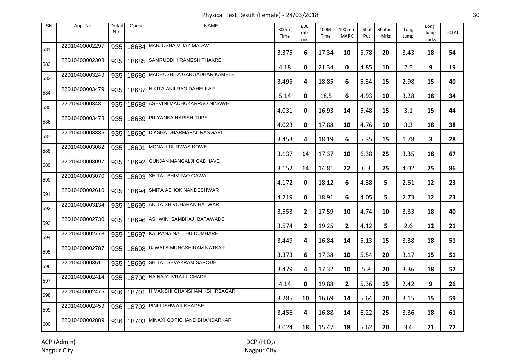Physical Test Result (Female) - 24/03/2018 30

| <b>SN</b> | Appl No        | Detail<br>No. | Chest | <b>NAME</b>                              | 800m<br>Time | 800<br>mtr<br>mks | 100M<br>Time | 100 mtr<br><b>MARK</b> | Shot<br>Put | Shotput<br>Mrks | Long<br>Jump | Long<br>Jump<br>mrks | <b>TOTAL</b> |
|-----------|----------------|---------------|-------|------------------------------------------|--------------|-------------------|--------------|------------------------|-------------|-----------------|--------------|----------------------|--------------|
| 581       | 22010400002297 | 935           |       | 18684 MANJUSHA VIJAY MADAVI              | 3.375        | 6                 | 17.34        | 10                     | 5.78        | 20              | 3.43         | 18                   | 54           |
| 582       | 22010400002308 | 935           |       | 18685 SAMRUDDHI RAMESH THAKRE            | 4.18         | 0                 | 21.34        | 0                      | 4.85        | 10              | 2.5          | 9                    | 19           |
| 583       | 22010400003249 | 935           |       | 18686 MADHUSHILA GANGADHAR KAMBLE        | 3.495        | 4                 | 18.85        | 6                      | 5.34        | 15              | 2.98         | 15                   | 40           |
| 584       | 22010400003479 | 935           |       | 18687 NIKITA ANILRAO DAHELKAR            | 5.14         | 0                 | 18.5         | 6                      | 4.93        | 10              | 3.28         | 18                   | 34           |
| 585       | 22010400003481 | 935           |       | 18688 ASHVINI MADHUKARRAO NINAWE         | 4.031        | 0                 | 16.93        | 14                     | 5.48        | 15              | 3.1          | 15                   | 44           |
| 586       | 22010400003478 | 935           |       | 18689 PRIYANKA HARISH TUPE               | 4.023        | 0                 | 17.88        | 10                     | 4.76        | 10              | 3.3          | 18                   | 38           |
| 587       | 22010400003335 | 935           |       | 18690 DIKSHA DHARMAPAL RANGARI           | 3.453        | 4                 | 18.19        | 6                      | 5.35        | 15              | 1.78         | 3                    | 28           |
| 588       | 22010400003082 | 935           | 18691 | MONALI DURWAS KOWE                       | 3.137        | 14                | 17.37        | 10                     | 6.38        | 25              | 3.35         | 18                   | 67           |
| 589       | 22010400003097 | 935           |       | 18692 GUNJAN MANGALJI GADHAVE            | 3.152        | 14                | 14.81        | 22                     | 6.3         | 25              | 4.02         | 25                   | 86           |
| 590       | 22010400003070 | 935           |       | 18693 SHITAL BHIMRAO GAWAI               | 4.172        | 0                 | 18.12        | 6                      | 4.38        | 5               | 2.61         | 12                   | 23           |
| 591       | 22010400002610 | 935           |       | 18694 SMITA ASHOK NANDESHWAR             | 4.219        | 0                 | 18.91        | 6                      | 4.05        | 5.              | 2.73         | 12                   | 23           |
| 592       | 22010400003134 | 935           |       | 18695 ANITA SHIVCHARAN HATWAR            | 3.553        | $\mathbf{2}$      | 17.59        | 10                     | 4.74        | 10              | 3.33         | 18                   | 40           |
| 593       | 22010400002730 | 935           |       | 18696 ASHWINI SAMBHAJI BATAWADE          | 3.574        | $\mathbf{2}$      | 19.25        | $\mathbf{2}$           | 4.12        | 5               | 2.6          | 12                   | 21           |
| 594       | 22010400002778 | 935           |       | 18697 KALPANA NATTHU DUMHARE             | 3.449        | 4                 | 16.84        | 14                     | 5.13        | 15              | 3.38         | 18                   | 51           |
| 595       | 22010400002787 | 935           |       | 18698 UJWALA MUNGSHIRAM NATKAR           | 3.373        | 6                 | 17.38        | 10                     | 5.54        | 20              | 3.17         | 15                   | 51           |
| 596       | 22010400003511 | 935           |       | 18699 SHITAL SEVAKRAM SARODE             | 3.479        | 4                 | 17.32        | 10                     | 5.8         | 20              | 3.36         | 18                   | 52           |
| 597       | 22010400002414 | 935           |       | 18700 NAINA YUVRAJ LICHADE               | 4.14         | 0                 | 19.88        | $\mathbf{2}$           | 5.36        | 15              | 2.42         | 9                    | 26           |
| 598       | 22010400002475 |               |       | 936   18701 HIMANSHI GHANSHAM KSHIRSAGAR | 3.285        | 10                | 16.69        | 14                     | 5.64        | 20              | 3.15         | 15                   | 59           |
| 599       | 22010400002459 |               |       | 936   18702 PINKI ISHWAR KHADSE          | 3.456        | 4                 | 16.88        | 14                     | 6.22        | 25              | 3.36         | 18                   | 61           |
| 600       | 22010400002889 | 936           |       | 18703 MINAXI GOPICHAND BHANDARKAR        | 3.024        | 18                | 15.47        | 18                     | 5.62        | 20              | 3.6          | 21                   | 77           |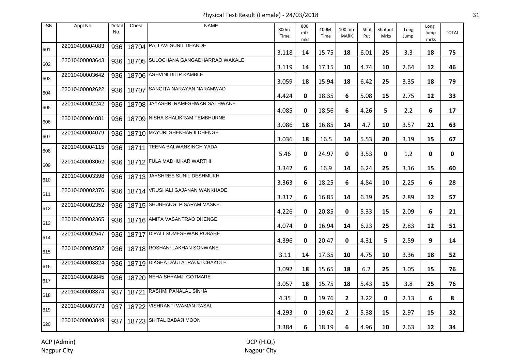Physical Test Result (Female) - 24/03/2018 31

| <b>SN</b> | Appl No        | Detail<br>No. | Chest | <b>NAME</b>                             | 800m<br>Time | 800<br>mtr<br>mks | 100M<br>Time | 100 mtr<br><b>MARK</b> | Shot<br>Put | Shotput<br>Mrks | Long<br>Jump | Long<br>Jump<br>mrks | <b>TOTAL</b> |
|-----------|----------------|---------------|-------|-----------------------------------------|--------------|-------------------|--------------|------------------------|-------------|-----------------|--------------|----------------------|--------------|
| 601       | 22010400004083 | 936           |       | 18704 PALLAVI SUNIL DHANDE              | 3.118        | 14                | 15.75        | 18                     | 6.01        | 25              | 3.3          | 18                   | 75           |
| 602       | 22010400003643 | 936           |       | 18705 SULOCHANA GANGADHARRAO WAKALE     | 3.119        | 14                | 17.15        | 10                     | 4.74        | 10              | 2.64         | 12                   | 46           |
| 603       | 22010400003642 |               |       | 936   18706 ASHVINI DILIP KAMBLE        | 3.059        | 18                | 15.94        | 18                     | 6.42        | 25              | 3.35         | 18                   | 79           |
| 604       | 22010400002622 | 936           |       | 18707 SANGITA NARAYAN NARAMWAD          | 4.424        | 0                 | 18.35        | 6                      | 5.08        | 15              | 2.75         | 12                   | 33           |
| 605       | 22010400002242 | 936           |       | 18708 JAYASHRI RAMESHWAR SATHWANE       | 4.085        | 0                 | 18.56        | 6                      | 4.26        | 5               | 2.2          | 6                    | 17           |
| 606       | 22010400004081 |               |       | 936   18709   NISHA SHALIKRAM TEMBHURNE | 3.086        | 18                | 16.85        | 14                     | 4.7         | 10              | 3.57         | 21                   | 63           |
| 607       | 22010400004079 | 936           |       | 18710 MAYURI SHEKHARJI DHENGE           | 3.036        | 18                | 16.5         | 14                     | 5.53        | 20              | 3.19         | 15                   | 67           |
| 608       | 22010400004115 |               |       | 936   18711   TEENA BALWANSINGH YADA    | 5.46         | 0                 | 24.97        | 0                      | 3.53        | 0               | 1.2          | 0                    | 0            |
| 609       | 22010400003062 |               |       | 936   18712 FULA MADHUKAR WARTHI        | 3.342        | 6                 | 16.9         | 14                     | 6.24        | 25              | 3.16         | 15                   | 60           |
| 610       | 22010400003398 |               |       | 936   18713 JAYSHREE SUNIL DESHMUKH     | 3.363        | 6                 | 18.25        | 6                      | 4.84        | 10              | 2.25         | 6                    | 28           |
| 611       | 22010400002376 |               |       | 936   18714 VRUSHALI GAJANAN WANKHADE   | 3.317        | 6                 | 16.85        | 14                     | 6.39        | 25              | 2.89         | 12                   | 57           |
| 612       | 22010400002352 |               |       | 936   18715 SHUBHANGI PISARAM MASKE     | 4.226        | 0                 | 20.85        | 0                      | 5.33        | 15              | 2.09         | 6                    | 21           |
| 613       | 22010400002365 |               |       | 936   18716 AMITA VASANTRAO DHENGE      | 4.074        | 0                 | 16.94        | 14                     | 6.23        | 25              | 2.83         | 12                   | 51           |
| 614       | 22010400002547 |               |       | 936   18717 DIPALI SOMESHWAR POBAHE     | 4.396        | 0                 | 20.47        | 0                      | 4.31        | 5               | 2.59         | 9                    | 14           |
| 615       | 22010400002502 |               |       | 936   18718 ROSHANI LAKHAN SONWANE      | 3.11         | 14                | 17.35        | 10                     | 4.75        | 10              | 3.36         | 18                   | 52           |
| 616       | 22010400003824 |               |       | 936   18719 DIKSHA DAULATRAOJI CHAKOLE  | 3.092        | 18                | 15.65        | 18                     | 6.2         | 25              | 3.05         | 15                   | 76           |
| 617       | 22010400003845 |               |       | 936   18720 NEHA SHYAMJI GOTMARE        | 3.057        | 18                | 15.75        | 18                     | 5.43        | 15              | 3.8          | 25                   | 76           |
| 618       | 22010400003374 | 937           |       | 18721 RASHMI PANALAL SINHA              | 4.35         | 0                 | 19.76        | $\mathbf{2}$           | 3.22        | $\mathbf 0$     | 2.13         | 6                    | 8            |
| 619       | 22010400003773 |               |       | 937   18722 VISHRANTI WAMAN RASAL       | 4.293        | 0                 | 19.62        | $\overline{2}$         | 5.38        | 15              | 2.97         | 15                   | 32           |
| 620       | 22010400003849 |               |       | 937   18723   SHITAL BABAJI MOON        | 3.384        | 6                 | 18.19        | 6                      | 4.96        | 10              | 2.63         | 12                   | 34           |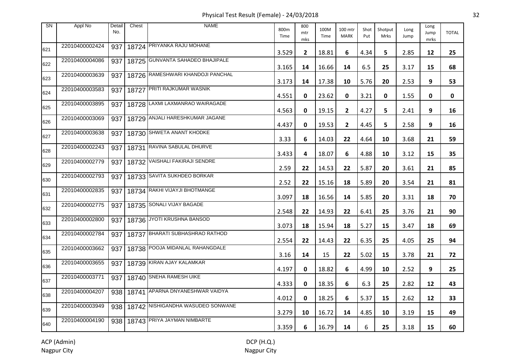Physical Test Result (Female) - 24/03/2018 32

| <b>SN</b> | Appl No        | Detail<br>No. | Chest | <b>NAME</b>                             | 800m<br>Time | 800<br>mtr<br>mks | 100M<br>Time | 100 mtr<br><b>MARK</b> | Shot<br>Put | Shotput<br>Mrks | Long<br>Jump | Long<br>Jump<br>mrks | <b>TOTAL</b> |
|-----------|----------------|---------------|-------|-----------------------------------------|--------------|-------------------|--------------|------------------------|-------------|-----------------|--------------|----------------------|--------------|
| 621       | 22010400002424 | 937           |       | 18724 PRIYANKA RAJU MOHANE              | 3.529        | $\mathbf{2}$      | 18.81        | 6                      | 4.34        | 5.              | 2.85         | 12                   | 25           |
| 622       | 22010400004086 | 937           |       | 18725 GUNVANTA SAHADEO BHAJIPALE        | 3.165        | 14                | 16.66        | 14                     | 6.5         | 25              | 3.17         | 15                   | 68           |
| 623       | 22010400003639 |               |       | 937   18726 RAMESHWARI KHANDOJI PANCHAL | 3.173        | 14                | 17.38        | 10                     | 5.76        | 20              | 2.53         | 9                    | 53           |
| 624       | 22010400003583 |               |       | 937   18727 PRITI RAJKUMAR WASNIK       | 4.551        | 0                 | 23.62        | 0                      | 3.21        | 0               | 1.55         | 0                    | 0            |
| 625       | 22010400003895 |               |       | 937   18728 LAXMI LAXMANRAO WAIRAGADE   | 4.563        | 0                 | 19.15        | $\mathbf{2}$           | 4.27        | 5               | 2.41         | 9                    | 16           |
| 626       | 22010400003069 |               |       | 937   18729 ANJALI HARESHKUMAR JAGANE   | 4.437        | 0                 | 19.53        | $\overline{2}$         | 4.45        | 5               | 2.58         | 9                    | 16           |
| 627       | 22010400003638 |               |       | 937   18730 SHWETA ANANT KHODKE         | 3.33         | 6                 | 14.03        | 22                     | 4.64        | 10              | 3.68         | 21                   | 59           |
| 628       | 22010400002243 |               |       | 937   18731 RAVINA SABULAL DHURVE       | 3.433        | 4                 | 18.07        | 6                      | 4.88        | 10              | 3.12         | 15                   | 35           |
| 629       | 22010400002779 |               |       | 937   18732 VAISHALI FAKIRAJI SENDRE    | 2.59         | 22                | 14.53        | 22                     | 5.87        | 20              | 3.61         | 21                   | 85           |
| 630       | 22010400002793 |               |       | 937   18733 SAVITA SUKHDEO BORKAR       | 2.52         | 22                | 15.16        | 18                     | 5.89        | 20              | 3.54         | 21                   | 81           |
| 631       | 22010400002835 |               |       | 937   18734 RAKHI VIJAYJI BHOTMANGE     | 3.097        | 18                | 16.56        | 14                     | 5.85        | 20              | 3.31         | 18                   | 70           |
| 632       | 22010400002775 | 937           |       | 18735 SONALI VIJAY BAGADE               | 2.548        | 22                | 14.93        | 22                     | 6.41        | 25              | 3.76         | 21                   | 90           |
| 633       | 22010400002800 |               |       | 937   18736 JYOTI KRUSHNA BANSOD        | 3.073        | 18                | 15.94        | 18                     | 5.27        | 15              | 3.47         | 18                   | 69           |
| 634       | 22010400002784 |               |       | 937   18737 BHARATI SUBHASHRAO RATHOD   | 2.554        | 22                | 14.43        | 22                     | 6.35        | 25              | 4.05         | 25                   | 94           |
| 635       | 22010400003662 |               |       | 937   18738 POOJA MIDANLAL RAHANGDALE   | 3.16         | 14                | 15           | 22                     | 5.02        | 15              | 3.78         | 21                   | 72           |
| 636       | 22010400003655 |               |       | 937   18739 KIRAN AJAY KALAMKAR         | 4.197        | 0                 | 18.82        | 6                      | 4.99        | 10              | 2.52         | 9                    | 25           |
| 637       | 22010400003771 |               |       | 937   18740 SNEHA RAMESH UIKE           | 4.333        | 0                 | 18.35        | 6                      | 6.3         | 25              | 2.82         | 12                   | 43           |
| 638       | 22010400004207 |               |       | 938   18741 APARNA DNYANESHWAR VAIDYA   | 4.012        | 0                 | 18.25        | 6                      | 5.37        | 15              | 2.62         | 12                   | 33           |
| 639       | 22010400003949 |               |       | 938   18742 NISHIGANDHA WASUDEO SONWANE | 3.279        | 10                | 16.72        | 14                     | 4.85        | 10              | 3.19         | 15                   | 49           |
| 640       | 22010400004190 |               |       | 938   18743 PRIYA JAYMAN NIMBARTE       | 3.359        | 6                 | 16.79        | 14                     | 6           | 25              | 3.18         | 15                   | 60           |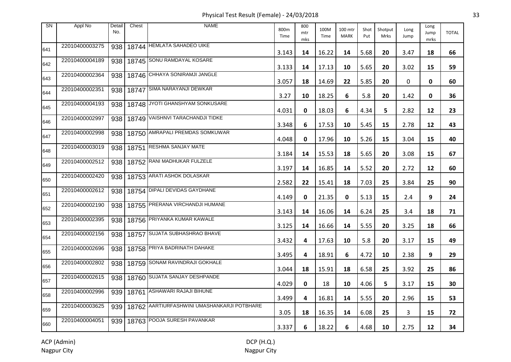Physical Test Result (Female) - 24/03/2018 33

| <b>SN</b> | Appl No        | Detail<br>No. | Chest     | <b>NAME</b>                                 | 800m<br>Time | 800<br>mtr<br>mks | 100M<br>Time | 100 mtr<br><b>MARK</b> | Shot<br>Put | Shotput<br>Mrks | Long<br>Jump | Long<br>Jump<br>mrks | <b>TOTAL</b> |
|-----------|----------------|---------------|-----------|---------------------------------------------|--------------|-------------------|--------------|------------------------|-------------|-----------------|--------------|----------------------|--------------|
| 641       | 22010400003275 | 938           |           | 18744 HEMLATA SAHADEO UIKE                  | 3.143        | 14                | 16.22        | 14                     | 5.68        | 20              | 3.47         | 18                   | 66           |
| 642       | 22010400004189 | 938           |           | 18745 SONU RAMDAYAL KOSARE                  | 3.133        | 14                | 17.13        | 10                     | 5.65        | 20              | 3.02         | 15                   | 59           |
| 643       | 22010400002364 | 938           |           | 18746 CHHAYA SONIRAMJI JANGLE               | 3.057        | 18                | 14.69        | 22                     | 5.85        | 20              | 0            | 0                    | 60           |
| 644       | 22010400002351 | 938           | 18747     | <b>SIMA NARAYANJI DEWKAR</b>                | 3.27         | 10                | 18.25        | 6                      | 5.8         | 20              | 1.42         | 0                    | 36           |
| 645       | 22010400004193 | 938           |           | 18748 JYOTI GHANSHYAM SONKUSARE             | 4.031        | 0                 | 18.03        | 6                      | 4.34        | 5               | 2.82         | 12                   | 23           |
| 646       | 22010400002997 |               |           | 938   18749   VAISHNVI TARACHANDJI TIDKE    | 3.348        | 6                 | 17.53        | 10                     | 5.45        | 15              | 2.78         | 12                   | 43           |
| 647       | 22010400002998 | 938           |           | 18750 AMRAPALI PREMDAS SOMKUWAR             | 4.048        | 0                 | 17.96        | 10                     | 5.26        | 15              | 3.04         | 15                   | 40           |
| 648       | 22010400003019 |               | 938 18751 | <b>RESHMA SANJAY MATE</b>                   | 3.184        | 14                | 15.53        | 18                     | 5.65        | 20              | 3.08         | 15                   | 67           |
| 649       | 22010400002512 | 938           |           | 18752 RANI MADHUKAR FULZELE                 | 3.197        | 14                | 16.85        | 14                     | 5.52        | 20              | 2.72         | 12                   | 60           |
| 650       | 22010400002420 |               |           | 938   18753 ARATI ASHOK DOLASKAR            | 2.582        | 22                | 15.41        | 18                     | 7.03        | 25              | 3.84         | 25                   | 90           |
| 651       | 22010400002612 |               |           | 938   18754 DIPALI DEVIDAS GAYDHANE         | 4.149        | 0                 | 21.35        | 0                      | 5.13        | 15              | 2.4          | 9                    | 24           |
| 652       | 22010400002190 | 938           |           | 18755 PRERANA VIRCHANDJI HUMANE             | 3.143        | 14                | 16.06        | 14                     | 6.24        | 25              | 3.4          | 18                   | 71           |
| 653       | 22010400002395 | 938           |           | 18756 PRIYANKA KUMAR KAWALE                 | 3.125        | 14                | 16.66        | 14                     | 5.55        | 20              | 3.25         | 18                   | 66           |
| 654       | 22010400002156 | 938           |           | 18757 SUJATA SUBHASHRAO BHAVE               | 3.432        | 4                 | 17.63        | 10                     | 5.8         | 20              | 3.17         | 15                   | 49           |
| 655       | 22010400002696 | 938           |           | 18758 PRIYA BADRINATH DAHAKE                | 3.495        | 4                 | 18.91        | 6                      | 4.72        | 10              | 2.38         | 9                    | 29           |
| 656       | 22010400002802 | 938           |           | 18759 SONAM RAVINDRAJI GOKHALE              | 3.044        | 18                | 15.91        | 18                     | 6.58        | 25              | 3.92         | 25                   | 86           |
| 657       | 22010400002615 | 938           |           | 18760 SUJATA SANJAY DESHPANDE               | 4.029        | 0                 | 18           | 10                     | 4.06        | 5               | 3.17         | 15                   | 30           |
| 658       | 22010400002996 | 939           |           | 18761 ASHAWARI RAJAJI BIHUNE                | 3.499        | 4                 | 16.81        | 14                     | 5.55        | 20              | 2.96         | 15                   | 53           |
| 659       | 22010400003625 | 939           |           | 18762 AARTIURFASHWINI UMASHANKARJI POTBHARE | 3.05         | 18                | 16.35        | 14                     | 6.08        | 25              | 3            | 15                   | 72           |
| 660       | 22010400004051 |               |           | 939   18763 POOJA SURESH PAVANKAR           | 3.337        | 6                 | 18.22        | 6                      | 4.68        | 10              | 2.75         | 12                   | 34           |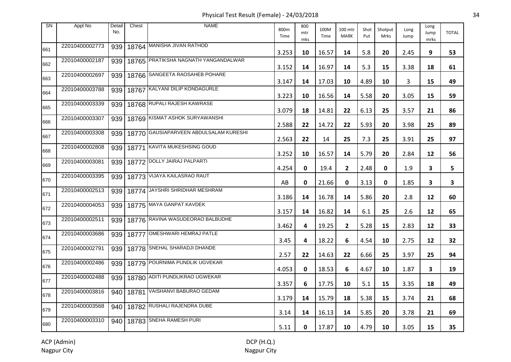Physical Test Result (Female) - 24/03/2018 34

| <b>SN</b> | Appl No        | Detail<br>No. | Chest | <b>NAME</b>                            | 800m<br>Time | 800<br>mtr<br>mks | 100M<br>Time | 100 mtr<br><b>MARK</b> | Shot<br>Put | Shotput<br>Mrks | Long<br>Jump | Long<br>Jump<br>mrks | <b>TOTAL</b>            |
|-----------|----------------|---------------|-------|----------------------------------------|--------------|-------------------|--------------|------------------------|-------------|-----------------|--------------|----------------------|-------------------------|
| 661       | 22010400002773 | 939           |       | 18764 MANISHA JIVAN RATHOD             | 3.253        | 10                | 16.57        | 14                     | 5.8         | 20              | 2.45         | 9                    | 53                      |
| 662       | 22010400002187 | 939           |       | 18765 PRATIKSHA NAGNATH YANGANDALWAR   | 3.152        | 14                | 16.97        | 14                     | 5.3         | 15              | 3.38         | 18                   | 61                      |
| 663       | 22010400002697 | 939           |       | 18766 SANGEETA RAOSAHEB POHARE         | 3.147        | 14                | 17.03        | 10                     | 4.89        | 10              | 3            | 15                   | 49                      |
| 664       | 22010400003788 | 939           |       | 18767 KALYANI DILIP KONDAGURLE         | 3.223        | 10                | 16.56        | 14                     | 5.58        | 20              | 3.05         | 15                   | 59                      |
| 665       | 22010400003339 | 939           |       | 18768 RUPALI RAJESH KAWRASE            | 3.079        | 18                | 14.81        | 22                     | 6.13        | 25              | 3.57         | 21                   | 86                      |
| 666       | 22010400003307 | 939           |       | 18769 KISMAT ASHOK SURYAWANSHI         | 2.588        | 22                | 14.72        | 22                     | 5.93        | 20              | 3.98         | 25                   | 89                      |
| 667       | 22010400003308 | 939           |       | 18770 GAUSIAPARVEEN ABDULSALAM KURESHI | 2.563        | 22                | 14           | 25                     | 7.3         | 25              | 3.91         | 25                   | 97                      |
| 668       | 22010400002808 | 939           | 18771 | KAVITA MUKESHSING GOUD                 | 3.252        | 10                | 16.57        | 14                     | 5.79        | 20              | 2.84         | 12                   | 56                      |
| 669       | 22010400003081 | 939           |       | 18772 DOLLY JAIRAJ PALPARTI            | 4.254        | 0                 | 19.4         | $\mathbf{2}$           | 2.48        | 0               | 1.9          | 3                    | 5.                      |
| 670       | 22010400003395 | 939           |       | 18773 VIJAYA KAILASRAO RAUT            | AB           | 0                 | 21.66        | 0                      | 3.13        | 0               | 1.85         | 3                    | $\overline{\mathbf{3}}$ |
| 671       | 22010400002513 | 939           |       | 18774 JAYSHRI SHRIDHAR MESHRAM         | 3.186        | 14                | 16.78        | 14                     | 5.86        | 20              | 2.8          | 12                   | 60                      |
| 672       | 22010400004053 | 939           |       | 18775 MAYA GANPAT KAVDEK               | 3.157        | 14                | 16.82        | 14                     | 6.1         | 25              | 2.6          | 12                   | 65                      |
| 673       | 22010400002511 | 939           |       | 18776 RAVINA WASUDEORAO BALBUDHE       | 3.462        | 4                 | 19.25        | $\overline{2}$         | 5.28        | 15              | 2.83         | 12                   | 33                      |
| 674       | 22010400003686 | 939           |       | 18777 OMESHWARI HEMRAJ PATLE           | 3.45         | 4                 | 18.22        | 6                      | 4.54        | 10              | 2.75         | 12                   | 32                      |
| 675       | 22010400002791 | 939           |       | 18778 SNEHAL SHARADJI DHANDE           | 2.57         | 22                | 14.63        | 22                     | 6.66        | 25              | 3.97         | 25                   | 94                      |
| 676       | 22010400002486 | 939           |       | 18779 POURNIMA PUNDLIK UGVEKAR         | 4.053        | 0                 | 18.53        | 6                      | 4.67        | 10              | 1.87         | 3                    | 19                      |
| 677       | 22010400002488 | 939           |       | 18780 ADITI PUNDLIKRAO UGWEKAR         | 3.357        | 6                 | 17.75        | 10                     | 5.1         | 15              | 3.35         | 18                   | 49                      |
| 678       | 22010400003816 | 940           |       | 18781 VAISHANVI BABURAO GEDAM          | 3.179        | 14                | 15.79        | 18                     | 5.38        | 15              | 3.74         | 21                   | 68                      |
| 679       | 22010400003568 | 940           |       | 18782 RUSHALI RAJENDRA DUBE            | 3.14         | 14                | 16.13        | 14                     | 5.85        | 20              | 3.78         | 21                   | 69                      |
| 680       | 22010400003310 | 940           |       | 18783 SNEHA RAMESH PURI                | 5.11         | 0                 | 17.87        | 10                     | 4.79        | 10              | 3.05         | 15                   | 35                      |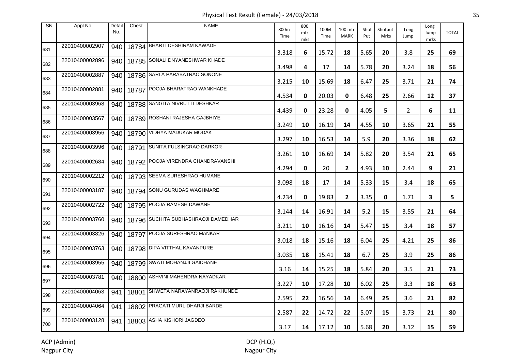Physical Test Result (Female) - 24/03/2018 35

| <b>SN</b> | Appl No        | Detail<br>No. | Chest | <b>NAME</b>                         | 800m<br>Time | 800<br>mtr<br>mks | 100M<br>Time | 100 mtr<br><b>MARK</b> | Shot<br>Put | Shotput<br>Mrks | Long<br>Jump | Long<br>Jump<br>mrks | <b>TOTAL</b> |
|-----------|----------------|---------------|-------|-------------------------------------|--------------|-------------------|--------------|------------------------|-------------|-----------------|--------------|----------------------|--------------|
| 681       | 22010400002907 | 940           |       | 18784 BHARTI DESHIRAM KAWADE        | 3.318        | 6                 | 15.72        | 18                     | 5.65        | 20              | 3.8          | 25                   | 69           |
| 682       | 22010400002896 | 940           |       | 18785 SONALI DNYANESHWAR KHADE      | 3.498        | 4                 | 17           | 14                     | 5.78        | 20              | 3.24         | 18                   | 56           |
| 683       | 22010400002887 | 940           |       | 18786 SARLA PARABATRAO SONONE       | 3.215        | 10                | 15.69        | 18                     | 6.47        | 25              | 3.71         | 21                   | 74           |
| 684       | 22010400002881 | 940           | 18787 | POOJA BHARATRAO WANKHADE            | 4.534        | 0                 | 20.03        | 0                      | 6.48        | 25              | 2.66         | 12                   | 37           |
| 685       | 22010400003968 | 940           |       | 18788 SANGITA NIVRUTTI DESHKAR      | 4.439        | 0                 | 23.28        | 0                      | 4.05        | 5               | $\mathbf{2}$ | 6                    | 11           |
| 686       | 22010400003567 | 940           |       | 18789 ROSHANI RAJESHA GAJBHIYE      | 3.249        | 10                | 16.19        | 14                     | 4.55        | 10              | 3.65         | 21                   | 55           |
| 687       | 22010400003956 | 940           |       | 18790 VIDHYA MADUKAR MODAK          | 3.297        | 10                | 16.53        | 14                     | 5.9         | 20              | 3.36         | 18                   | 62           |
| 688       | 22010400003996 | 940           | 18791 | SUNITA FULSINGRAO DARKOR            | 3.261        | 10                | 16.69        | 14                     | 5.82        | 20              | 3.54         | 21                   | 65           |
| 689       | 22010400002684 | 940           |       | 18792 POOJA VIRENDRA CHANDRAVANSHI  | 4.294        | 0                 | 20           | $\mathbf{2}$           | 4.93        | 10              | 2.44         | 9                    | 21           |
| 690       | 22010400002212 | 940           |       | 18793 SEEMA SURESHRAO HUMANE        | 3.098        | 18                | 17           | 14                     | 5.33        | 15              | 3.4          | 18                   | 65           |
| 691       | 22010400003187 | 940           |       | 18794 SONU GURUDAS WAGHMARE         | 4.234        | 0                 | 19.83        | $\mathbf{2}$           | 3.35        | 0               | 1.71         | 3                    | 5            |
| 692       | 22010400002722 | 940           |       | 18795 POOJA RAMESH DAWANE           | 3.144        | 14                | 16.91        | 14                     | 5.2         | 15              | 3.55         | 21                   | 64           |
| 693       | 22010400003760 | 940           |       | 18796 SUCHITA SUBHASHRAOJI DAMEDHAR | 3.211        | 10                | 16.16        | 14                     | 5.47        | 15              | 3.4          | 18                   | 57           |
| 694       | 22010400003826 | 940           |       | 18797 POOJA SURESHRAO MANKAR        | 3.018        | 18                | 15.16        | 18                     | 6.04        | 25              | 4.21         | 25                   | 86           |
| 695       | 22010400003763 | 940           |       | 18798 DIPA VITTHAL KAVANPURE        | 3.035        | 18                | 15.41        | 18                     | 6.7         | 25              | 3.9          | 25                   | 86           |
| 696       | 22010400003955 | 940           |       | 18799 SWATI MOHANJJI GAIDHANE       | 3.16         | 14                | 15.25        | 18                     | 5.84        | 20              | 3.5          | 21                   | 73           |
| 697       | 22010400003781 | 940           |       | 18800 ASHVINI MAHENDRA NAYADKAR     | 3.227        | 10                | 17.28        | 10                     | 6.02        | 25              | 3.3          | 18                   | 63           |
| 698       | 22010400004063 | 941           |       | 18801 SHWETA NARAYANRAOJI RAKHUNDE  | 2.595        | 22                | 16.56        | 14                     | 6.49        | 25              | 3.6          | 21                   | 82           |
| 699       | 22010400004064 | 941           |       | 18802 PRAGATI MURLIDHARJI BARDE     | 2.587        | 22                | 14.72        | 22                     | 5.07        | 15              | 3.73         | 21                   | 80           |
| 700       | 22010400003128 | 941           |       | 18803 ASHA KISHORI JAGDEO           | 3.17         | 14                | 17.12        | 10                     | 5.68        | 20              | 3.12         | 15                   | 59           |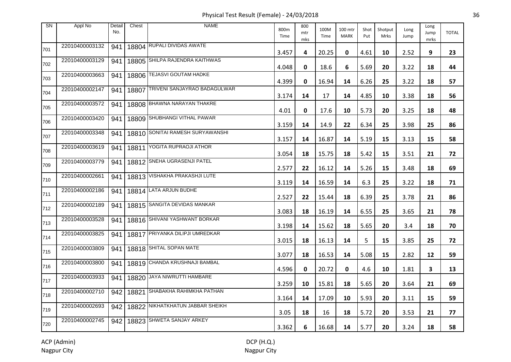Physical Test Result (Female) - 24/03/2018 36

| <b>SN</b> | Appl No        | Detail<br>No. | Chest | <b>NAME</b>                      | 800m<br>Time | 800<br>mtr<br>mks | 100M<br>Time | 100 mtr<br><b>MARK</b> | Shot<br>Put | Shotput<br>Mrks | Long<br>Jump | Long<br>Jump<br>mrks | <b>TOTAL</b> |
|-----------|----------------|---------------|-------|----------------------------------|--------------|-------------------|--------------|------------------------|-------------|-----------------|--------------|----------------------|--------------|
| 701       | 22010400003132 | 941           |       | 18804 RUPALI DIVIDAS AWATE       | 3.457        | 4                 | 20.25        | 0                      | 4.61        | 10              | 2.52         | 9                    | 23           |
| 702       | 22010400003129 | 941           |       | 18805 SHILPA RAJENDRA KAITHWAS   | 4.048        | 0                 | 18.6         | 6                      | 5.69        | 20              | 3.22         | 18                   | 44           |
| 703       | 22010400003663 | 941           |       | 18806 TEJASVI GOUTAM HADKE       | 4.399        | 0                 | 16.94        | 14                     | 6.26        | 25              | 3.22         | 18                   | 57           |
| 704       | 22010400002147 | 941           | 18807 | TRIVENI SANJAYRAO BADAGULWAR     | 3.174        | 14                | 17           | 14                     | 4.85        | 10              | 3.38         | 18                   | 56           |
| 705       | 22010400003572 | 941           |       | 18808 BHAWNA NARAYAN THAKRE      | 4.01         | 0                 | 17.6         | 10                     | 5.73        | 20              | 3.25         | 18                   | 48           |
| 706       | 22010400003420 | 941           |       | 18809 SHUBHANGI VITHAL PAWAR     | 3.159        | 14                | 14.9         | 22                     | 6.34        | 25              | 3.98         | 25                   | 86           |
| 707       | 22010400003348 | 941           |       | 18810 SONITAI RAMESH SURYAWANSHI | 3.157        | 14                | 16.87        | 14                     | 5.19        | 15              | 3.13         | 15                   | 58           |
| 708       | 22010400003619 | 941           | 18811 | YOGITA RUPRAOJI ATHOR            | 3.054        | 18                | 15.75        | 18                     | 5.42        | 15              | 3.51         | 21                   | 72           |
| 709       | 22010400003779 | 941           |       | 18812 SNEHA UGRASENJI PATEL      | 2.577        | 22                | 16.12        | 14                     | 5.26        | 15              | 3.48         | 18                   | 69           |
| 710       | 22010400002661 | 941           |       | 18813 VISHAKHA PRAKASHJI LUTE    | 3.119        | 14                | 16.59        | 14                     | 6.3         | 25              | 3.22         | 18                   | 71           |
| 711       | 22010400002186 | 941           |       | 18814 LATA ARJUN BUDHE           | 2.527        | 22                | 15.44        | 18                     | 6.39        | 25              | 3.78         | 21                   | 86           |
| 712       | 22010400002189 | 941           |       | 18815 SANGITA DEVIDAS MANKAR     | 3.083        | 18                | 16.19        | 14                     | 6.55        | 25              | 3.65         | 21                   | 78           |
| 713       | 22010400003528 | 941           |       | 18816 SHIVANI YASHWANT BORKAR    | 3.198        | 14                | 15.62        | 18                     | 5.65        | 20              | 3.4          | 18                   | 70           |
| 714       | 22010400003825 | 941           |       | 18817 PRIYANKA DILIPJI UMREDKAR  | 3.015        | 18                | 16.13        | 14                     | 5           | 15              | 3.85         | 25                   | 72           |
| 715       | 22010400003809 | 941           |       | 18818 SHITAL SOPAN MATE          | 3.077        | 18                | 16.53        | 14                     | 5.08        | 15              | 2.82         | 12                   | 59           |
| 716       | 22010400003800 | 941           |       | 18819 CHANDA KRUSHNAJI BAMBAL    | 4.596        | 0                 | 20.72        | 0                      | 4.6         | 10              | 1.81         | 3                    | 13           |
| 717       | 22010400003933 | 941           |       | 18820 JAYA NIWRUTTI HAMBARE      | 3.259        | 10                | 15.81        | 18                     | 5.65        | 20              | 3.64         | 21                   | 69           |
| 718       | 22010400002710 | 942           |       | 18821 SHABAKHA RAHIMKHA PATHAN   | 3.164        | 14                | 17.09        | 10                     | 5.93        | 20              | 3.11         | 15                   | 59           |
| 719       | 22010400002693 | 942           |       | 18822 NIKHATKHATUN JABBAR SHEIKH | 3.05         | 18                | 16           | 18                     | 5.72        | 20              | 3.53         | 21                   | 77           |
| 720       | 22010400002745 | 942           |       | 18823 SHWETA SANJAY ARKEY        | 3.362        | 6                 | 16.68        | 14                     | 5.77        | 20              | 3.24         | 18                   | 58           |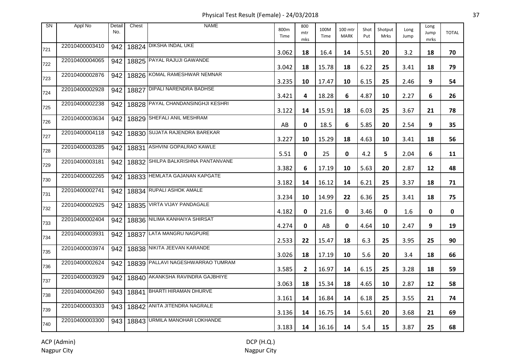Physical Test Result (Female) - 24/03/2018 37

| <b>SN</b> | Appl No        | Detail<br>No. | Chest | <b>NAME</b>                        | 800m<br>Time | 800<br>mtr<br>mks | 100M<br>Time | 100 mtr<br><b>MARK</b> | Shot<br>Put | Shotput<br>Mrks | Long<br>Jump | Long<br>Jump<br>mrks | <b>TOTAL</b> |
|-----------|----------------|---------------|-------|------------------------------------|--------------|-------------------|--------------|------------------------|-------------|-----------------|--------------|----------------------|--------------|
| 721       | 22010400003410 | 942           |       | 18824 DIKSHA INDAL UKE             | 3.062        | 18                | 16.4         | 14                     | 5.51        | 20              | 3.2          | 18                   | 70           |
| 722       | 22010400004065 | 942           |       | 18825 PAYAL RAJUJI GAWANDE         | 3.042        | 18                | 15.78        | 18                     | 6.22        | 25              | 3.41         | 18                   | 79           |
| 723       | 22010400002876 | 942           |       | 18826 KOMAL RAMESHWAR NEMNAR       | 3.235        | 10                | 17.47        | 10                     | 6.15        | 25              | 2.46         | 9                    | 54           |
| 724       | 22010400002928 | 942           | 18827 | <b>DIPALI NARENDRA BADHSE</b>      | 3.421        | 4                 | 18.28        | 6                      | 4.87        | 10              | 2.27         | 6                    | 26           |
| 725       | 22010400002238 | 942           |       | 18828 PAYAL CHANDANSINGHJI KESHRI  | 3.122        | 14                | 15.91        | 18                     | 6.03        | 25              | 3.67         | 21                   | 78           |
| 726       | 22010400003634 | 942           |       | 18829 SHEFALI ANIL MESHRAM         | AB           | 0                 | 18.5         | 6                      | 5.85        | 20              | 2.54         | 9                    | 35           |
| 727       | 22010400004118 | 942           |       | 18830 SUJATA RAJENDRA BAREKAR      | 3.227        | 10                | 15.29        | 18                     | 4.63        | 10              | 3.41         | 18                   | 56           |
| 728       | 22010400003285 | 942           | 18831 | ASHVINI GOPALRAO KAWLE             | 5.51         | 0                 | 25           | 0                      | 4.2         | 5               | 2.04         | 6                    | 11           |
| 729       | 22010400003181 | 942           |       | 18832 SHILPA BALKRISHNA PANTANVANE | 3.382        | 6                 | 17.19        | 10                     | 5.63        | 20              | 2.87         | 12                   | 48           |
| 730       | 22010400002265 | 942           |       | 18833 HEMLATA GAJANAN KAPGATE      | 3.182        | 14                | 16.12        | 14                     | 6.21        | 25              | 3.37         | 18                   | 71           |
| 731       | 22010400002741 | 942           |       | 18834 RUPALI ASHOK AMALE           | 3.234        | 10                | 14.99        | 22                     | 6.36        | 25              | 3.41         | 18                   | 75           |
| 732       | 22010400002925 | 942           |       | 18835 VIRTA VIJAY PANDAGALE        | 4.182        | 0                 | 21.6         | 0                      | 3.46        | 0               | 1.6          | 0                    | $\mathbf 0$  |
| 733       | 22010400002404 | 942           |       | 18836 NILIMA KANHAIYA SHIRSAT      | 4.274        | 0                 | AB           | 0                      | 4.64        | 10              | 2.47         | 9                    | 19           |
| 734       | 22010400003931 | 942           |       | 18837 LATA MANGRU NAGPURE          | 2.533        | 22                | 15.47        | 18                     | 6.3         | 25              | 3.95         | 25                   | 90           |
| 735       | 22010400003974 | 942           |       | 18838 NIKITA JEEVAN KARANDE        | 3.026        | 18                | 17.19        | 10                     | 5.6         | 20              | 3.4          | 18                   | 66           |
| 736       | 22010400002624 | 942           |       | 18839 PALLAVI NAGESHWARRAO TUMRAM  | 3.585        | $\overline{2}$    | 16.97        | 14                     | 6.15        | 25              | 3.28         | 18                   | 59           |
| 737       | 22010400003929 | 942           |       | 18840 AKANKSHA RAVINDRA GAJBHIYE   | 3.063        | 18                | 15.34        | 18                     | 4.65        | 10              | 2.87         | 12                   | 58           |
| 738       | 22010400004260 | 943           | 18841 | BHARTI HIRAMAN DHURVE              | 3.161        | 14                | 16.84        | 14                     | 6.18        | 25              | 3.55         | 21                   | 74           |
| 739       | 22010400003303 |               |       | 943   18842 ANITA JITENDRA NAGRALE | 3.136        | 14                | 16.75        | 14                     | 5.61        | 20              | 3.68         | 21                   | 69           |
| 740       | 22010400003300 | 943           |       | 18843 URMILA MANOHAR LOKHANDE      | 3.183        | 14                | 16.16        | 14                     | 5.4         | 15              | 3.87         | 25                   | 68           |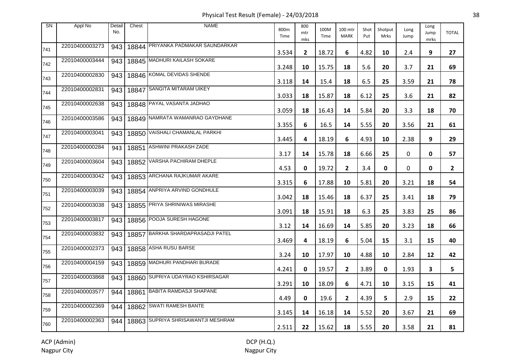Physical Test Result (Female) - 24/03/2018 38

| <b>SN</b> | Appl No        | Detail<br>No. | Chest | <b>NAME</b>                        | 800m<br>Time | 800<br>mtr<br>mks | 100M<br>Time | 100 mtr<br><b>MARK</b> | Shot<br>Put | Shotput<br><b>Mrks</b> | Long<br>Jump | Long<br>Jump<br>mrks | <b>TOTAL</b>   |
|-----------|----------------|---------------|-------|------------------------------------|--------------|-------------------|--------------|------------------------|-------------|------------------------|--------------|----------------------|----------------|
| 741       | 22010400003273 | 943           |       | 18844 PRIYANKA PADMAKAR SAUNDARKAR | 3.534        | $\mathbf{2}$      | 18.72        | 6                      | 4.82        | 10                     | 2.4          | 9                    | 27             |
| 742       | 22010400003444 | 943           |       | 18845 MADHURI KAILASH SOKARE       | 3.248        | 10                | 15.75        | 18                     | 5.6         | 20                     | 3.7          | 21                   | 69             |
| 743       | 22010400002830 | 943           |       | 18846 KOMAL DEVIDAS SHENDE         | 3.118        | 14                | 15.4         | 18                     | 6.5         | 25                     | 3.59         | 21                   | 78             |
| 744       | 22010400002831 | 943           | 18847 | <b>SANGITA MITARAM UIKEY</b>       | 3.033        | 18                | 15.87        | 18                     | 6.12        | 25                     | 3.6          | 21                   | 82             |
| 745       | 22010400002638 | 943           |       | 18848 PAYAL VASANTA JADHAO         | 3.059        | 18                | 16.43        | 14                     | 5.84        | 20                     | 3.3          | 18                   | 70             |
| 746       | 22010400003586 | 943           |       | 18849 NAMRATA WAMANRAO GAYDHANE    | 3.355        | 6                 | 16.5         | 14                     | 5.55        | 20                     | 3.56         | 21                   | 61             |
| 747       | 22010400003041 | 943           |       | 18850 VAISHALI CHAMANLAL PARKHI    | 3.445        | 4                 | 18.19        | 6                      | 4.93        | 10                     | 2.38         | 9                    | 29             |
| 748       | 22010400000284 | 943           | 18851 | <b>ASHWINI PRAKASH ZADE</b>        | 3.17         | 14                | 15.78        | 18                     | 6.66        | 25                     | 0            | 0                    | 57             |
| 749       | 22010400003604 | 943           |       | 18852 VARSHA PACHIRAM DHEPLE       | 4.53         | 0                 | 19.72        | $\mathbf{2}$           | 3.4         | 0                      | 0            | 0                    | $\overline{2}$ |
| 750       | 22010400003042 | 943           |       | 18853 ARCHANA RAJKUMAR AKARE       | 3.315        | 6                 | 17.88        | 10                     | 5.81        | 20                     | 3.21         | 18                   | 54             |
| 751       | 22010400003039 | 943           |       | 18854 ANPRIYA ARVIND GONDHULE      | 3.042        | 18                | 15.46        | 18                     | 6.37        | 25                     | 3.41         | 18                   | 79             |
| 752       | 22010400003038 | 943           |       | 18855 PRIYA SHRINIWAS MIRASHE      | 3.091        | 18                | 15.91        | 18                     | 6.3         | 25                     | 3.83         | 25                   | 86             |
| 753       | 22010400003817 | 943           |       | 18856 POOJA SURESH HAGONE          | 3.12         | 14                | 16.69        | 14                     | 5.85        | 20                     | 3.23         | 18                   | 66             |
| 754       | 22010400003832 | 943           |       | 18857 BARKHA SHARDAPRASADJI PATEL  | 3.469        | 4                 | 18.19        | 6                      | 5.04        | 15                     | 3.1          | 15                   | 40             |
| 755       | 22010400002373 | 943           |       | 18858 ASHA RUSU BARSE              | 3.24         | 10                | 17.97        | 10                     | 4.88        | 10                     | 2.84         | 12                   | 42             |
| 756       | 22010400004159 | 943           |       | 18859 MADHURI PANDHARI BURADE      | 4.241        | 0                 | 19.57        | $\overline{2}$         | 3.89        | 0                      | 1.93         | 3                    | 5              |
| 757       | 22010400003868 | 943           |       | 18860 SUPRIYA UDAYRAO KSHIRSAGAR   | 3.291        | 10                | 18.09        | 6                      | 4.71        | 10                     | 3.15         | 15                   | 41             |
| 758       | 22010400003577 | 944           |       | 18861 BABITA RAMDASJI SHAPANE      | 4.49         | 0                 | 19.6         | $\mathbf{2}$           | 4.39        | 5                      | 2.9          | 15                   | 22             |
| 759       | 22010400002369 | 944           |       | 18862 SWATI RAMESH BANTE           | 3.145        | 14                | 16.18        | 14                     | 5.52        | 20                     | 3.67         | 21                   | 69             |
| 760       | 22010400002363 | 944           |       | 18863 SUPRIYA SHRISAWANTJI MESHRAM | 2.511        | 22                | 15.62        | 18                     | 5.55        | 20                     | 3.58         | 21                   | 81             |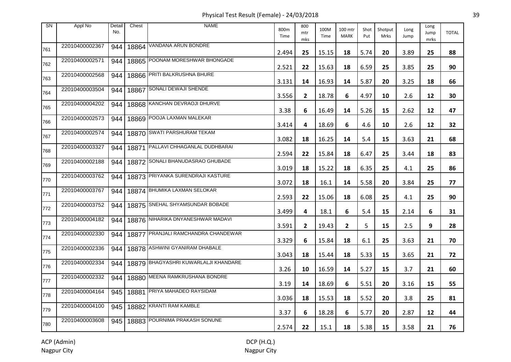Physical Test Result (Female) - 24/03/2018 39

| <b>SN</b> | Appl No        | Detail<br>No. | Chest | <b>NAME</b>                          | 800m<br>Time | 800<br>mtr<br>mks | 100M<br>Time | 100 mtr<br><b>MARK</b> | Shot<br>Put | Shotput<br>Mrks | Long<br>Jump | Long<br>Jump<br>mrks | <b>TOTAL</b> |
|-----------|----------------|---------------|-------|--------------------------------------|--------------|-------------------|--------------|------------------------|-------------|-----------------|--------------|----------------------|--------------|
| 761       | 22010400002367 | 944           |       | 18864 VANDANA ARUN BONDRE            | 2.494        | 25                | 15.15        | 18                     | 5.74        | 20              | 3.89         | 25                   | 88           |
| 762       | 22010400002571 | 944           |       | 18865 POONAM MORESHWAR BHONGADE      | 2.521        | 22                | 15.63        | 18                     | 6.59        | 25              | 3.85         | 25                   | 90           |
| 763       | 22010400002568 | 944           |       | 18866 PRITI BALKRUSHNA BHURE         | 3.131        | 14                | 16.93        | 14                     | 5.87        | 20              | 3.25         | 18                   | 66           |
| 764       | 22010400003504 | 944           | 18867 | SONALI DEWAJI SHENDE                 | 3.556        | $\mathbf{2}$      | 18.78        | 6                      | 4.97        | 10              | 2.6          | 12                   | 30           |
| 765       | 22010400004202 | 944           |       | 18868 KANCHAN DEVRAOJI DHURVE        | 3.38         | 6                 | 16.49        | 14                     | 5.26        | 15              | 2.62         | 12                   | 47           |
| 766       | 22010400002573 | 944           |       | 18869 POOJA LAXMAN MALEKAR           | 3.414        | 4                 | 18.69        | 6                      | 4.6         | 10              | 2.6          | 12                   | 32           |
| 767       | 22010400002574 | 944           |       | 18870 SWATI PARSHURAM TEKAM          | 3.082        | 18                | 16.25        | 14                     | 5.4         | 15              | 3.63         | 21                   | 68           |
| 768       | 22010400003327 | 944           | 18871 | <b>PALLAVI CHHAGANLAL DUDHBARAI</b>  | 2.594        | 22                | 15.84        | 18                     | 6.47        | 25              | 3.44         | 18                   | 83           |
| 769       | 22010400002188 | 944           |       | 18872 SONALI BHANUDASRAO GHUBADE     | 3.019        | 18                | 15.22        | 18                     | 6.35        | 25              | 4.1          | 25                   | 86           |
| 770       | 22010400003762 | 944           |       | 18873 PRIYANKA SURENDRAJI KASTURE    | 3.072        | 18                | 16.1         | 14                     | 5.58        | 20              | 3.84         | 25                   | 77           |
| 771       | 22010400003767 | 944           |       | 18874 BHUMIKA LAXMAN SELOKAR         | 2.593        | 22                | 15.06        | 18                     | 6.08        | 25              | 4.1          | 25                   | 90           |
| 772       | 22010400003752 | 944           |       | 18875 SNEHAL SHYAMSUNDAR BOBADE      | 3.499        | 4                 | 18.1         | 6                      | 5.4         | 15              | 2.14         | 6                    | 31           |
| 773       | 22010400004182 | 944           |       | 18876 NIHARIKA DNYANESHWAR MADAVI    | 3.591        | $\mathbf{2}$      | 19.43        | 2                      | 5           | 15              | 2.5          | 9                    | 28           |
| 774       | 22010400002330 | 944           |       | 18877 PRANJALI RAMCHANDRA CHANDEWAR  | 3.329        | 6                 | 15.84        | 18                     | 6.1         | 25              | 3.63         | 21                   | 70           |
| 775       | 22010400002336 | 944           |       | 18878 ASHWINI GYANIRAM DHABALE       | 3.043        | 18                | 15.44        | 18                     | 5.33        | 15              | 3.65         | 21                   | 72           |
| 776       | 22010400002334 | 944           |       | 18879 BHAGYASHRI KUWARLALJI KHANDARE | 3.26         | 10                | 16.59        | 14                     | 5.27        | 15              | 3.7          | 21                   | 60           |
| 777       | 22010400002332 | 944           |       | 18880 MEENA RAMKRUSHANA BONDRE       | 3.19         | 14                | 18.69        | 6                      | 5.51        | 20              | 3.16         | 15                   | 55           |
| 778       | 22010400004164 | 945           |       | 18881 PRIYA MAHADEO RAYSIDAM         | 3.036        | 18                | 15.53        | 18                     | 5.52        | 20              | 3.8          | 25                   | 81           |
| 779       | 22010400004100 | 945           |       | 18882 KRANTI RAM KAMBLE              | 3.37         | 6                 | 18.28        | 6                      | 5.77        | 20              | 2.87         | 12                   | 44           |
| 780       | 22010400003608 | 945           |       | 18883 POURNIMA PRAKASH SONUNE        | 2.574        | 22                | 15.1         | 18                     | 5.38        | 15              | 3.58         | 21                   | 76           |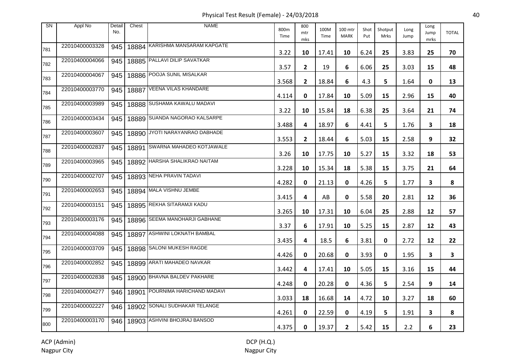Physical Test Result (Female) - 24/03/2018 40

| <b>SN</b> | Appl No        | Detail<br>No. | Chest | <b>NAME</b>                     | 800m<br>Time | 800<br>mtr<br>mks | 100M<br>Time | 100 mtr<br><b>MARK</b> | Shot<br>Put | Shotput<br><b>Mrks</b> | Long<br>Jump | Long<br>Jump<br>mrks | <b>TOTAL</b> |
|-----------|----------------|---------------|-------|---------------------------------|--------------|-------------------|--------------|------------------------|-------------|------------------------|--------------|----------------------|--------------|
| 781       | 22010400003328 | 945           |       | 18884 KARISHMA MANSARAM KAPGATE | 3.22         | 10                | 17.41        | 10                     | 6.24        | 25                     | 3.83         | 25                   | 70           |
| 782       | 22010400004066 | 945           |       | 18885 PALLAVI DILIP SAVATKAR    | 3.57         | $\overline{2}$    | 19           | 6                      | 6.06        | 25                     | 3.03         | 15                   | 48           |
| 783       | 22010400004067 | 945           |       | 18886 POOJA SUNIL MISALKAR      | 3.568        | $\mathbf{2}$      | 18.84        | 6                      | 4.3         | 5.                     | 1.64         | 0                    | 13           |
| 784       | 22010400003770 | 945           | 18887 | <b>VEENA VILAS KHANDARE</b>     | 4.114        | 0                 | 17.84        | 10                     | 5.09        | 15                     | 2.96         | 15                   | 40           |
| 785       | 22010400003989 | 945           |       | 18888 SUSHAMA KAWALU MADAVI     | 3.22         | 10                | 15.84        | 18                     | 6.38        | 25                     | 3.64         | 21                   | 74           |
| 786       | 22010400003434 | 945           |       | 18889 SUANDA NAGORAO KALSARPE   | 3.488        | 4                 | 18.97        | 6                      | 4.41        | 5.                     | 1.76         | 3                    | 18           |
| 787       | 22010400003607 | 945           |       | 18890 JYOTI NARAYANRAO DABHADE  | 3.553        | $\mathbf{2}$      | 18.44        | 6                      | 5.03        | 15                     | 2.58         | 9                    | 32           |
| 788       | 22010400002837 | 945           | 18891 | SWARNA MAHADEO KOTJAWALE        | 3.26         | 10                | 17.75        | 10                     | 5.27        | 15                     | 3.32         | 18                   | 53           |
| 789       | 22010400003965 | 945           |       | 18892 HARSHA SHALIKRAO NAITAM   | 3.228        | 10                | 15.34        | 18                     | 5.38        | 15                     | 3.75         | 21                   | 64           |
| 790       | 22010400002707 | 945           |       | 18893 NEHA PRAVIN TADAVI        | 4.282        | 0                 | 21.13        | 0                      | 4.26        | 5.                     | 1.77         | 3                    | 8            |
| 791       | 22010400002653 | 945           |       | 18894 MALA VISHNU JEMBE         | 3.415        | 4                 | AB           | 0                      | 5.58        | 20                     | 2.81         | 12                   | 36           |
| 792       | 22010400003151 | 945           |       | 18895 REKHA SITARAMJI KADU      | 3.265        | 10                | 17.31        | 10                     | 6.04        | 25                     | 2.88         | 12                   | 57           |
| 793       | 22010400003176 | 945           |       | 18896 SEEMA MANOHARJI GABHANE   | 3.37         | 6                 | 17.91        | 10                     | 5.25        | 15                     | 2.87         | 12                   | 43           |
| 794       | 22010400004088 | 945           |       | 18897 ASHWINI LOKNATH BAMBAL    | 3.435        | 4                 | 18.5         | 6                      | 3.81        | 0                      | 2.72         | 12                   | 22           |
| 795       | 22010400003709 | 945           |       | 18898 SALONI MUKESH RAGDE       | 4.426        | 0                 | 20.68        | 0                      | 3.93        | 0                      | 1.95         | 3                    | 3            |
| 796       | 22010400002852 | 945           |       | 18899 ARATI MAHADEO NAVKAR      | 3.442        | 4                 | 17.41        | 10                     | 5.05        | 15                     | 3.16         | 15                   | 44           |
| 797       | 22010400002838 | 945           |       | 18900 BHAVNA BALDEV PAKHARE     | 4.248        | 0                 | 20.28        | 0                      | 4.36        | 5                      | 2.54         | 9                    | 14           |
| 798       | 22010400004277 | 946           |       | 18901 POURNIMA HARICHAND MADAVI | 3.033        | 18                | 16.68        | 14                     | 4.72        | 10                     | 3.27         | 18                   | 60           |
| 799       | 22010400002227 | 946           |       | 18902 SONALI SUDHAKAR TELANGE   | 4.261        | 0                 | 22.59        | 0                      | 4.19        | 5                      | 1.91         | 3                    | 8            |
| 800       | 22010400003170 | 946           |       | 18903 ASHVINI BHOJRAJ BANSOD    | 4.375        | 0                 | 19.37        | $\mathbf{2}$           | 5.42        | 15                     | 2.2          | 6                    | 23           |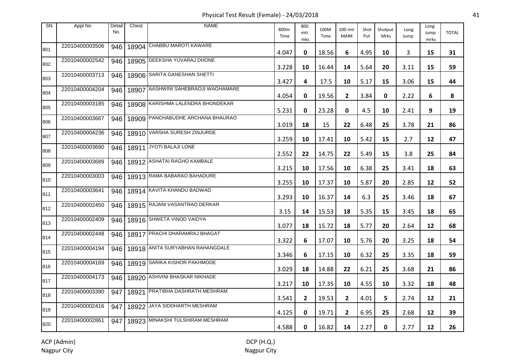Physical Test Result (Female) - 24/03/2018 41

| <b>SN</b> | Appl No        | Detail<br>No. | Chest | <b>NAME</b>                       | 800m<br>Time | 800<br>mtr<br>mks | 100M<br>Time | 100 mtr<br><b>MARK</b> | Shot<br>Put | Shotput<br>Mrks | Long<br>Jump | Long<br>Jump<br>mrks | <b>TOTAL</b> |
|-----------|----------------|---------------|-------|-----------------------------------|--------------|-------------------|--------------|------------------------|-------------|-----------------|--------------|----------------------|--------------|
| 801       | 22010400003506 | 946           |       | 18904 CHABBU MAROTI KAWARE        | 4.047        | 0                 | 18.56        | 6                      | 4.95        | 10              | 3            | 15                   | 31           |
| 802       | 22010400002542 | 946           |       | 18905 DEEKSHA YUVARAJ DHONE       | 3.228        | 10                | 16.44        | 14                     | 5.64        | 20              | 3.11         | 15                   | 59           |
| 803       | 22010400003713 | 946           |       | 18906 SARITA GANESHAN SHETTI      | 3.427        | 4                 | 17.5         | 10                     | 5.17        | 15              | 3.06         | 15                   | 44           |
| 804       | 22010400004204 | 946           | 18907 | AASHWINI SAHEBRAOJI WAGHAMARE     | 4.054        | 0                 | 19.56        | $\mathbf{2}$           | 3.84        | $\mathbf 0$     | 2.22         | 6                    | 8            |
| 805       | 22010400003185 | 946           |       | 18908 KARISHMA LALENDRA BHONDEKAR | 5.231        | 0                 | 23.28        | 0                      | 4.5         | 10              | 2.41         | 9                    | 19           |
| 806       | 22010400003667 | 946           |       | 18909 PANCHABUDHE ARCHANA BHAURAO | 3.019        | 18                | 15           | 22                     | 6.48        | 25              | 3.78         | 21                   | 86           |
| 807       | 22010400004236 | 946           |       | 18910 VARSHA SURESH ZINJURDE      | 3.259        | 10                | 17.41        | 10                     | 5.42        | 15              | 2.7          | 12                   | 47           |
| 808       | 22010400003690 | 946           | 18911 | JYOTI BALAJI LONE                 | 2.552        | 22                | 14.75        | 22                     | 5.49        | 15              | 3.8          | 25                   | 84           |
| 809       | 22010400003689 | 946           |       | 18912 ASHATAI RAGHO KAMBALE       | 3.215        | 10                | 17.56        | 10                     | 6.38        | 25              | 3.41         | 18                   | 63           |
| 810       | 22010400003003 | 946           |       | 18913 RAMA BABARAO BAHADURE       | 3.255        | 10                | 17.37        | 10                     | 5.87        | 20              | 2.85         | 12                   | 52           |
| 811       | 22010400003641 | 946           |       | 18914 KAVITA KHANDU BADWAD        | 3.293        | 10                | 16.37        | 14                     | 6.3         | 25              | 3.46         | 18                   | 67           |
| 812       | 22010400002450 | 946           |       | 18915 RAJANI VASANTRAO DERKAR     | 3.15         | 14                | 15.53        | 18                     | 5.35        | 15              | 3.45         | 18                   | 65           |
| 813       | 22010400002409 | 946           |       | 18916 SHWETA VINOD VAIDYA         | 3.077        | 18                | 15.72        | 18                     | 5.77        | 20              | 2.64         | 12                   | 68           |
| 814       | 22010400002448 | 946           |       | 18917 PRACHI DHARAMRAJ BHAGAT     | 3.322        | 6                 | 17.07        | 10                     | 5.76        | 20              | 3.25         | 18                   | 54           |
| 815       | 22010400004194 | 946           |       | 18918 ANITA SURYABHAN RAHANGDALE  | 3.346        | 6                 | 17.15        | 10                     | 6.32        | 25              | 3.35         | 18                   | 59           |
| 816       | 22010400004169 | 946           |       | 18919 SARIKA KISHOR PAKHMODE      | 3.029        | 18                | 14.88        | 22                     | 6.21        | 25              | 3.68         | 21                   | 86           |
| 817       | 22010400004173 | 946           |       | 18920 ASHVINI BHASKAR NIKHADE     | 3.217        | 10                | 17.35        | 10                     | 4.55        | 10              | 3.32         | 18                   | 48           |
| 818       | 22010400003390 | 947           |       | 18921 PRATIBHA DASHRATH MESHRAM   | 3.541        | $\mathbf{2}$      | 19.53        | $\overline{2}$         | 4.01        | 5               | 2.74         | 12                   | 21           |
| 819       | 22010400002416 | 947           |       | 18922 JAYA SIDDHARTH MESHRAM      | 4.125        | 0                 | 19.71        | $\mathbf{2}$           | 6.95        | 25              | 2.68         | 12                   | 39           |
| 820       | 22010400002861 | 947           |       | 18923 MINAKSHI TULSHIRAM MESHRAM  | 4.588        | 0                 | 16.82        | 14                     | 2.27        | 0               | 2.77         | 12                   | 26           |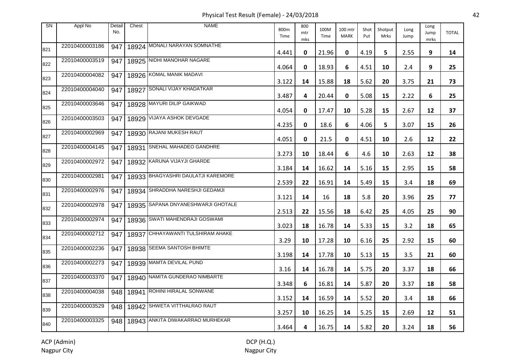Physical Test Result (Female) - 24/03/2018 42

| SN  | Appl No        | Detail<br>No. | Chest | <b>NAME</b>                        | 800m<br>Time | 800<br>mtr<br>mks | 100M<br>Time | 100 mtr<br><b>MARK</b> | Shot<br>Put | Shotput<br>Mrks | Long<br>Jump | Long<br>Jump<br>mrks | <b>TOTAL</b> |
|-----|----------------|---------------|-------|------------------------------------|--------------|-------------------|--------------|------------------------|-------------|-----------------|--------------|----------------------|--------------|
| 821 | 22010400003186 | 947           |       | 18924 MONALI NARAYAN SOMNATHE      | 4.441        | 0                 | 21.96        | 0                      | 4.19        | 5.              | 2.55         | 9                    | 14           |
| 822 | 22010400003519 | 947           |       | 18925 NIDHI MANOHAR NAGARE         | 4.064        | 0                 | 18.93        | 6                      | 4.51        | 10              | 2.4          | 9                    | 25           |
| 823 | 22010400004082 | 947           |       | 18926 KOMAL MANIK MADAVI           | 3.122        | 14                | 15.88        | 18                     | 5.62        | 20              | 3.75         | 21                   | 73           |
| 824 | 22010400004040 | 947           |       | 18927 SONALI VIJAY KHADATKAR       | 3.487        | 4                 | 20.44        | 0                      | 5.08        | 15              | 2.22         | 6                    | 25           |
| 825 | 22010400003646 | 947           |       | 18928 MAYURI DILIP GAIKWAD         | 4.054        | 0                 | 17.47        | 10                     | 5.28        | 15              | 2.67         | 12                   | 37           |
| 826 | 22010400003503 | 947           |       | 18929 VIJAYA ASHOK DEVGADE         | 4.235        | 0                 | 18.6         | 6                      | 4.06        | 5               | 3.07         | 15                   | 26           |
| 827 | 22010400002969 | 947           |       | 18930 RAJANI MUKESH RAUT           | 4.051        | 0                 | 21.5         | 0                      | 4.51        | 10              | 2.6          | 12                   | 22           |
| 828 | 22010400004145 | 947           |       | 18931 SNEHAL MAHADEO GANDHRE       | 3.273        | 10                | 18.44        | 6                      | 4.6         | 10              | 2.63         | 12                   | 38           |
| 829 | 22010400002972 | 947           |       | 18932 KARUNA VIJAYJI GHARDE        | 3.184        | 14                | 16.62        | 14                     | 5.16        | 15              | 2.95         | 15                   | 58           |
| 830 | 22010400002981 | 947           |       | 18933 BHAGYASHRI DAULATJI KAREMORE | 2.539        | 22                | 16.91        | 14                     | 5.49        | 15              | 3.4          | 18                   | 69           |
| 831 | 22010400002976 | 947           |       | 18934 SHRADDHA NARESHJI GEDAMJI    | 3.121        | 14                | 16           | 18                     | 5.8         | 20              | 3.96         | 25                   | 77           |
| 832 | 22010400002978 | 947           |       | 18935 SAPANA DNYANESHWARJI GHOTALE | 2.513        | 22                | 15.56        | 18                     | 6.42        | 25              | 4.05         | 25                   | 90           |
| 833 | 22010400002974 | 947           |       | 18936 SWATI MAHENDRAJI GOSWAMI     | 3.023        | 18                | 16.78        | 14                     | 5.33        | 15              | 3.2          | 18                   | 65           |
| 834 | 22010400002712 | 947           |       | 18937 CHHAYAWANTI TULSHIRAM AHAKE  | 3.29         | 10                | 17.28        | 10                     | 6.16        | 25              | 2.92         | 15                   | 60           |
| 835 | 22010400002236 | 947           |       | 18938 SEEMA SANTOSH BHIMTE         | 3.198        | 14                | 17.78        | 10                     | 5.13        | 15              | 3.5          | 21                   | 60           |
| 836 | 22010400002273 | 947           |       | 18939 MAMTA DEVILAL PUND           | 3.16         | 14                | 16.78        | 14                     | 5.75        | 20              | 3.37         | 18                   | 66           |
| 837 | 22010400003370 | 947           |       | 18940 NAMITA GUNDERAO NIMBARTE     | 3.348        | 6                 | 16.81        | 14                     | 5.87        | 20              | 3.37         | 18                   | 58           |
| 838 | 22010400004038 |               |       | 948   18941 ROHINI HIRALAL SONWANE | 3.152        | 14                | 16.59        | 14                     | 5.52        | 20              | 3.4          | 18                   | 66           |
| 839 | 22010400003529 | 948           |       | 18942 SHWETA VITTHALRAO RAUT       | 3.257        | 10                | 16.25        | 14                     | 5.25        | 15              | 2.69         | 12                   | 51           |
| 840 | 22010400003325 | 948           |       | 18943 ANKITA DIWAKARRAO MURHEKAR   | 3.464        | 4                 | 16.75        | 14                     | 5.82        | 20              | 3.24         | 18                   | 56           |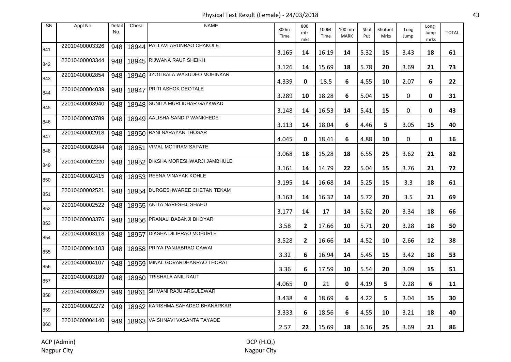Physical Test Result (Female) - 24/03/2018 43

| <b>SN</b> | Appl No        | Detail<br>No. | Chest | <b>NAME</b>                       | 800m<br>Time | 800<br>mtr<br>mks | 100M<br>Time | 100 mtr<br><b>MARK</b> | Shot<br>Put | Shotput<br>Mrks | Long<br>Jump | Long<br>Jump<br>mrks | <b>TOTAL</b> |
|-----------|----------------|---------------|-------|-----------------------------------|--------------|-------------------|--------------|------------------------|-------------|-----------------|--------------|----------------------|--------------|
| 841       | 22010400003326 | 948           |       | 18944 PALLAVI ARUNRAO CHAKOLE     | 3.165        | 14                | 16.19        | 14                     | 5.32        | 15              | 3.43         | 18                   | 61           |
| 842       | 22010400003344 | 948           |       | 18945 RIJWANA RAUF SHEIKH         | 3.126        | 14                | 15.69        | 18                     | 5.78        | 20              | 3.69         | 21                   | 73           |
| 843       | 22010400002854 | 948           |       | 18946 JYOTIBALA WASUDEO MOHINKAR  | 4.339        | 0                 | 18.5         | 6                      | 4.55        | 10              | 2.07         | 6                    | 22           |
| 844       | 22010400004039 | 948           | 18947 | <b>PRITI ASHOK DEOTALE</b>        | 3.289        | 10                | 18.28        | 6                      | 5.04        | 15              | 0            | 0                    | 31           |
| 845       | 22010400003940 | 948           |       | 18948 SUNITA MURLIDHAR GAYKWAD    | 3.148        | 14                | 16.53        | 14                     | 5.41        | 15              | 0            | 0                    | 43           |
| 846       | 22010400003789 | 948           |       | 18949 AALISHA SANDIP WANKHEDE     | 3.113        | 14                | 18.04        | 6                      | 4.46        | 5               | 3.05         | 15                   | 40           |
| 847       | 22010400002918 | 948           |       | 18950 RANI NARAYAN THOSAR         | 4.045        | 0                 | 18.41        | 6                      | 4.88        | 10              | 0            | 0                    | 16           |
| 848       | 22010400002844 | 948           | 18951 | <b>VIMAL MOTIRAM SAPATE</b>       | 3.068        | 18                | 15.28        | 18                     | 6.55        | 25              | 3.62         | 21                   | 82           |
| 849       | 22010400002220 | 948           |       | 18952 DIKSHA MORESHWARJI JAMBHULE | 3.161        | 14                | 14.79        | 22                     | 5.04        | 15              | 3.76         | 21                   | 72           |
| 850       | 22010400002415 | 948           |       | 18953 REENA VINAYAK KOHLE         | 3.195        | 14                | 16.68        | 14                     | 5.25        | 15              | 3.3          | 18                   | 61           |
| 851       | 22010400002521 | 948           |       | 18954 DURGESHWAREE CHETAN TEKAM   | 3.163        | 14                | 16.32        | 14                     | 5.72        | 20              | 3.5          | 21                   | 69           |
| 852       | 22010400002522 | 948           |       | 18955 ANITA NARESHJI SHAHU        | 3.177        | 14                | 17           | 14                     | 5.62        | 20              | 3.34         | 18                   | 66           |
| 853       | 22010400003376 | 948           |       | 18956 PRANALI BABANJI BHOYAR      | 3.58         | $\mathbf{2}$      | 17.66        | 10                     | 5.71        | 20              | 3.28         | 18                   | 50           |
| 854       | 22010400003118 | 948           |       | 18957 DIKSHA DILIPRAO MOHURLE     | 3.528        | $\mathbf{2}$      | 16.66        | 14                     | 4.52        | 10              | 2.66         | 12                   | 38           |
| 855       | 22010400004103 | 948           |       | 18958 PRIYA PANJABRAO GAWAI       | 3.32         | 6                 | 16.94        | 14                     | 5.45        | 15              | 3.42         | 18                   | 53           |
| 856       | 22010400004107 | 948           |       | 18959 MINAL GOVARDHANRAO THORAT   | 3.36         | 6                 | 17.59        | 10                     | 5.54        | 20              | 3.09         | 15                   | 51           |
| 857       | 22010400003189 | 948           |       | 18960 TRISHALA ANIL RAUT          | 4.065        | 0                 | 21           | 0                      | 4.19        | 5               | 2.28         | 6                    | 11           |
| 858       | 22010400003629 | 949           |       | 18961 SHIVANI RAJU ARGULEWAR      | 3.438        | 4                 | 18.69        | 6                      | 4.22        | 5.              | 3.04         | 15                   | 30           |
| 859       | 22010400002272 | 949           |       | 18962 KARISHMA SAHADEO BHANARKAR  | 3.333        | 6                 | 18.56        | 6                      | 4.55        | 10              | 3.21         | 18                   | 40           |
| 860       | 22010400004140 | 949           |       | 18963 VAISHNAVI VASANTA TAYADE    | 2.57         | 22                | 15.69        | 18                     | 6.16        | 25              | 3.69         | 21                   | 86           |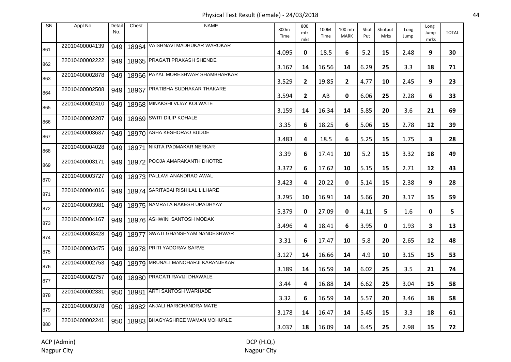Physical Test Result (Female) - 24/03/2018 44

| <b>SN</b> | Appl No        | Detail<br>No. | Chest | <b>NAME</b>                        | 800m<br>Time | 800<br>mtr<br>mks | 100M<br>Time | 100 mtr<br><b>MARK</b> | Shot<br>Put | Shotput<br>Mrks | Long<br>Jump | Long<br>Jump<br>mrks | <b>TOTAL</b> |
|-----------|----------------|---------------|-------|------------------------------------|--------------|-------------------|--------------|------------------------|-------------|-----------------|--------------|----------------------|--------------|
| 861       | 22010400004139 | 949           |       | 18964 VAISHNAVI MADHUKAR WAROKAR   | 4.095        | 0                 | 18.5         | 6                      | 5.2         | 15              | 2.48         | 9                    | 30           |
| 862       | 22010400002222 | 949           |       | 18965 PRAGATI PRAKASH SHENDE       | 3.167        | 14                | 16.56        | 14                     | 6.29        | 25              | 3.3          | 18                   | 71           |
| 863       | 22010400002878 | 949           |       | 18966 PAYAL MORESHWAR SHAMBHARKAR  | 3.529        | $\mathbf{2}$      | 19.85        | $\mathbf{2}$           | 4.77        | 10              | 2.45         | 9                    | 23           |
| 864       | 22010400002508 | 949           | 18967 | <b>PRATIBHA SUDHAKAR THAKARE</b>   | 3.594        | $\mathbf{2}$      | AB           | 0                      | 6.06        | 25              | 2.28         | 6                    | 33           |
| 865       | 22010400002410 | 949           |       | 18968 MINAKSHI VIJAY KOLWATE       | 3.159        | 14                | 16.34        | 14                     | 5.85        | 20              | 3.6          | 21                   | 69           |
| 866       | 22010400002207 | 949           |       | 18969 SWITI DILIP KOHALE           | 3.35         | 6                 | 18.25        | 6                      | 5.06        | 15              | 2.78         | 12                   | 39           |
| 867       | 22010400003637 | 949           |       | 18970 ASHA KESHORAO BUDDE          | 3.483        | 4                 | 18.5         | 6                      | 5.25        | 15              | 1.75         | 3                    | 28           |
| 868       | 22010400004028 | 949           | 18971 | NIKITA PADMAKAR NERKAR             | 3.39         | 6                 | 17.41        | 10                     | 5.2         | 15              | 3.32         | 18                   | 49           |
| 869       | 22010400003171 | 949           |       | 18972 POOJA AMARAKANTH DHOTRE      | 3.372        | 6                 | 17.62        | 10                     | 5.15        | 15              | 2.71         | 12                   | 43           |
| 870       | 22010400003727 | 949           |       | 18973 PALLAVI ANANDRAO AWAL        | 3.423        | 4                 | 20.22        | 0                      | 5.14        | 15              | 2.38         | 9                    | 28           |
| 871       | 22010400004016 | 949           |       | 18974 SARITABAI RISHILAL LILHARE   | 3.295        | 10                | 16.91        | 14                     | 5.66        | 20              | 3.17         | 15                   | 59           |
| 872       | 22010400003981 | 949           |       | 18975 NAMRATA RAKESH UPADHYAY      | 5.379        | 0                 | 27.09        | 0                      | 4.11        | 5               | 1.6          | 0                    | 5            |
| 873       | 22010400004167 | 949           |       | 18976 ASHWINI SANTOSH MODAK        | 3.496        | 4                 | 18.41        | 6                      | 3.95        | 0               | 1.93         | 3                    | 13           |
| 874       | 22010400003428 | 949           |       | 18977 SWATI GHANSHYAM NANDESHWAR   | 3.31         | 6                 | 17.47        | 10                     | 5.8         | 20              | 2.65         | 12                   | 48           |
| 875       | 22010400003475 | 949           |       | 18978 PRITI YADORAV SARVE          | 3.127        | 14                | 16.66        | 14                     | 4.9         | 10              | 3.15         | 15                   | 53           |
| 876       | 22010400002753 | 949           |       | 18979 MRUNALI MANOHARJI KARANJEKAR | 3.189        | 14                | 16.59        | 14                     | 6.02        | 25              | 3.5          | 21                   | 74           |
| 877       | 22010400002757 | 949           |       | 18980 PRAGATI RAVIJI DHAWALE       | 3.44         | 4                 | 16.88        | 14                     | 6.62        | 25              | 3.04         | 15                   | 58           |
| 878       | 22010400002331 | 950           |       | 18981 ARTI SANTOSH WARHADE         | 3.32         | 6                 | 16.59        | 14                     | 5.57        | 20              | 3.46         | 18                   | 58           |
| 879       | 22010400003078 | 950           |       | 18982 ANJALI HARICHANDRA MATE      | 3.178        | 14                | 16.47        | 14                     | 5.45        | 15              | 3.3          | 18                   | 61           |
| 880       | 22010400002241 | 950           |       | 18983 BHAGYASHREE WAMAN MOHURLE    | 3.037        | 18                | 16.09        | 14                     | 6.45        | 25              | 2.98         | 15                   | 72           |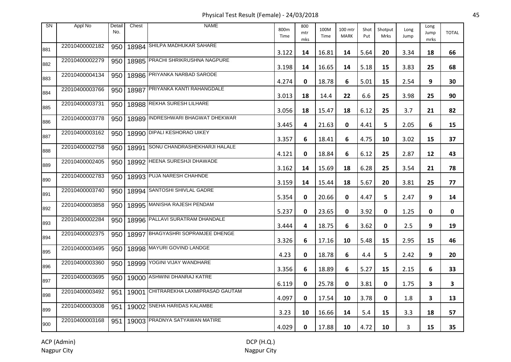Physical Test Result (Female) - 24/03/2018 45

| <b>SN</b> | Appl No        | Detail<br>No. | Chest | <b>NAME</b>                       | 800m<br>Time | 800<br>mtr<br>mks | 100M<br>Time | 100 mtr<br><b>MARK</b> | Shot<br>Put | Shotput<br><b>Mrks</b> | Long<br>Jump | Long<br>Jump<br>mrks | <b>TOTAL</b> |
|-----------|----------------|---------------|-------|-----------------------------------|--------------|-------------------|--------------|------------------------|-------------|------------------------|--------------|----------------------|--------------|
| 881       | 22010400002182 | 950           |       | 18984 SHILPA MADHUKAR SAHARE      | 3.122        | 14                | 16.81        | 14                     | 5.64        | 20                     | 3.34         | 18                   | 66           |
| 882       | 22010400002279 | 950           |       | 18985 PRACHI SHRIKRUSHNA NAGPURE  | 3.198        | 14                | 16.65        | 14                     | 5.18        | 15                     | 3.83         | 25                   | 68           |
| 883       | 22010400004134 | 950           |       | 18986 PRIYANKA NARBAD SARODE      | 4.274        | 0                 | 18.78        | 6                      | 5.01        | 15                     | 2.54         | 9                    | 30           |
| 884       | 22010400003766 | 950           | 18987 | PRIYANKA KANTI RAHANGDALE         | 3.013        | 18                | 14.4         | 22                     | 6.6         | 25                     | 3.98         | 25                   | 90           |
| 885       | 22010400003731 | 950           |       | 18988 REKHA SURESH LILHARE        | 3.056        | 18                | 15.47        | 18                     | 6.12        | 25                     | 3.7          | 21                   | 82           |
| 886       | 22010400003778 | 950           |       | 18989 INDRESHWARI BHAGWAT DHEKWAR | 3.445        | 4                 | 21.63        | 0                      | 4.41        | 5                      | 2.05         | 6                    | 15           |
| 887       | 22010400003162 | 950           |       | 18990 DIPALI KESHORAO UIKEY       | 3.357        | 6                 | 18.41        | 6                      | 4.75        | 10                     | 3.02         | 15                   | 37           |
| 888       | 22010400002758 | 950           | 18991 | SONU CHANDRASHEKHARJI HALALE      | 4.121        | 0                 | 18.84        | 6                      | 6.12        | 25                     | 2.87         | 12                   | 43           |
| 889       | 22010400002405 | 950           |       | 18992 HEENA SURESHJI DHAWADE      | 3.162        | 14                | 15.69        | 18                     | 6.28        | 25                     | 3.54         | 21                   | 78           |
| 890       | 22010400002783 | 950           |       | 18993 PUJA NARESH CHAHNDE         | 3.159        | 14                | 15.44        | 18                     | 5.67        | 20                     | 3.81         | 25                   | 77           |
| 891       | 22010400003740 | 950           |       | 18994 SANTOSHI SHIVLAL GADRE      | 5.354        | 0                 | 20.66        | 0                      | 4.47        | 5.                     | 2.47         | 9                    | 14           |
| 892       | 22010400003858 | 950           |       | 18995 MANISHA RAJESH PENDAM       | 5.237        | 0                 | 23.65        | 0                      | 3.92        | 0                      | 1.25         | 0                    | 0            |
| 893       | 22010400002284 | 950           |       | 18996 PALLAVI SURATRAM DHANDALE   | 3.444        | 4                 | 18.75        | 6                      | 3.62        | 0                      | 2.5          | 9                    | 19           |
| 894       | 22010400002375 | 950           |       | 18997 BHAGYASHRI SOPRAMJEE DHENGE | 3.326        | 6                 | 17.16        | 10                     | 5.48        | 15                     | 2.95         | 15                   | 46           |
| 895       | 22010400003495 | 950           |       | 18998 MAYURI GOVIND LANDGE        | 4.23         | 0                 | 18.78        | 6                      | 4.4         | 5                      | 2.42         | 9                    | 20           |
| 896       | 22010400003360 | 950           |       | 18999 YOGINI VIJAY WANDHARE       | 3.356        | 6                 | 18.89        | 6                      | 5.27        | 15                     | 2.15         | 6                    | 33           |
| 897       | 22010400003695 | 950           |       | 19000 ASHWINI DHANRAJ KATRE       | 6.119        | 0                 | 25.78        | 0                      | 3.81        | 0                      | 1.75         | 3                    | 3            |
| 898       | 22010400003492 | 951           | 19001 | CHITRAREKHA LAXMIPRASAD GAUTAM    | 4.097        | 0                 | 17.54        | 10                     | 3.78        | 0                      | 1.8          | 3                    | 13           |
| 899       | 22010400003008 | 951           |       | 19002 SNEHA HARIDAS KALAMBE       | 3.23         | 10                | 16.66        | 14                     | 5.4         | 15                     | 3.3          | 18                   | 57           |
| 900       | 22010400003168 | 951           |       | 19003 PRADNYA SATYAWAN MATIRE     | 4.029        | 0                 | 17.88        | 10                     | 4.72        | 10                     | 3            | 15                   | 35           |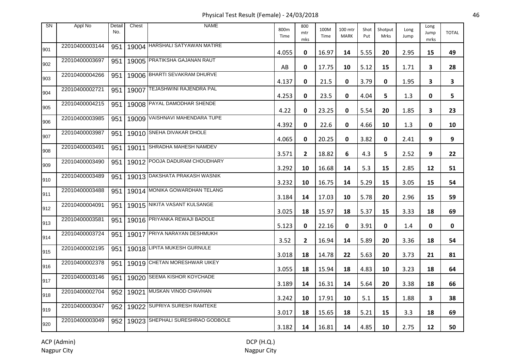Physical Test Result (Female) - 24/03/2018 46

| <b>SN</b> | Appl No        | Detail<br>No. | Chest | <b>NAME</b>                      | 800m<br>Time | 800<br>mtr<br>mks | 100M<br>Time | 100 mtr<br><b>MARK</b> | Shot<br>Put | Shotput<br>Mrks | Long<br>Jump | Long<br>Jump<br>mrks    | <b>TOTAL</b> |
|-----------|----------------|---------------|-------|----------------------------------|--------------|-------------------|--------------|------------------------|-------------|-----------------|--------------|-------------------------|--------------|
| 901       | 22010400003144 | 951           |       | 19004 HARSHALI SATYAWAN MATIRE   | 4.055        | 0                 | 16.97        | 14                     | 5.55        | 20              | 2.95         | 15                      | 49           |
| 902       | 22010400003697 | 951           |       | 19005 PRATIKSHA GAJANAN RAUT     | AB           | $\mathbf 0$       | 17.75        | 10                     | 5.12        | 15              | 1.71         | $\overline{\mathbf{3}}$ | 28           |
| 903       | 22010400004266 | 951           |       | 19006 BHARTI SEVAKRAM DHURVE     | 4.137        | 0                 | 21.5         | 0                      | 3.79        | 0               | 1.95         | 3                       | 3            |
| 904       | 22010400002721 | 951           | 19007 | <b>TEJASHWINI RAJENDRA PAL</b>   | 4.253        | 0                 | 23.5         | 0                      | 4.04        | 5               | 1.3          | 0                       | 5            |
| 905       | 22010400004215 | 951           |       | 19008 PAYAL DAMODHAR SHENDE      | 4.22         | 0                 | 23.25        | 0                      | 5.54        | 20              | 1.85         | 3                       | 23           |
| 906       | 22010400003985 | 951           |       | 19009 VAISHNAVI MAHENDARA TUPE   | 4.392        | 0                 | 22.6         | 0                      | 4.66        | 10              | 1.3          | 0                       | 10           |
| 907       | 22010400003987 | 951           |       | 19010 SNEHA DIVAKAR DHOLE        | 4.065        | 0                 | 20.25        | 0                      | 3.82        | 0               | 2.41         | 9                       | 9            |
| 908       | 22010400003491 | 951           |       | 19011 SHRADHA MAHESH NAMDEV      | 3.571        | $\mathbf{2}$      | 18.82        | 6                      | 4.3         | 5.              | 2.52         | 9                       | 22           |
| 909       | 22010400003490 | 951           |       | 19012 POOJA DADURAM CHOUDHARY    | 3.292        | 10                | 16.68        | 14                     | 5.3         | 15              | 2.85         | 12                      | 51           |
| 910       | 22010400003489 | 951           |       | 19013 DAKSHATA PRAKASH WASNIK    | 3.232        | 10                | 16.75        | 14                     | 5.29        | 15              | 3.05         | 15                      | 54           |
| 911       | 22010400003488 | 951           |       | 19014 MONIKA GOWARDHAN TELANG    | 3.184        | 14                | 17.03        | 10                     | 5.78        | 20              | 2.96         | 15                      | 59           |
| 912       | 22010400004091 | 951           |       | 19015 NIKITA VASANT KULSANGE     | 3.025        | 18                | 15.97        | 18                     | 5.37        | 15              | 3.33         | 18                      | 69           |
| 913       | 22010400003581 | 951           |       | 19016 PRIYANKA REWAJI BADOLE     | 5.123        | 0                 | 22.16        | 0                      | 3.91        | 0               | 1.4          | 0                       | 0            |
| 914       | 22010400003724 | 951           |       | 19017 PRIYA NARAYAN DESHMUKH     | 3.52         | $\mathbf{2}$      | 16.94        | 14                     | 5.89        | 20              | 3.36         | 18                      | 54           |
| 915       | 22010400002195 | 951           |       | 19018 LIPITA MUKESH GURNULE      | 3.018        | 18                | 14.78        | 22                     | 5.63        | 20              | 3.73         | 21                      | 81           |
| 916       | 22010400002378 | 951           |       | 19019 CHETAN MORESHWAR UIKEY     | 3.055        | 18                | 15.94        | 18                     | 4.83        | 10              | 3.23         | 18                      | 64           |
| 917       | 22010400003146 | 951           |       | 19020 SEEMA KISHOR KOYCHADE      | 3.189        | 14                | 16.31        | 14                     | 5.64        | 20              | 3.38         | 18                      | 66           |
| 918       | 22010400002704 | 952           |       | 19021 MUSKAN VINOD CHAVHAN       | 3.242        | 10                | 17.91        | 10                     | 5.1         | 15              | 1.88         | 3                       | 38           |
| 919       | 22010400003047 | 952           |       | 19022 SUPRIYA SURESH RAMTEKE     | 3.017        | 18                | 15.65        | 18                     | 5.21        | 15              | 3.3          | 18                      | 69           |
| 920       | 22010400003049 | 952           |       | 19023 SHEPHALI SURESHRAO GODBOLE | 3.182        | 14                | 16.81        | 14                     | 4.85        | 10              | 2.75         | 12                      | 50           |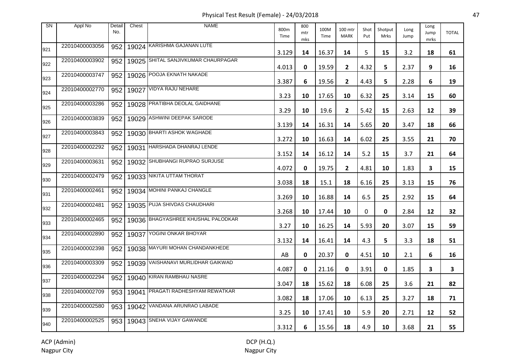Physical Test Result (Female) - 24/03/2018 47

| SN  | Appl No        | Detail<br>No. | Chest | <b>NAME</b>                         | 800m<br>Time | 800<br>mtr<br>mks | 100M<br>Time | 100 mtr<br><b>MARK</b> | Shot<br>Put | Shotput<br><b>Mrks</b> | Long<br>Jump | Long<br>Jump<br>mrks | <b>TOTAL</b> |
|-----|----------------|---------------|-------|-------------------------------------|--------------|-------------------|--------------|------------------------|-------------|------------------------|--------------|----------------------|--------------|
| 921 | 22010400003056 | 952           |       | 19024 KARISHMA GAJANAN LUTE         | 3.129        | 14                | 16.37        | 14                     | 5           | 15                     | 3.2          | 18                   | 61           |
| 922 | 22010400003902 | 952           |       | 19025 SHITAL SANJIVKUMAR CHAURPAGAR | 4.013        | 0                 | 19.59        | $\mathbf{2}$           | 4.32        | 5                      | 2.37         | 9                    | 16           |
| 923 | 22010400003747 | 952           |       | 19026 POOJA EKNATH NAKADE           | 3.387        | 6                 | 19.56        | $\mathbf{2}$           | 4.43        | 5.                     | 2.28         | 6                    | 19           |
| 924 | 22010400002770 | 952           | 19027 | VIDYA RAJU NEHARE                   | 3.23         | 10                | 17.65        | 10                     | 6.32        | 25                     | 3.14         | 15                   | 60           |
| 925 | 22010400003286 | 952           |       | 19028 PRATIBHA DEOLAL GAIDHANE      | 3.29         | 10                | 19.6         | $\mathbf{2}$           | 5.42        | 15                     | 2.63         | 12                   | 39           |
| 926 | 22010400003839 | 952           |       | 19029 ASHWINI DEEPAK SARODE         | 3.139        | 14                | 16.31        | 14                     | 5.65        | 20                     | 3.47         | 18                   | 66           |
| 927 | 22010400003843 | 952           |       | 19030 BHARTI ASHOK WAGHADE          | 3.272        | 10                | 16.63        | 14                     | 6.02        | 25                     | 3.55         | 21                   | 70           |
| 928 | 22010400002292 | 952           | 19031 | HARSHADA DHANRAJ LENDE              | 3.152        | 14                | 16.12        | 14                     | 5.2         | 15                     | 3.7          | 21                   | 64           |
| 929 | 22010400003631 | 952           |       | 19032 SHUBHANGI RUPRAO SURJUSE      | 4.072        | 0                 | 19.75        | $\mathbf{2}$           | 4.81        | 10                     | 1.83         | 3                    | 15           |
| 930 | 22010400002479 | 952           |       | 19033 NIKITA UTTAM THORAT           | 3.038        | 18                | 15.1         | 18                     | 6.16        | 25                     | 3.13         | 15                   | 76           |
| 931 | 22010400002461 | 952           |       | 19034 MOHINI PANKAJ CHANGLE         | 3.269        | 10                | 16.88        | 14                     | 6.5         | 25                     | 2.92         | 15                   | 64           |
| 932 | 22010400002481 | 952           |       | 19035 PUJA SHIVDAS CHAUDHARI        | 3.268        | 10                | 17.44        | 10                     | 0           | 0                      | 2.84         | 12                   | 32           |
| 933 | 22010400002465 | 952           |       | 19036 BHAGYASHREE KHUSHAL PALODKAR  | 3.27         | 10                | 16.25        | 14                     | 5.93        | 20                     | 3.07         | 15                   | 59           |
| 934 | 22010400002890 | 952           |       | 19037 YOGINI ONKAR BHOYAR           | 3.132        | 14                | 16.41        | 14                     | 4.3         | 5                      | 3.3          | 18                   | 51           |
| 935 | 22010400002398 | 952           |       | 19038 MAYURI MOHAN CHANDANKHEDE     | AB           | 0                 | 20.37        | 0                      | 4.51        | 10                     | 2.1          | 6                    | 16           |
| 936 | 22010400003309 | 952           |       | 19039 VAISHANAVI MURLIDHAR GAIKWAD  | 4.087        | 0                 | 21.16        | 0                      | 3.91        | 0                      | 1.85         | 3                    | 3            |
| 937 | 22010400002294 | 952           |       | 19040 KIRAN RAMBHAU NASRE           | 3.047        | 18                | 15.62        | 18                     | 6.08        | 25                     | 3.6          | 21                   | 82           |
| 938 | 22010400002709 | 953           | 19041 | <b>PRAGATI RADHESHYAM REWATKAR</b>  | 3.082        | 18                | 17.06        | 10                     | 6.13        | 25                     | 3.27         | 18                   | 71           |
| 939 | 22010400002580 | 953           |       | 19042 VANDANA ARUNRAO LABADE        | 3.25         | 10                | 17.41        | 10                     | 5.9         | 20                     | 2.71         | 12                   | 52           |
| 940 | 22010400002525 | 953           |       | 19043 SNEHA VIJAY GAWANDE           | 3.312        | 6                 | 15.56        | 18                     | 4.9         | 10                     | 3.68         | 21                   | 55           |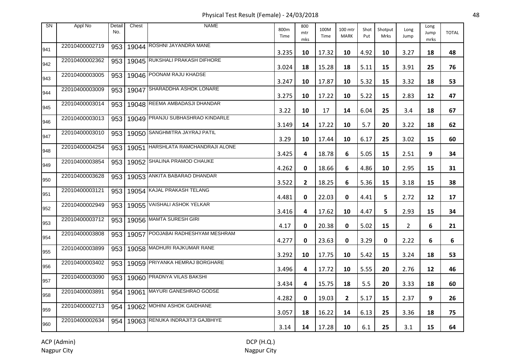Physical Test Result (Female) - 24/03/2018 48

| <b>SN</b> | Appl No        | Detail<br>No. | Chest | <b>NAME</b>                       | 800m<br>Time | 800<br>mtr<br>mks | 100M<br>Time | 100 mtr<br><b>MARK</b> | Shot<br>Put | Shotput<br><b>Mrks</b> | Long<br>Jump | Long<br>Jump<br>mrks | <b>TOTAL</b> |
|-----------|----------------|---------------|-------|-----------------------------------|--------------|-------------------|--------------|------------------------|-------------|------------------------|--------------|----------------------|--------------|
| 941       | 22010400002719 | 953           |       | 19044 ROSHNI JAYANDRA MANE        | 3.235        | 10                | 17.32        | 10                     | 4.92        | 10                     | 3.27         | 18                   | 48           |
| 942       | 22010400002362 | 953           |       | 19045 RUKSHALI PRAKASH DIFHORE    | 3.024        | 18                | 15.28        | 18                     | 5.11        | 15                     | 3.91         | 25                   | 76           |
| 943       | 22010400003005 | 953           |       | 19046 POONAM RAJU KHADSE          | 3.247        | 10                | 17.87        | 10                     | 5.32        | 15                     | 3.32         | 18                   | 53           |
| 944       | 22010400003009 | 953           | 19047 | SHARADDHA ASHOK LONARE            | 3.275        | 10                | 17.22        | 10                     | 5.22        | 15                     | 2.83         | 12                   | 47           |
| 945       | 22010400003014 | 953           |       | 19048 REEMA AMBADASJI DHANDAR     | 3.22         | 10                | 17           | 14                     | 6.04        | 25                     | 3.4          | 18                   | 67           |
| 946       | 22010400003013 | 953           |       | 19049 PRANJU SUBHASHRAO KINDARLE  | 3.149        | 14                | 17.22        | 10                     | 5.7         | 20                     | 3.22         | 18                   | 62           |
| 947       | 22010400003010 | 953           |       | 19050 SANGHMITRA JAYRAJ PATIL     | 3.29         | 10                | 17.44        | 10                     | 6.17        | 25                     | 3.02         | 15                   | 60           |
| 948       | 22010400004254 | 953           | 19051 | HARSHLATA RAMCHANDRAJI ALONE      | 3.425        | 4                 | 18.78        | 6                      | 5.05        | 15                     | 2.51         | 9                    | 34           |
| 949       | 22010400003854 | 953           |       | 19052 SHALINA PRAMOD CHAUKE       | 4.262        | 0                 | 18.66        | 6                      | 4.86        | 10                     | 2.95         | 15                   | 31           |
| 950       | 22010400003628 | 953           |       | 19053 ANKITA BABARAO DHANDAR      | 3.522        | $\mathbf{2}$      | 18.25        | 6                      | 5.36        | 15                     | 3.18         | 15                   | 38           |
| 951       | 22010400003121 | 953           |       | 19054 KAJAL PRAKASH TELANG        | 4.481        | 0                 | 22.03        | 0                      | 4.41        | 5.                     | 2.72         | 12                   | 17           |
| 952       | 22010400002949 | 953           |       | 19055 VAISHALI ASHOK YELKAR       | 3.416        | 4                 | 17.62        | 10                     | 4.47        | 5                      | 2.93         | 15                   | 34           |
| 953       | 22010400003712 | 953           |       | 19056 MAMTA SURESH GIRI           | 4.17         | 0                 | 20.38        | 0                      | 5.02        | 15                     | $\mathbf{2}$ | 6                    | 21           |
| 954       | 22010400003808 | 953           |       | 19057 POOJABAI RADHESHYAM MESHRAM | 4.277        | 0                 | 23.63        | 0                      | 3.29        | 0                      | 2.22         | 6                    | 6            |
| 955       | 22010400003899 | 953           |       | 19058 MADHURI RAJKUMAR RANE       | 3.292        | 10                | 17.75        | 10                     | 5.42        | 15                     | 3.24         | 18                   | 53           |
| 956       | 22010400003402 | 953           |       | 19059 PRIYANKA HEMRAJ BORGHARE    | 3.496        | 4                 | 17.72        | 10                     | 5.55        | 20                     | 2.76         | 12                   | 46           |
| 957       | 22010400003090 | 953           |       | 19060 PRADNYA VILAS BAKSHI        | 3.434        | 4                 | 15.75        | 18                     | 5.5         | 20                     | 3.33         | 18                   | 60           |
| 958       | 22010400003891 | 954           |       | 19061 MAYURI GANESHRAO GODSE      | 4.282        | 0                 | 19.03        | $\mathbf{2}$           | 5.17        | 15                     | 2.37         | 9                    | 26           |
| 959       | 22010400002713 | 954           |       | 19062 MOHINI ASHOK GAIDHANE       | 3.057        | 18                | 16.22        | 14                     | 6.13        | 25                     | 3.36         | 18                   | 75           |
| 960       | 22010400002634 | 954           |       | 19063 RENUKA INDRAJITJI GAJBHIYE  | 3.14         | 14                | 17.28        | 10                     | 6.1         | 25                     | 3.1          | 15                   | 64           |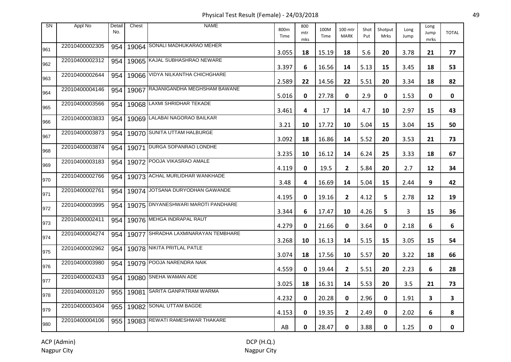Physical Test Result (Female) - 24/03/2018 49

| <b>SN</b> | Appl No        | Detail<br>No. | Chest | <b>NAME</b>                         | 800m<br>Time | 800<br>mtr<br>mks | 100M<br>Time | 100 mtr<br><b>MARK</b> | Shot<br>Put | Shotput<br><b>Mrks</b> | Long<br>Jump | Long<br>Jump<br>mrks | <b>TOTAL</b> |
|-----------|----------------|---------------|-------|-------------------------------------|--------------|-------------------|--------------|------------------------|-------------|------------------------|--------------|----------------------|--------------|
| 961       | 22010400002305 | 954           |       | 19064 SONALI MADHUKARAO MEHER       | 3.055        | 18                | 15.19        | 18                     | 5.6         | 20                     | 3.78         | 21                   | 77           |
| 962       | 22010400002312 | 954           |       | 19065 KAJAL SUBHASHRAO NEWARE       | 3.397        | 6                 | 16.56        | 14                     | 5.13        | 15                     | 3.45         | 18                   | 53           |
| 963       | 22010400002644 | 954           |       | 19066 VIDYA NILKANTHA CHICHGHARE    | 2.589        | 22                | 14.56        | 22                     | 5.51        | 20                     | 3.34         | 18                   | 82           |
| 964       | 22010400004146 | 954           | 19067 | RAJANIGANDHA MEGHSHAM BAWANE        | 5.016        | 0                 | 27.78        | 0                      | 2.9         | 0                      | 1.53         | 0                    | 0            |
| 965       | 22010400003566 | 954           |       | 19068 LAXMI SHRIDHAR TEKADE         | 3.461        | 4                 | 17           | 14                     | 4.7         | 10                     | 2.97         | 15                   | 43           |
| 966       | 22010400003833 | 954           |       | 19069 LALABAI NAGORAO BAILKAR       | 3.21         | 10                | 17.72        | 10                     | 5.04        | 15                     | 3.04         | 15                   | 50           |
| 967       | 22010400003873 | 954           |       | 19070 SUNITA UTTAM HALBURGE         | 3.092        | 18                | 16.86        | 14                     | 5.52        | 20                     | 3.53         | 21                   | 73           |
| 968       | 22010400003874 | 954           | 19071 | DURGA SOPANRAO LONDHE               | 3.235        | 10                | 16.12        | 14                     | 6.24        | 25                     | 3.33         | 18                   | 67           |
| 969       | 22010400003183 | 954           |       | 19072 POOJA VIKASRAO AMALE          | 4.119        | 0                 | 19.5         | $\mathbf{2}$           | 5.84        | 20                     | 2.7          | 12                   | 34           |
| 970       | 22010400002766 | 954           |       | 19073 ACHAL MURLIDHAR WANKHADE      | 3.48         | 4                 | 16.69        | 14                     | 5.04        | 15                     | 2.44         | 9                    | 42           |
| 971       | 22010400002761 | 954           |       | 19074 JOTSANA DURYODHAN GAWANDE     | 4.195        | 0                 | 19.16        | $\mathbf{2}$           | 4.12        | 5.                     | 2.78         | 12                   | 19           |
| 972       | 22010400003995 | 954           |       | 19075 DNYANESHWARI MAROTI PANDHARE  | 3.344        | 6                 | 17.47        | 10                     | 4.26        | 5                      | 3            | 15                   | 36           |
| 973       | 22010400002411 | 954           |       | 19076 MEHGA INDRAPAL RAUT           | 4.279        | 0                 | 21.66        | 0                      | 3.64        | 0                      | 2.18         | 6                    | 6            |
| 974       | 22010400004274 | 954           |       | 19077 SHRADHA LAXMINARAYAN TEMBHARE | 3.268        | 10                | 16.13        | 14                     | 5.15        | 15                     | 3.05         | 15                   | 54           |
| 975       | 22010400002962 | 954           |       | 19078 NIKITA PRITLAL PATLE          | 3.074        | 18                | 17.56        | 10                     | 5.57        | 20                     | 3.22         | 18                   | 66           |
| 976       | 22010400003980 | 954           |       | 19079 POOJA NARENDRA NAIK           | 4.559        | 0                 | 19.44        | $\mathbf{2}$           | 5.51        | 20                     | 2.23         | 6                    | 28           |
| 977       | 22010400002433 | 954           |       | 19080 SNEHA WAMAN ADE               | 3.025        | 18                | 16.31        | 14                     | 5.53        | 20                     | 3.5          | 21                   | 73           |
| 978       | 22010400003120 | 955           |       | 19081 SARITA GANPATRAM WARMA        | 4.232        | 0                 | 20.28        | 0                      | 2.96        | 0                      | 1.91         | 3                    | 3            |
| 979       | 22010400003404 | 955           |       | 19082 SONAL UTTAM BAGDE             | 4.153        | 0                 | 19.35        | $\overline{2}$         | 2.49        | 0                      | 2.02         | 6                    | 8            |
| 980       | 22010400004106 | 955           |       | 19083 REWATI RAMESHWAR THAKARE      | AB           | 0                 | 28.47        | 0                      | 3.88        | 0                      | 1.25         | 0                    | 0            |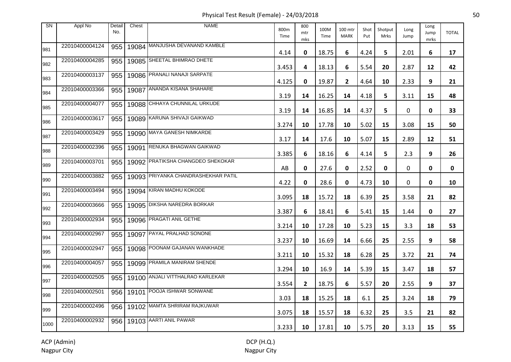Physical Test Result (Female) - 24/03/2018 50

| <b>SN</b> | Appl No        | Detail<br>No. | Chest | <b>NAME</b>                         | 800m<br>Time | 800<br>mtr<br>mks | 100M<br>Time | 100 mtr<br><b>MARK</b> | Shot<br>Put | Shotput<br><b>Mrks</b> | Long<br>Jump | Long<br>Jump<br>mrks | <b>TOTAL</b> |
|-----------|----------------|---------------|-------|-------------------------------------|--------------|-------------------|--------------|------------------------|-------------|------------------------|--------------|----------------------|--------------|
| 981       | 22010400004124 | 955           |       | 19084 MANJUSHA DEVANAND KAMBLE      | 4.14         | 0                 | 18.75        | 6                      | 4.24        | 5.                     | 2.01         | 6                    | 17           |
| 982       | 22010400004285 | 955           |       | 19085 SHEETAL BHIMRAO DHETE         | 3.453        | 4                 | 18.13        | 6                      | 5.54        | 20                     | 2.87         | 12                   | 42           |
| 983       | 22010400003137 | 955           |       | 19086 PRANALI NANAJI SARPATE        | 4.125        | 0                 | 19.87        | $\mathbf{2}$           | 4.64        | 10                     | 2.33         | 9                    | 21           |
| 984       | 22010400003366 | 955           | 19087 | ANANDA KISANA SHAHARE               | 3.19         | 14                | 16.25        | 14                     | 4.18        | 5                      | 3.11         | 15                   | 48           |
| 985       | 22010400004077 | 955           |       | 19088 CHHAYA CHUNNILAL URKUDE       | 3.19         | 14                | 16.85        | 14                     | 4.37        | 5.                     | 0            | 0                    | 33           |
| 986       | 22010400003617 | 955           |       | 19089 KARUNA SHIVAJI GAIKWAD        | 3.274        | 10                | 17.78        | 10                     | 5.02        | 15                     | 3.08         | 15                   | 50           |
| 987       | 22010400003429 | 955           |       | 19090 MAYA GANESH NIMKARDE          | 3.17         | 14                | 17.6         | 10                     | 5.07        | 15                     | 2.89         | 12                   | 51           |
| 988       | 22010400002396 | 955           | 19091 | RENUKA BHAGWAN GAIKWAD              | 3.385        | 6                 | 18.16        | 6                      | 4.14        | 5.                     | 2.3          | 9                    | 26           |
| 989       | 22010400003701 | 955           |       | 19092 PRATIKSHA CHANGDEO SHEKOKAR   | AB           | 0                 | 27.6         | 0                      | 2.52        | 0                      | 0            | 0                    | 0            |
| 990       | 22010400003882 | 955           |       | 19093 PRIYANKA CHANDRASHEKHAR PATIL | 4.22         | 0                 | 28.6         | 0                      | 4.73        | 10                     | 0            | 0                    | 10           |
| 991       | 22010400003494 | 955           |       | 19094 KIRAN MADHU KOKODE            | 3.095        | 18                | 15.72        | 18                     | 6.39        | 25                     | 3.58         | 21                   | 82           |
| 992       | 22010400003666 | 955           |       | 19095 DIKSHA NAREDRA BORKAR         | 3.387        | 6                 | 18.41        | 6                      | 5.41        | 15                     | 1.44         | 0                    | 27           |
| 993       | 22010400002934 | 955           |       | 19096 PRAGATI ANIL GETHE            | 3.214        | 10                | 17.28        | 10                     | 5.23        | 15                     | 3.3          | 18                   | 53           |
| 994       | 22010400002967 | 955           |       | 19097 PAYAL PRALHAD SONONE          | 3.237        | 10                | 16.69        | 14                     | 6.66        | 25                     | 2.55         | 9                    | 58           |
| 995       | 22010400002947 | 955           |       | 19098 POONAM GAJANAN WANKHADE       | 3.211        | 10                | 15.32        | 18                     | 6.28        | 25                     | 3.72         | 21                   | 74           |
| 996       | 22010400004057 | 955           |       | 19099 PRAMILA MANIRAM SHENDE        | 3.294        | 10                | 16.9         | 14                     | 5.39        | 15                     | 3.47         | 18                   | 57           |
| 997       | 22010400002505 | 955           |       | 19100 ANJALI VITTHALRAO KARLEKAR    | 3.554        | $\mathbf{2}$      | 18.75        | 6                      | 5.57        | 20                     | 2.55         | 9                    | 37           |
| 998       | 22010400002501 |               |       | 956   19101 POOJA ISHWAR SONWANE    | 3.03         | 18                | 15.25        | 18                     | 6.1         | 25                     | 3.24         | 18                   | 79           |
| 999       | 22010400002496 |               |       | 956   19102 MAMTA SHRIRAM RAJKUWAR  | 3.075        | 18                | 15.57        | 18                     | 6.32        | 25                     | 3.5          | 21                   | 82           |
| 1000      | 22010400002932 |               |       | 956   19103   AARTI ANIL PAWAR      | 3.233        | 10                | 17.81        | 10                     | 5.75        | 20                     | 3.13         | 15                   | 55           |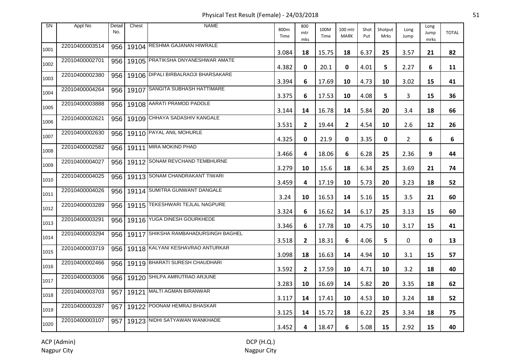Physical Test Result (Female) - 24/03/2018 51

| <b>SN</b> | Appl No        | Detail<br>No. | Chest | <b>NAME</b>                               | 800m<br>Time | 800<br>mtr<br>mks | 100M<br>Time | 100 mtr<br><b>MARK</b> | Shot<br>Put | Shotput<br>Mrks | Long<br>Jump   | Long<br>Jump<br>mrks | <b>TOTAL</b> |
|-----------|----------------|---------------|-------|-------------------------------------------|--------------|-------------------|--------------|------------------------|-------------|-----------------|----------------|----------------------|--------------|
| 1001      | 22010400003514 |               |       | 956   19104 RESHMA GAJANAN HIWRALE        | 3.084        | 18                | 15.75        | 18                     | 6.37        | 25              | 3.57           | 21                   | 82           |
| 1002      | 22010400002701 |               |       | 956   19105 PRATIKSHA DNYANESHWAR AMATE   | 4.382        | 0                 | 20.1         | 0                      | 4.01        | 5               | 2.27           | 6                    | 11           |
| 1003      | 22010400002380 |               |       | 956   19106 DIPALI BIRBALRAOJI BHARSAKARE | 3.394        | 6                 | 17.69        | 10                     | 4.73        | 10              | 3.02           | 15                   | 41           |
| 1004      | 22010400004264 |               |       | 956   19107 SANGITA SUBHASH HATTIMARE     | 3.375        | 6                 | 17.53        | 10                     | 4.08        | 5               | 3              | 15                   | 36           |
| 1005      | 22010400003888 |               |       | 956   19108 AARATI PRAMOD PADOLE          | 3.144        | 14                | 16.78        | 14                     | 5.84        | 20              | 3.4            | 18                   | 66           |
| 1006      | 22010400002621 |               |       | 956   19109 CHHAYA SADASHIV KANGALE       | 3.531        | $\mathbf{2}$      | 19.44        | $\mathbf{2}$           | 4.54        | 10              | 2.6            | 12                   | 26           |
| 1007      | 22010400002630 | 956           |       | 19110 PAYAL ANIL MOHURLE                  | 4.325        | 0                 | 21.9         | 0                      | 3.35        | 0               | $\overline{2}$ | 6                    | 6            |
| 1008      | 22010400002582 |               |       | 956   19111 MIRA MOKIND PHAD              | 3.466        | 4                 | 18.06        | 6                      | 6.28        | 25              | 2.36           | 9                    | 44           |
| 1009      | 22010400004027 | 956           |       | 19112 SONAM REVCHAND TEMBHURNE            | 3.279        | 10                | 15.6         | 18                     | 6.34        | 25              | 3.69           | 21                   | 74           |
| 1010      | 22010400004025 |               |       | 956   19113 SONAM CHANDRAKANT TIWARI      | 3.459        | 4                 | 17.19        | 10                     | 5.73        | 20              | 3.23           | 18                   | 52           |
| 1011      | 22010400004026 | 956           |       | 19114 SUMITRA GUNWANT DANGALE             | 3.24         | 10                | 16.53        | 14                     | 5.16        | 15              | 3.5            | 21                   | 60           |
| 1012      | 22010400003289 |               |       | 956   19115   TEKESHWARI TEJLAL NAGPURE   | 3.324        | 6                 | 16.62        | 14                     | 6.17        | 25              | 3.13           | 15                   | 60           |
| 1013      | 22010400003291 |               |       | 956   19116 YUGA DINESH GOURKHEDE         | 3.346        | 6                 | 17.78        | 10                     | 4.75        | 10              | 3.17           | 15                   | 41           |
| 1014      | 22010400003294 |               |       | 956 19117 SHIKSHA RAMBAHADURSINGH BAGHEL  | 3.518        | $\mathbf{2}$      | 18.31        | 6                      | 4.06        | 5               | 0              | 0                    | 13           |
| 1015      | 22010400003719 |               |       | 956   19118 KALYANI KESHAVRAO ANTURKAR    | 3.098        | 18                | 16.63        | 14                     | 4.94        | 10              | 3.1            | 15                   | 57           |
| 1016      | 22010400002466 |               |       | 956   19119 BHARATI SURESH CHAUDHARI      | 3.592        | $\mathbf{2}$      | 17.59        | 10                     | 4.71        | 10              | 3.2            | 18                   | 40           |
| 1017      | 22010400003006 |               |       | 956   19120 SHILPA AMRUTRAO ARJUNE        | 3.283        | 10                | 16.69        | 14                     | 5.82        | 20              | 3.35           | 18                   | 62           |
| 1018      | 22010400003703 |               |       | 957   19121 MALTI AGMAN BIRANWAR          | 3.117        | 14                | 17.41        | 10                     | 4.53        | 10              | 3.24           | 18                   | 52           |
| 1019      | 22010400003287 |               |       | 957   19122 POONAM HEMRAJ BHASKAR         | 3.125        | 14                | 15.72        | 18                     | 6.22        | 25              | 3.34           | 18                   | 75           |
| 1020      | 22010400003107 | 957           |       | 19123 NIDHI SATYAWAN WANKHADE             | 3.452        | 4                 | 18.47        | 6                      | 5.08        | 15              | 2.92           | 15                   | 40           |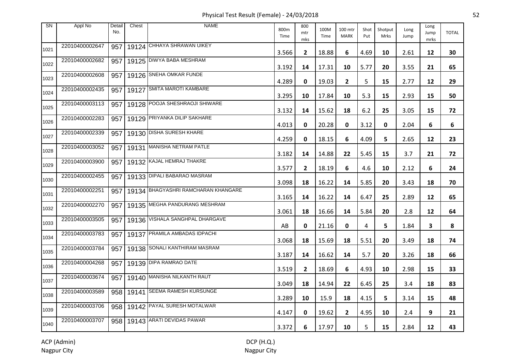Physical Test Result (Female) - 24/03/2018 52

| <b>SN</b> | Appl No        | Detail<br>No. | Chest | <b>NAME</b>                           | 800m<br>Time | 800<br>mtr<br>mks | 100M<br>Time | 100 mtr<br><b>MARK</b> | Shot<br>Put | Shotput<br>Mrks | Long<br>Jump | Long<br>Jump<br>mrks | <b>TOTAL</b> |
|-----------|----------------|---------------|-------|---------------------------------------|--------------|-------------------|--------------|------------------------|-------------|-----------------|--------------|----------------------|--------------|
| 1021      | 22010400002647 |               |       | 957   19124 CHHAYA SHRAWAN UIKEY      | 3.566        | $\mathbf{2}$      | 18.88        | 6                      | 4.69        | 10              | 2.61         | 12                   | 30           |
| 1022      | 22010400002682 |               |       | 957   19125 DIWYA BABA MESHRAM        | 3.192        | 14                | 17.31        | 10                     | 5.77        | 20              | 3.55         | 21                   | 65           |
| 1023      | 22010400002608 |               |       | 957   19126 SNEHA OMKAR FUNDE         | 4.289        | 0                 | 19.03        | $\overline{2}$         | 5           | 15              | 2.77         | 12                   | 29           |
| 1024      | 22010400002435 |               |       | 957   19127 SMITA MAROTI KAMBARE      | 3.295        | 10                | 17.84        | 10                     | 5.3         | 15              | 2.93         | 15                   | 50           |
| 1025      | 22010400003113 |               |       | 957   19128 POOJA SHESHRAOJI SHIWARE  | 3.132        | 14                | 15.62        | 18                     | 6.2         | 25              | 3.05         | 15                   | 72           |
| 1026      | 22010400002283 |               |       | 957   19129 PRIYANKA DILIP SAKHARE    | 4.013        | 0                 | 20.28        | 0                      | 3.12        | 0               | 2.04         | 6                    | 6            |
| 1027      | 22010400002339 |               |       | 957   19130 DISHA SURESH KHARE        | 4.259        | 0                 | 18.15        | 6                      | 4.09        | 5               | 2.65         | 12                   | 23           |
| 1028      | 22010400003052 |               |       | 957   19131 MANISHA NETRAM PATLE      | 3.182        | 14                | 14.88        | 22                     | 5.45        | 15              | 3.7          | 21                   | 72           |
| 1029      | 22010400003900 |               |       | 957   19132 KAJAL HEMRAJ THAKRE       | 3.577        | $\mathbf{2}$      | 18.19        | 6                      | 4.6         | 10              | 2.12         | 6                    | 24           |
| 1030      | 22010400002455 |               |       | 957   19133 DIPALI BABARAO MASRAM     | 3.098        | 18                | 16.22        | 14                     | 5.85        | 20              | 3.43         | 18                   | 70           |
| 1031      | 22010400002251 | 957           |       | 19134 BHAGYASHRI RAMCHARAN KHANGARE   | 3.165        | 14                | 16.22        | 14                     | 6.47        | 25              | 2.89         | 12                   | 65           |
| 1032      | 22010400002270 |               |       | 957 19135 MEGHA PANDURANG MESHRAM     | 3.061        | 18                | 16.66        | 14                     | 5.84        | 20              | 2.8          | 12                   | 64           |
| 1033      | 22010400003505 |               |       | 957   19136 VISHALA SANGHPAL DHARGAVE | AB           | 0                 | 21.16        | 0                      | 4           | 5               | 1.84         | 3                    | 8            |
| 1034      | 22010400003783 |               |       | 957   19137 PRAMILA AMBADAS IDPACHI   | 3.068        | 18                | 15.69        | 18                     | 5.51        | 20              | 3.49         | 18                   | 74           |
| 1035      | 22010400003784 |               |       | 957   19138 SONALI KANTHIRAM MASRAM   | 3.187        | 14                | 16.62        | 14                     | 5.7         | 20              | 3.26         | 18                   | 66           |
| 1036      | 22010400004268 |               |       | 957   19139 DIPA RAMRAO DATE          | 3.519        | $\mathbf{2}$      | 18.69        | 6                      | 4.93        | 10              | 2.98         | 15                   | 33           |
| 1037      | 22010400003674 |               |       | 957   19140 MANISHA NILKANTH RAUT     | 3.049        | 18                | 14.94        | 22                     | 6.45        | 25              | 3.4          | 18                   | 83           |
| 1038      | 22010400003589 |               |       | 958   19141 SEEMA RAMESH KURSUNGE     | 3.289        | 10                | 15.9         | 18                     | 4.15        | 5               | 3.14         | 15                   | 48           |
| 1039      | 22010400003706 |               |       | 958   19142 PAYAL SURESH MOTALWAR     | 4.147        | 0                 | 19.62        | $\mathbf{2}$           | 4.95        | 10              | 2.4          | 9                    | 21           |
| 1040      | 22010400003707 |               |       | 958   19143 ARATI DEVIDAS PAWAR       | 3.372        | 6                 | 17.97        | 10                     | 5           | 15              | 2.84         | 12                   | 43           |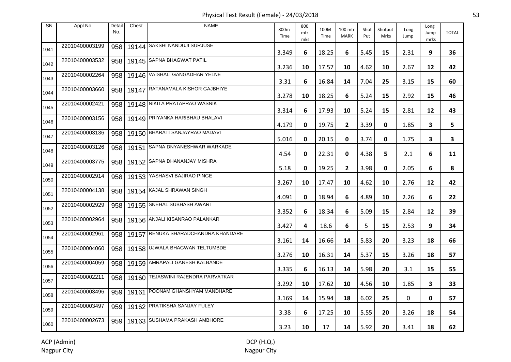Physical Test Result (Female) - 24/03/2018 53

| <b>SN</b> | Appl No        | Detail<br>No. | Chest | <b>NAME</b>                         | 800m<br>Time | 800<br>mtr<br>mks | 100M<br>Time | 100 mtr<br><b>MARK</b> | Shot<br>Put | Shotput<br>Mrks | Long<br>Jump | Long<br>Jump<br>mrks | <b>TOTAL</b> |
|-----------|----------------|---------------|-------|-------------------------------------|--------------|-------------------|--------------|------------------------|-------------|-----------------|--------------|----------------------|--------------|
| 1041      | 22010400003199 | 958           |       | 19144 SAKSHI NANDUJI SURJUSE        | 3.349        | 6                 | 18.25        | 6                      | 5.45        | 15              | 2.31         | 9                    | 36           |
| 1042      | 22010400003532 | 958           |       | 19145 SAPNA BHAGWAT PATIL           | 3.236        | 10                | 17.57        | 10                     | 4.62        | 10              | 2.67         | 12                   | 42           |
| 1043      | 22010400002264 | 958           |       | 19146 VAISHALI GANGADHAR YELNE      | 3.31         | 6                 | 16.84        | 14                     | 7.04        | 25              | 3.15         | 15                   | 60           |
| 1044      | 22010400003660 | 958           |       | 19147 RATANAMALA KISHOR GAJBHIYE    | 3.278        | 10                | 18.25        | 6                      | 5.24        | 15              | 2.92         | 15                   | 46           |
| 1045      | 22010400002421 | 958           |       | 19148 NIKITA PRATAPRAO WASNIK       | 3.314        | 6                 | 17.93        | 10                     | 5.24        | 15              | 2.81         | 12                   | 43           |
| 1046      | 22010400003156 | 958           |       | 19149 PRIYANKA HARIBHAU BHALAVI     | 4.179        | 0                 | 19.75        | $\overline{2}$         | 3.39        | 0               | 1.85         | 3                    | 5            |
| 1047      | 22010400003136 | 958           |       | 19150 BHARATI SANJAYRAO MADAVI      | 5.016        | 0                 | 20.15        | 0                      | 3.74        | 0               | 1.75         | 3                    | 3            |
| 1048      | 22010400003126 | 958           | 19151 | <b>SAPNA DNYANESHWAR WARKADE</b>    | 4.54         | 0                 | 22.31        | 0                      | 4.38        | 5               | 2.1          | 6                    | 11           |
| 1049      | 22010400003775 | 958           |       | 19152 SAPNA DHANANJAY MISHRA        | 5.18         | 0                 | 19.25        | $\overline{2}$         | 3.98        | 0               | 2.05         | 6                    | 8            |
| 1050      | 22010400002914 | 958           |       | 19153 YASHASVI BAJIRAO PINGE        | 3.267        | 10                | 17.47        | 10                     | 4.62        | 10              | 2.76         | 12                   | 42           |
| 1051      | 22010400004138 | 958           |       | 19154 KAJAL SHRAWAN SINGH           | 4.091        | 0                 | 18.94        | 6                      | 4.89        | 10              | 2.26         | 6                    | 22           |
| 1052      | 22010400002929 | 958           |       | 19155 SNEHAL SUBHASH AWARI          | 3.352        | 6                 | 18.34        | 6                      | 5.09        | 15              | 2.84         | 12                   | 39           |
| 1053      | 22010400002964 | 958           |       | 19156 ANJALI KISANRAO PALANKAR      | 3.427        | 4                 | 18.6         | 6                      | 5           | 15              | 2.53         | 9                    | 34           |
| 1054      | 22010400002961 | 958           |       | 19157 RENUKA SHARADCHANDRA KHANDARE | 3.161        | 14                | 16.66        | 14                     | 5.83        | 20              | 3.23         | 18                   | 66           |
| 1055      | 22010400004060 | 958           |       | 19158 UJWALA BHAGWAN TELTUMBDE      | 3.276        | 10                | 16.31        | 14                     | 5.37        | 15              | 3.26         | 18                   | 57           |
| 1056      | 22010400004059 | 958           |       | 19159 AMRAPALI GANESH KALBANDE      | 3.335        | 6                 | 16.13        | 14                     | 5.98        | 20              | 3.1          | 15                   | 55           |
| 1057      | 22010400002211 | 958           |       | 19160 TEJASWINI RAJENDRA PARVATKAR  | 3.292        | 10                | 17.62        | 10                     | 4.56        | 10              | 1.85         | 3                    | 33           |
| 1058      | 22010400003496 | 959           |       | 19161 POONAM GHANSHYAM MANDHARE     | 3.169        | 14                | 15.94        | 18                     | 6.02        | 25              | 0            | 0                    | 57           |
| 1059      | 22010400003497 | 959           |       | 19162 PRATIKSHA SANJAY FULEY        | 3.38         | 6                 | 17.25        | 10                     | 5.55        | 20              | 3.26         | 18                   | 54           |
| 1060      | 22010400002673 | 959           |       | 19163 SUSHAMA PRAKASH AMBHORE       | 3.23         | 10                | 17           | 14                     | 5.92        | 20              | 3.41         | 18                   | 62           |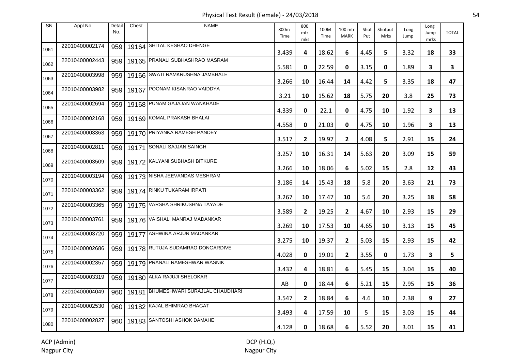Physical Test Result (Female) - 24/03/2018 54

| <b>SN</b> | Appl No        | Detail<br>No. | Chest | <b>NAME</b>                          | 800m<br>Time | 800<br>mtr<br>mks | 100M<br>Time | 100 mtr<br><b>MARK</b> | Shot<br>Put | Shotput<br>Mrks | Long<br>Jump | Long<br>Jump<br>mrks | <b>TOTAL</b> |
|-----------|----------------|---------------|-------|--------------------------------------|--------------|-------------------|--------------|------------------------|-------------|-----------------|--------------|----------------------|--------------|
| 1061      | 22010400002174 | 959           |       | 19164 SHITAL KESHAO DHENGE           | 3.439        | 4                 | 18.62        | 6                      | 4.45        | 5               | 3.32         | 18                   | 33           |
| 1062      | 22010400002443 | 959           |       | 19165 PRANALI SUBHASHRAO MASRAM      | 5.581        | 0                 | 22.59        | 0                      | 3.15        | $\mathbf{0}$    | 1.89         | 3                    | 3            |
| 1063      | 22010400003998 | 959           |       | 19166 SWATI RAMKRUSHNA JAMBHALE      | 3.266        | 10                | 16.44        | 14                     | 4.42        | 5               | 3.35         | 18                   | 47           |
| 1064      | 22010400003982 | 959           |       | 19167 POONAM KISANRAO VAIDDYA        | 3.21         | 10                | 15.62        | 18                     | 5.75        | 20              | 3.8          | 25                   | 73           |
| 1065      | 22010400002694 | 959           |       | 19168 PUNAM GAJAJAN WANKHADE         | 4.339        | 0                 | 22.1         | 0                      | 4.75        | 10              | 1.92         | 3                    | 13           |
| 1066      | 22010400002168 | 959           |       | 19169 KOMAL PRAKASH BHALAI           | 4.558        | 0                 | 21.03        | 0                      | 4.75        | 10              | 1.96         | 3                    | 13           |
| 1067      | 22010400003363 | 959           |       | 19170 PRIYANKA RAMESH PANDEY         | 3.517        | $\mathbf{2}$      | 19.97        | $\mathbf{2}$           | 4.08        | 5               | 2.91         | 15                   | 24           |
| 1068      | 22010400002811 | 959           |       | 19171 SONALI SAJJAN SAINGH           | 3.257        | 10                | 16.31        | 14                     | 5.63        | 20              | 3.09         | 15                   | 59           |
| 1069      | 22010400003509 | 959           |       | 19172 KALYANI SUBHASH BITKURE        | 3.266        | 10                | 18.06        | 6                      | 5.02        | 15              | 2.8          | 12                   | 43           |
| 1070      | 22010400003194 | 959           |       | 19173 NISHA JEEVANDAS MESHRAM        | 3.186        | 14                | 15.43        | 18                     | 5.8         | 20              | 3.63         | 21                   | 73           |
| 1071      | 22010400003362 | 959           |       | 19174 RINKU TUKARAM IRPATI           | 3.267        | 10                | 17.47        | 10                     | 5.6         | 20              | 3.25         | 18                   | 58           |
| 1072      | 22010400003365 | 959           |       | 19175 VARSHA SHRIKUSHNA TAYADE       | 3.589        | $\mathbf{2}$      | 19.25        | $\mathbf{2}$           | 4.67        | 10              | 2.93         | 15                   | 29           |
| 1073      | 22010400003761 | 959           |       | 19176 VAISHALI MANRAJ MADANKAR       | 3.269        | 10                | 17.53        | 10                     | 4.65        | 10              | 3.13         | 15                   | 45           |
| 1074      | 22010400003720 | 959           |       | 19177 ASHWINA ARJUN MADANKAR         | 3.275        | 10                | 19.37        | $\mathbf{2}$           | 5.03        | 15              | 2.93         | 15                   | 42           |
| 1075      | 22010400002686 | 959           |       | 19178 RUTUJA SUDAMRAO DONGARDIVE     | 4.028        | 0                 | 19.01        | $\mathbf{2}$           | 3.55        | 0               | 1.73         | 3                    | 5            |
| 1076      | 22010400002357 | 959           |       | 19179 PRANALI RAMESHWAR WASNIK       | 3.432        | 4                 | 18.81        | 6                      | 5.45        | 15              | 3.04         | 15                   | 40           |
| 1077      | 22010400003319 | 959           |       | 19180 ALKA RAJUJI SHELOKAR           | AB           | 0                 | 18.44        | 6                      | 5.21        | 15              | 2.95         | 15                   | 36           |
| 1078      | 22010400004049 | 960           |       | 19181 BHUMESHWARI SURAJLAL CHAUDHARI | 3.547        | $\mathbf{2}$      | 18.84        | 6                      | 4.6         | 10              | 2.38         | 9                    | 27           |
| 1079      | 22010400002530 | 960           |       | 19182 KAJAL BHIMRAO BHAGAT           | 3.493        | 4                 | 17.59        | 10                     | 5           | 15              | 3.03         | 15                   | 44           |
| 1080      | 22010400002827 |               |       | 960   19183 SANTOSHI ASHOK DAMAHE    | 4.128        | 0                 | 18.68        | 6                      | 5.52        | 20              | 3.01         | 15                   | 41           |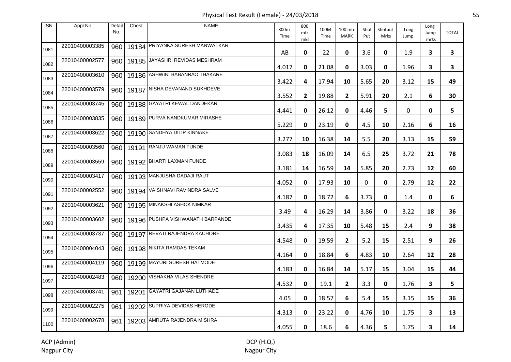Physical Test Result (Female) - 24/03/2018 55

| <b>SN</b> | Appl No        | Detail<br>No. | Chest | <b>NAME</b>                      | 800m<br>Time | 800<br>mtr<br>mks | 100M<br>Time | 100 mtr<br><b>MARK</b>  | Shot<br>Put | Shotput<br>Mrks | Long<br>Jump | Long<br>Jump<br>mrks | <b>TOTAL</b>            |
|-----------|----------------|---------------|-------|----------------------------------|--------------|-------------------|--------------|-------------------------|-------------|-----------------|--------------|----------------------|-------------------------|
| 1081      | 22010400003385 | 960           |       | 19184 PRIYANKA SURESH MANWATKAR  | AB           | 0                 | 22           | 0                       | 3.6         | 0               | 1.9          | 3                    | 3                       |
| 1082      | 22010400002577 | 960           |       | 19185 JAYASHRI REVIDAS MESHRAM   | 4.017        | 0                 | 21.08        | 0                       | 3.03        | 0               | 1.96         | 3                    | $\overline{\mathbf{3}}$ |
| 1083      | 22010400003610 | 960           |       | 19186 ASHWINI BABANRAO THAKARE   | 3.422        | 4                 | 17.94        | 10                      | 5.65        | 20              | 3.12         | 15                   | 49                      |
| 1084      | 22010400003579 | 960           |       | 19187 NISHA DEVANAND SUKHDEVE    | 3.552        | $\mathbf{2}$      | 19.88        | $\overline{2}$          | 5.91        | 20              | 2.1          | 6                    | 30                      |
| 1085      | 22010400003745 | 960           |       | 19188 GAYATRI KEWAL DANDEKAR     | 4.441        | 0                 | 26.12        | 0                       | 4.46        | 5               | 0            | 0                    | 5                       |
| 1086      | 22010400003835 | 960           |       | 19189 PURVA NANDKUMAR MIRASHE    | 5.229        | 0                 | 23.19        | 0                       | 4.5         | 10              | 2.16         | 6                    | 16                      |
| 1087      | 22010400003622 | 960           |       | 19190 SANDHYA DILIP KINNAKE      | 3.277        | 10                | 16.38        | 14                      | 5.5         | 20              | 3.13         | 15                   | 59                      |
| 1088      | 22010400003560 | 960           | 19191 | RANJU WAMAN FUNDE                | 3.083        | 18                | 16.09        | 14                      | 6.5         | 25              | 3.72         | 21                   | 78                      |
| 1089      | 22010400003559 | 960           |       | 19192 BHARTI LAXMAN FUNDE        | 3.181        | 14                | 16.59        | 14                      | 5.85        | 20              | 2.73         | 12                   | 60                      |
| 1090      | 22010400003417 | 960           |       | 19193 MANJUSHA DADAJI RAUT       | 4.052        | 0                 | 17.93        | 10                      | 0           | 0               | 2.79         | 12                   | 22                      |
| 1091      | 22010400002552 | 960           |       | 19194 VAISHNAVI RAVINDRA SALVE   | 4.187        | 0                 | 18.72        | 6                       | 3.73        | 0               | 1.4          | 0                    | 6                       |
| 1092      | 22010400003621 | 960           |       | 19195 MINAKSHI ASHOK NIMKAR      | 3.49         | 4                 | 16.29        | 14                      | 3.86        | 0               | 3.22         | 18                   | 36                      |
| 1093      | 22010400003602 | 960           |       | 19196 PUSHPA VISHWANATH BARPANDE | 3.435        | 4                 | 17.35        | 10                      | 5.48        | 15              | 2.4          | 9                    | 38                      |
| 1094      | 22010400003737 | 960           |       | 19197 REVATI RAJENDRA KACHORE    | 4.548        | 0                 | 19.59        | $\mathbf{2}$            | 5.2         | 15              | 2.51         | 9                    | 26                      |
| 1095      | 22010400004043 | 960           |       | 19198 NIKITA RAMDAS TEKAM        | 4.164        | 0                 | 18.84        | 6                       | 4.83        | 10              | 2.64         | 12                   | 28                      |
| 1096      | 22010400004119 | 960           |       | 19199 MAYURI SURESH HATMODE      | 4.183        | 0                 | 16.84        | 14                      | 5.17        | 15              | 3.04         | 15                   | 44                      |
| 1097      | 22010400002483 | 960           |       | 19200 VISHAKHA VILAS SHENDRE     | 4.532        | 0                 | 19.1         | $\overline{\mathbf{2}}$ | 3.3         | 0               | 1.76         | 3                    | 5                       |
| 1098      | 22010400003741 | 961           |       | 19201 GAYATRI GAJANAN LUTHADE    | 4.05         | 0                 | 18.57        | 6                       | 5.4         | 15              | 3.15         | 15                   | 36                      |
| 1099      | 22010400002275 | 961           |       | 19202 SUPRIYA DEVIDAS HERODE     | 4.313        | 0                 | 23.22        | 0                       | 4.76        | 10              | 1.75         | 3                    | 13                      |
| 1100      | 22010400002678 | 961           |       | 19203 AMRUTA RAJENDRA MISHRA     | 4.055        | 0                 | 18.6         | 6                       | 4.36        | 5.              | 1.75         | 3                    | 14                      |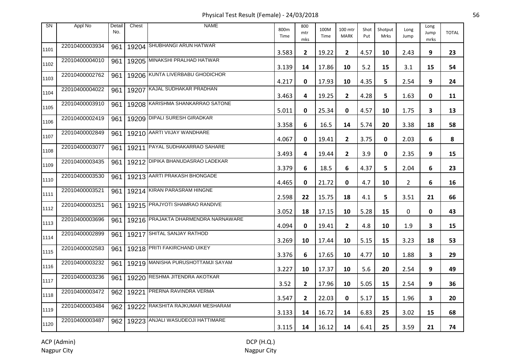Physical Test Result (Female) - 24/03/2018 56

| <b>SN</b> | Appl No        | Detail<br>No. | Chest | <b>NAME</b>                         | 800m<br>Time | 800<br>mtr<br>mks | 100M<br>Time | 100 mtr<br><b>MARK</b> | Shot<br>Put | Shotput<br>Mrks | Long<br>Jump   | Long<br>Jump<br>mrks | <b>TOTAL</b> |
|-----------|----------------|---------------|-------|-------------------------------------|--------------|-------------------|--------------|------------------------|-------------|-----------------|----------------|----------------------|--------------|
| 1101      | 22010400003934 | 961           |       | 19204 SHUBHANGI ARUN HATWAR         | 3.583        | $\mathbf{2}$      | 19.22        | $\mathbf{2}$           | 4.57        | 10              | 2.43           | 9                    | 23           |
| 1102      | 22010400004010 | 961           |       | 19205 MINAKSHI PRALHAD HATWAR       | 3.139        | 14                | 17.86        | 10                     | 5.2         | 15              | 3.1            | 15                   | 54           |
| 1103      | 22010400002762 | 961           |       | 19206 KUNTA LIVERBABU GHODICHOR     | 4.217        | 0                 | 17.93        | 10                     | 4.35        | 5               | 2.54           | 9                    | 24           |
| 1104      | 22010400004022 | 961           | 19207 | KAJAL SUDHAKAR PRADHAN              | 3.463        | 4                 | 19.25        | $\mathbf{2}$           | 4.28        | 5               | 1.63           | 0                    | 11           |
| 1105      | 22010400003910 | 961           |       | 19208 KARISHMA SHANKARRAO SATONE    | 5.011        | 0                 | 25.34        | 0                      | 4.57        | 10              | 1.75           | 3                    | 13           |
| 1106      | 22010400002419 | 961           |       | 19209 DIPALI SURESH GIRADKAR        | 3.358        | 6                 | 16.5         | 14                     | 5.74        | 20              | 3.38           | 18                   | 58           |
| 1107      | 22010400002849 | 961           |       | 19210 AARTI VIIJAY WANDHARE         | 4.067        | 0                 | 19.41        | $\mathbf{2}$           | 3.75        | 0               | 2.03           | 6                    | 8            |
| 1108      | 22010400003077 | 961           | 19211 | <b>PAYAL SUDHAKARRAO SAHARE</b>     | 3.493        | 4                 | 19.44        | $\mathbf{2}$           | 3.9         | 0               | 2.35           | 9                    | 15           |
| 1109      | 22010400003435 | 961           |       | 19212 DIPIKA BHANUDASRAO LADEKAR    | 3.379        | 6                 | 18.5         | 6                      | 4.37        | 5.              | 2.04           | 6                    | 23           |
| 1110      | 22010400003530 | 961           |       | 19213 AARTI PRAKASH BHONGADE        | 4.465        | 0                 | 21.72        | 0                      | 4.7         | 10              | $\overline{2}$ | 6                    | 16           |
| 1111      | 22010400003521 | 961           |       | 19214 KIRAN PARASRAM HINGNE         | 2.598        | 22                | 15.75        | 18                     | 4.1         | 5               | 3.51           | 21                   | 66           |
| 1112      | 22010400003251 | 961           |       | 19215 PRAJYOTI SHAMRAO RANDIVE      | 3.052        | 18                | 17.15        | 10                     | 5.28        | 15              | 0              | 0                    | 43           |
| 1113      | 22010400003696 | 961           |       | 19216 PRAJAKTA DHARMENDRA NARNAWARE | 4.094        | 0                 | 19.41        | $\mathbf{2}$           | 4.8         | 10              | 1.9            | 3                    | 15           |
| 1114      | 22010400002899 | 961           |       | 19217 SHITAL SANJAY RATHOD          | 3.269        | 10                | 17.44        | 10                     | 5.15        | 15              | 3.23           | 18                   | 53           |
| 1115      | 22010400002583 | 961           |       | 19218 PRITI FAKIRCHAND UIKEY        | 3.376        | 6                 | 17.65        | 10                     | 4.77        | 10              | 1.88           | 3                    | 29           |
| 1116      | 22010400003232 | 961           |       | 19219 MANISHA PURUSHOTTAMJI SAYAM   | 3.227        | 10                | 17.37        | 10                     | 5.6         | 20              | 2.54           | 9                    | 49           |
| 1117      | 22010400003236 | 961           |       | 19220 RESHMA JITENDRA AKOTKAR       | 3.52         | $\mathbf{2}$      | 17.96        | 10                     | 5.05        | 15              | 2.54           | 9                    | 36           |
| 1118      | 22010400003472 | 962           | 19221 | <b>PRERNA RAVINDRA VERMA</b>        | 3.547        | $\mathbf{2}$      | 22.03        | 0                      | 5.17        | 15              | 1.96           | 3                    | 20           |
| 1119      | 22010400003484 | 962           |       | 19222 RAKSHITA RAJKUMAR MESHARAM    | 3.133        | 14                | 16.72        | 14                     | 6.83        | 25              | 3.02           | 15                   | 68           |
| 1120      | 22010400003487 | 962           |       | 19223 ANJALI WASUDEOJI HATTIMARE    | 3.115        | 14                | 16.12        | 14                     | 6.41        | 25              | 3.59           | 21                   | 74           |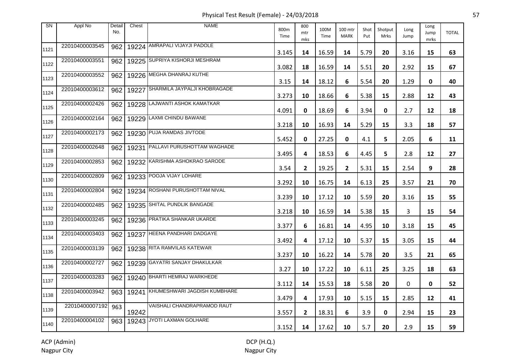Physical Test Result (Female) - 24/03/2018 57

| <b>SN</b> | Appl No        | Detail<br>No. | Chest | <b>NAME</b>                     | 800m<br>Time | 800<br>mtr<br>mks | 100M<br>Time | 100 mtr<br><b>MARK</b> | Shot<br>Put | Shotput<br>Mrks | Long<br>Jump | Long<br>Jump<br>mrks | <b>TOTAL</b> |
|-----------|----------------|---------------|-------|---------------------------------|--------------|-------------------|--------------|------------------------|-------------|-----------------|--------------|----------------------|--------------|
| 1121      | 22010400003545 | 962           |       | 19224 AMRAPALI VIJAYJI PADOLE   | 3.145        | 14                | 16.59        | 14                     | 5.79        | 20              | 3.16         | 15                   | 63           |
| 1122      | 22010400003551 | 962           |       | 19225 SUPRIYA KISHORJI MESHRAM  | 3.082        | 18                | 16.59        | 14                     | 5.51        | 20              | 2.92         | 15                   | 67           |
| 1123      | 22010400003552 | 962           |       | 19226 MEGHA DHANRAJ KUTHE       | 3.15         | 14                | 18.12        | 6                      | 5.54        | 20              | 1.29         | 0                    | 40           |
| 1124      | 22010400003612 | 962           | 19227 | SHARMILA JAYPALJI KHOBRAGADE    | 3.273        | 10                | 18.66        | 6                      | 5.38        | 15              | 2.88         | 12                   | 43           |
| 1125      | 22010400002426 | 962           |       | 19228 LAJWANTI ASHOK KAMATKAR   | 4.091        | 0                 | 18.69        | 6                      | 3.94        | 0               | 2.7          | 12                   | 18           |
| 1126      | 22010400002164 | 962           |       | 19229 LAXMI CHINDU BAWANE       | 3.218        | 10                | 16.93        | 14                     | 5.29        | 15              | 3.3          | 18                   | 57           |
| 1127      | 22010400002173 | 962           |       | 19230 PUJA RAMDAS JIVTODE       | 5.452        | 0                 | 27.25        | 0                      | 4.1         | 5               | 2.05         | 6                    | 11           |
| 1128      | 22010400002648 | 962           | 19231 | PALLAVI PURUSHOTTAM WAGHADE     | 3.495        | 4                 | 18.53        | 6                      | 4.45        | 5               | 2.8          | 12                   | 27           |
| 1129      | 22010400002853 | 962           |       | 19232 KARISHMA ASHOKRAO SARODE  | 3.54         | $\mathbf{2}$      | 19.25        | $\mathbf{2}$           | 5.31        | 15              | 2.54         | 9                    | 28           |
| 1130      | 22010400002809 | 962           |       | 19233 POOJA VIJAY LOHARE        | 3.292        | 10                | 16.75        | 14                     | 6.13        | 25              | 3.57         | 21                   | 70           |
| 1131      | 22010400002804 | 962           |       | 19234 ROSHANI PURUSHOTTAM NIVAL | 3.239        | 10                | 17.12        | 10                     | 5.59        | 20              | 3.16         | 15                   | 55           |
| 1132      | 22010400002485 | 962           |       | 19235 SHITAL PUNDLIK BANGADE    | 3.218        | 10                | 16.59        | 14                     | 5.38        | 15              | 3            | 15                   | 54           |
| 1133      | 22010400003245 | 962           |       | 19236 PRATIKA SHANKAR UKARDE    | 3.377        | 6                 | 16.81        | 14                     | 4.95        | 10              | 3.18         | 15                   | 45           |
| 1134      | 22010400003403 | 962           |       | 19237 HEENA PANDHARI DADGAYE    | 3.492        | 4                 | 17.12        | 10                     | 5.37        | 15              | 3.05         | 15                   | 44           |
| 1135      | 22010400003139 | 962           |       | 19238 RITA RAMVILAS KATEWAR     | 3.237        | 10                | 16.22        | 14                     | 5.78        | 20              | 3.5          | 21                   | 65           |
| 1136      | 22010400002727 | 962           |       | 19239 GAYATRI SANJAY DHAKULKAR  | 3.27         | 10                | 17.22        | 10                     | 6.11        | 25              | 3.25         | 18                   | 63           |
| 1137      | 22010400003283 | 962           |       | 19240 BHARTI HEMRAJ WARKHEDE    | 3.112        | 14                | 15.53        | 18                     | 5.58        | 20              | 0            | 0                    | 52           |
| 1138      | 22010400003942 | 963           | 19241 | KHUMESHWARI JAGDISH KUMBHARE    | 3.479        | 4                 | 17.93        | 10                     | 5.15        | 15              | 2.85         | 12                   | 41           |
| 1139      | 22010400007192 | 963           | 19242 | VAISHALI CHANDRAPRAMOD RAUT     | 3.557        | 2                 | 18.31        | 6                      | 3.9         | 0               | 2.94         | 15                   | 23           |
| 1140      | 22010400004102 | 963           |       | 19243 JYOTI LAXMAN GOLHARE      | 3.152        | 14                | 17.62        | 10                     | 5.7         | 20              | 2.9          | 15                   | 59           |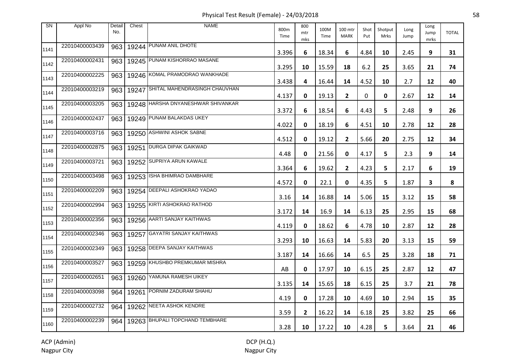Physical Test Result (Female) - 24/03/2018 58

| <b>SN</b> | Appl No        | Detail<br>No. | Chest | <b>NAME</b>                        | 800m<br>Time | 800<br>mtr<br>mks | 100M<br>Time | 100 mtr<br><b>MARK</b> | Shot<br>Put | Shotput<br>Mrks | Long<br>Jump | Long<br>Jump<br>mrks | <b>TOTAL</b> |
|-----------|----------------|---------------|-------|------------------------------------|--------------|-------------------|--------------|------------------------|-------------|-----------------|--------------|----------------------|--------------|
| 1141      | 22010400003439 | 963           |       | 19244 PUNAM ANIL DHOTE             | 3.396        | 6                 | 18.34        | 6                      | 4.84        | 10              | 2.45         | 9                    | 31           |
| 1142      | 22010400002431 | 963           |       | 19245 PUNAM KISHORRAO MASANE       | 3.295        | 10                | 15.59        | 18                     | 6.2         | 25              | 3.65         | 21                   | 74           |
| 1143      | 22010400002225 | 963           |       | 19246 KOMAL PRAMODRAO WANKHADE     | 3.438        | 4                 | 16.44        | 14                     | 4.52        | 10              | 2.7          | 12                   | 40           |
| 1144      | 22010400003219 | 963           | 19247 | SHITAL MAHENDRASINGH CHAUVHAN      | 4.137        | 0                 | 19.13        | $\mathbf{2}$           | 0           | 0               | 2.67         | 12                   | 14           |
| 1145      | 22010400003205 | 963           |       | 19248 HARSHA DNYANESHWAR SHIVANKAR | 3.372        | 6                 | 18.54        | 6                      | 4.43        | 5               | 2.48         | 9                    | 26           |
| 1146      | 22010400002437 | 963           |       | 19249 PUNAM BALAKDAS UKEY          | 4.022        | 0                 | 18.19        | 6                      | 4.51        | 10              | 2.78         | 12                   | 28           |
| 1147      | 22010400003716 | 963           |       | 19250 ASHWINI ASHOK SABNE          | 4.512        | 0                 | 19.12        | $\mathbf{2}$           | 5.66        | 20              | 2.75         | 12                   | 34           |
| 1148      | 22010400002875 | 963           | 19251 | <b>DURGA DIPAK GAIKWAD</b>         | 4.48         | 0                 | 21.56        | 0                      | 4.17        | 5               | 2.3          | 9                    | 14           |
| 1149      | 22010400003721 | 963           |       | 19252 SUPRIYA ARUN KAWALE          | 3.364        | 6                 | 19.62        | $\mathbf{2}$           | 4.23        | 5               | 2.17         | 6                    | 19           |
| 1150      | 22010400003498 | 963           |       | 19253 ISHA BHIMRAO DAMBHARE        | 4.572        | 0                 | 22.1         | 0                      | 4.35        | 5               | 1.87         | 3                    | 8            |
| 1151      | 22010400002209 | 963           |       | 19254 DEEPALI ASHOKRAO YADAO       | 3.16         | 14                | 16.88        | 14                     | 5.06        | 15              | 3.12         | 15                   | 58           |
| 1152      | 22010400002994 | 963           |       | 19255 KIRTI ASHOKRAO RATHOD        | 3.172        | 14                | 16.9         | 14                     | 6.13        | 25              | 2.95         | 15                   | 68           |
| 1153      | 22010400002356 | 963           |       | 19256 AARTI SANJAY KAITHWAS        | 4.119        | 0                 | 18.62        | 6                      | 4.78        | 10              | 2.87         | 12                   | 28           |
| 1154      | 22010400002346 | 963           |       | 19257 GAYATRI SANJAY KAITHWAS      | 3.293        | 10                | 16.63        | 14                     | 5.83        | 20              | 3.13         | 15                   | 59           |
| 1155      | 22010400002349 | 963           |       | 19258 DEEPA SANJAY KAITHWAS        | 3.187        | 14                | 16.66        | 14                     | 6.5         | 25              | 3.28         | 18                   | 71           |
| 1156      | 22010400003527 | 963           |       | 19259 KHUSHBO PREMKUMAR MISHRA     | AB           | 0                 | 17.97        | 10                     | 6.15        | 25              | 2.87         | 12                   | 47           |
| 1157      | 22010400002651 | 963           |       | 19260 YAMUNA RAMESH UIKEY          | 3.135        | 14                | 15.65        | 18                     | 6.15        | 25              | 3.7          | 21                   | 78           |
| 1158      | 22010400003098 | 964           |       | 19261 PORNIM ZADURAM SHAHU         | 4.19         | 0                 | 17.28        | 10                     | 4.69        | 10              | 2.94         | 15                   | 35           |
| 1159      | 22010400002732 | 964           |       | 19262 NEETA ASHOK KENDRE           | 3.59         | 2                 | 16.22        | 14                     | 6.18        | 25              | 3.82         | 25                   | 66           |
| 1160      | 22010400002239 | 964           |       | 19263 BHUPALI TOPCHAND TEMBHARE    | 3.28         | 10                | 17.22        | 10                     | 4.28        | 5               | 3.64         | 21                   | 46           |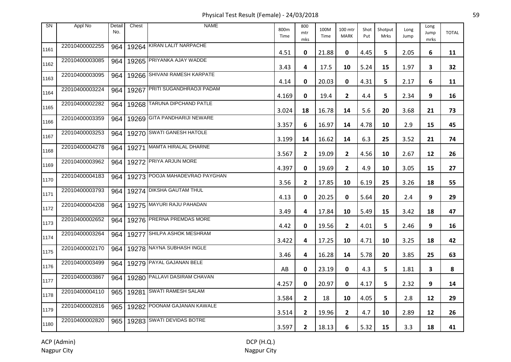Physical Test Result (Female) - 24/03/2018 59

| <b>SN</b> | Appl No        | Detail<br>No. | Chest | <b>NAME</b>                     | 800m<br>Time | 800<br>mtr<br>mks | 100M<br>Time | 100 mtr<br><b>MARK</b> | Shot<br>Put | Shotput<br>Mrks | Long<br>Jump | Long<br>Jump<br>mrks | <b>TOTAL</b> |
|-----------|----------------|---------------|-------|---------------------------------|--------------|-------------------|--------------|------------------------|-------------|-----------------|--------------|----------------------|--------------|
| 1161      | 22010400002255 | 964           |       | 19264 KIRAN LALIT NARPACHE      | 4.51         | 0                 | 21.88        | 0                      | 4.45        | 5               | 2.05         | 6                    | 11           |
| 1162      | 22010400003085 | 964           |       | 19265 PRIYANKA AJAY WADDE       | 3.43         | 4                 | 17.5         | 10                     | 5.24        | 15              | 1.97         | 3                    | 32           |
| 1163      | 22010400003095 | 964           |       | 19266 SHIVANI RAMESH KARPATE    | 4.14         | 0                 | 20.03        | 0                      | 4.31        | 5               | 2.17         | 6                    | 11           |
| 1164      | 22010400003224 | 964           | 19267 | <b>PRITI SUGANDHRAOJI PADAM</b> | 4.169        | 0                 | 19.4         | $\mathbf{2}$           | 4.4         | 5               | 2.34         | 9                    | 16           |
| 1165      | 22010400002282 | 964           |       | 19268 TARUNA DIPCHAND PATLE     | 3.024        | 18                | 16.78        | 14                     | 5.6         | 20              | 3.68         | 21                   | 73           |
| 1166      | 22010400003359 | 964           |       | 19269 GITA PANDHARIJI NEWARE    | 3.357        | 6                 | 16.97        | 14                     | 4.78        | 10              | 2.9          | 15                   | 45           |
| 1167      | 22010400003253 | 964           |       | 19270 SWATI GANESH HATOLE       | 3.199        | 14                | 16.62        | 14                     | 6.3         | 25              | 3.52         | 21                   | 74           |
| 1168      | 22010400004278 | 964           | 19271 | MAMTA HIRALAL DHARNE            | 3.567        | $\mathbf{2}$      | 19.09        | $\mathbf{2}$           | 4.56        | 10              | 2.67         | 12                   | 26           |
| 1169      | 22010400003962 | 964           |       | 19272 PRIYA ARJUN MORE          | 4.397        | 0                 | 19.69        | $\mathbf{2}$           | 4.9         | 10              | 3.05         | 15                   | 27           |
| 1170      | 22010400004183 | 964           |       | 19273 POOJA MAHADEVRAO PAYGHAN  | 3.56         | $\mathbf{2}$      | 17.85        | 10                     | 6.19        | 25              | 3.26         | 18                   | 55           |
| 1171      | 22010400003793 | 964           |       | 19274 DIKSHA GAUTAM THUL        | 4.13         | 0                 | 20.25        | 0                      | 5.64        | 20              | 2.4          | 9                    | 29           |
| 1172      | 22010400004208 | 964           |       | 19275 MAYURI RAJU PAHADAN       | 3.49         | 4                 | 17.84        | 10                     | 5.49        | 15              | 3.42         | 18                   | 47           |
| 1173      | 22010400002652 | 964           |       | 19276 PRERNA PREMDAS MORE       | 4.42         | 0                 | 19.56        | $\mathbf{2}$           | 4.01        | 5               | 2.46         | 9                    | 16           |
| 1174      | 22010400003264 | 964           |       | 19277 SHILPA ASHOK MESHRAM      | 3.422        | 4                 | 17.25        | 10                     | 4.71        | 10              | 3.25         | 18                   | 42           |
| 1175      | 22010400002170 | 964           |       | 19278 NAYNA SUBHASH INGLE       | 3.46         | 4                 | 16.28        | 14                     | 5.78        | 20              | 3.85         | 25                   | 63           |
| 1176      | 22010400003499 | 964           |       | 19279 PAYAL GAJANAN BELE        | AB           | 0                 | 23.19        | 0                      | 4.3         | 5               | 1.81         | 3                    | 8            |
| 1177      | 22010400003867 | 964           |       | 19280 PALLAVI DASIRAM CHAVAN    | 4.257        | 0                 | 20.97        | 0                      | 4.17        | 5               | 2.32         | 9                    | 14           |
| 1178      | 22010400004110 | 965           |       | 19281 SWATI RAMESH SALAM        | 3.584        | $\mathbf{2}$      | 18           | 10                     | 4.05        | 5               | 2.8          | 12                   | 29           |
| 1179      | 22010400002816 | 965           |       | 19282 POONAM GAJANAN KAWALE     | 3.514        | 2                 | 19.96        | $\overline{2}$         | 4.7         | 10              | 2.89         | 12                   | 26           |
| 1180      | 22010400002820 | 965           |       | 19283 SWATI DEVIDAS BOTRE       | 3.597        | $\mathbf{2}$      | 18.13        | 6                      | 5.32        | 15              | 3.3          | 18                   | 41           |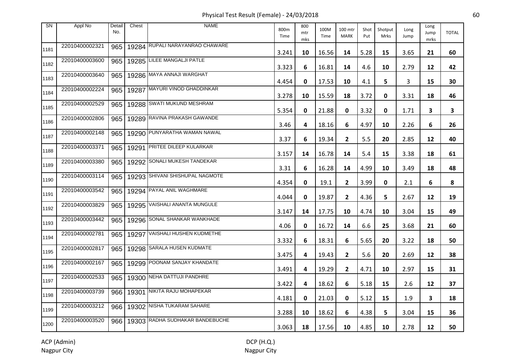Physical Test Result (Female) - 24/03/2018 60

| <b>SN</b> | Appl No        | Detail<br>No. | Chest | <b>NAME</b>                     | 800m<br>Time | 800<br>mtr<br>mks | 100M<br>Time | 100 mtr<br><b>MARK</b> | Shot<br>Put | Shotput<br>Mrks | Long<br>Jump | Long<br>Jump<br>mrks | <b>TOTAL</b> |
|-----------|----------------|---------------|-------|---------------------------------|--------------|-------------------|--------------|------------------------|-------------|-----------------|--------------|----------------------|--------------|
| 1181      | 22010400002321 | 965           |       | 19284 RUPALI NARAYANRAO CHAWARE | 3.241        | 10                | 16.56        | 14                     | 5.28        | 15              | 3.65         | 21                   | 60           |
| 1182      | 22010400003600 | 965           |       | 19285 LILEE MANGALJI PATLE      | 3.323        | 6                 | 16.81        | 14                     | 4.6         | 10              | 2.79         | 12                   | 42           |
| 1183      | 22010400003640 | 965           |       | 19286 MAYA ANNAJI WARGHAT       | 4.454        | 0                 | 17.53        | 10                     | 4.1         | 5               | 3            | 15                   | 30           |
| 1184      | 22010400002224 | 965           |       | 19287 MAYURI VINOD GHADDINKAR   | 3.278        | 10                | 15.59        | 18                     | 3.72        | 0               | 3.31         | 18                   | 46           |
| 1185      | 22010400002529 | 965           |       | 19288 SWATI MUKUND MESHRAM      | 5.354        | 0                 | 21.88        | 0                      | 3.32        | 0               | 1.71         | 3                    | 3            |
| 1186      | 22010400002806 | 965           |       | 19289 RAVINA PRAKASH GAWANDE    | 3.46         | 4                 | 18.16        | 6                      | 4.97        | 10              | 2.26         | 6                    | 26           |
| 1187      | 22010400002148 | 965           |       | 19290 PUNYARATHA WAMAN NAWAL    | 3.37         | 6                 | 19.34        | $\mathbf{2}$           | 5.5         | 20              | 2.85         | 12                   | 40           |
| 1188      | 22010400003371 | 965           | 19291 | <b>PRITEE DILEEP KULARKAR</b>   | 3.157        | 14                | 16.78        | 14                     | 5.4         | 15              | 3.38         | 18                   | 61           |
| 1189      | 22010400003380 | 965           |       | 19292 SONALI MUKESH TANDEKAR    | 3.31         | 6                 | 16.28        | 14                     | 4.99        | 10              | 3.49         | 18                   | 48           |
| 1190      | 22010400003114 | 965           |       | 19293 SHIVANI SHISHUPAL NAGMOTE | 4.354        | 0                 | 19.1         | $\mathbf{2}$           | 3.99        | 0               | 2.1          | 6                    | 8            |
| 1191      | 22010400003542 | 965           |       | 19294 PAYAL ANIL WAGHMARE       | 4.044        | 0                 | 19.87        | $\mathbf{2}$           | 4.36        | 5.              | 2.67         | 12                   | 19           |
| 1192      | 22010400003829 | 965           |       | 19295 VAISHALI ANANTA MUNGULE   | 3.147        | 14                | 17.75        | 10                     | 4.74        | 10              | 3.04         | 15                   | 49           |
| 1193      | 22010400003442 | 965           |       | 19296 SONAL SHANKAR WANKHADE    | 4.06         | 0                 | 16.72        | 14                     | 6.6         | 25              | 3.68         | 21                   | 60           |
| 1194      | 22010400002781 | 965           |       | 19297 VAISHALI HUSHEN KUDMETHE  | 3.332        | 6                 | 18.31        | 6                      | 5.65        | 20              | 3.22         | 18                   | 50           |
| 1195      | 22010400002817 | 965           |       | 19298 SARALA HUSEN KUDMATE      | 3.475        | 4                 | 19.43        | $\mathbf{2}$           | 5.6         | 20              | 2.69         | 12                   | 38           |
| 1196      | 22010400002167 | 965           |       | 19299 POONAM SANJAY KHANDATE    | 3.491        | 4                 | 19.29        | $\mathbf{2}$           | 4.71        | 10              | 2.97         | 15                   | 31           |
| 1197      | 22010400002533 | 965           |       | 19300 NEHA DATTUJI PANDHRE      | 3.422        | 4                 | 18.62        | 6                      | 5.18        | 15              | 2.6          | 12                   | 37           |
| 1198      | 22010400003739 | 966           |       | 19301 NIKITA RAJU MOHAPEKAR     | 4.181        | 0                 | 21.03        | 0                      | 5.12        | 15              | 1.9          | 3                    | 18           |
| 1199      | 22010400003212 | 966           |       | 19302 NISHA TUKARAM SAHARE      | 3.288        | 10                | 18.62        | 6                      | 4.38        | 5               | 3.04         | 15                   | 36           |
| 1200      | 22010400003520 | 966           |       | 19303 RADHA SUDHAKAR BANDEBUCHE | 3.063        | 18                | 17.56        | 10                     | 4.85        | 10              | 2.78         | 12                   | 50           |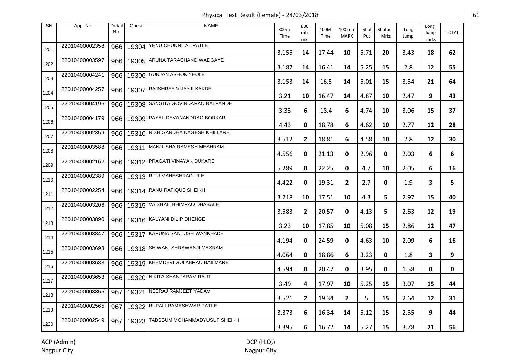Physical Test Result (Female) - 24/03/2018 61

| <b>SN</b> | Appl No        | Detail<br>No. | Chest | <b>NAME</b>                             | 800m<br>Time | 800<br>mtr<br>mks | 100M<br>Time | 100 mtr<br><b>MARK</b> | Shot<br>Put | Shotput<br>Mrks | Long<br>Jump | Long<br>Jump<br>mrks | <b>TOTAL</b> |
|-----------|----------------|---------------|-------|-----------------------------------------|--------------|-------------------|--------------|------------------------|-------------|-----------------|--------------|----------------------|--------------|
| 1201      | 22010400002358 | 966           |       | 19304 YENU CHUNNILAL PATLE              | 3.155        | 14                | 17.44        | 10                     | 5.71        | 20              | 3.43         | 18                   | 62           |
| 1202      | 22010400003597 | 966           |       | 19305 ARUNA TARACHAND WADGAYE           | 3.187        | 14                | 16.41        | 14                     | 5.25        | 15              | 2.8          | 12                   | 55           |
| 1203      | 22010400004241 | 966           |       | 19306 GUNJAN ASHOK YEOLE                | 3.153        | 14                | 16.5         | 14                     | 5.01        | 15              | 3.54         | 21                   | 64           |
| 1204      | 22010400004257 | 966           | 19307 | <b>RAJSHREE VIJAYJI KAKDE</b>           | 3.21         | 10                | 16.47        | 14                     | 4.87        | 10              | 2.47         | 9                    | 43           |
| 1205      | 22010400004196 | 966           |       | 19308 SANGITA GOVINDARAO BALPANDE       | 3.33         | 6                 | 18.4         | 6                      | 4.74        | 10              | 3.06         | 15                   | 37           |
| 1206      | 22010400004179 | 966           |       | 19309 PAYAL DEVANANDRAO BORKAR          | 4.43         | 0                 | 18.78        | 6                      | 4.62        | 10              | 2.77         | 12                   | 28           |
| 1207      | 22010400002359 |               |       | 966   19310 NISHIGANDHA NAGESH KHILLARE | 3.512        | $\mathbf{2}$      | 18.81        | 6                      | 4.58        | 10              | 2.8          | 12                   | 30           |
| 1208      | 22010400003588 | 966           | 19311 | MANJUSHA RAMESH MESHRAM                 | 4.556        | 0                 | 21.13        | 0                      | 2.96        | 0               | 2.03         | 6                    | 6            |
| 1209      | 22010400002162 | 966           |       | 19312 PRAGATI VINAYAK DUKARE            | 5.289        | 0                 | 22.25        | 0                      | 4.7         | 10              | 2.05         | 6                    | 16           |
| 1210      | 22010400002389 | 966           |       | 19313 RITU MAHESHRAO UKE                | 4.422        | 0                 | 19.31        | $\mathbf{2}$           | 2.7         | 0               | 1.9          | 3                    | 5            |
| 1211      | 22010400002254 | 966           |       | 19314 RANU RAFIQUE SHEIKH               | 3.218        | 10                | 17.51        | 10                     | 4.3         | 5.              | 2.97         | 15                   | 40           |
| 1212      | 22010400003206 | 966           |       | 19315 VAISHALI BHIMRAO DHABALE          | 3.583        | 2                 | 20.57        | 0                      | 4.13        | 5.              | 2.63         | 12                   | 19           |
| 1213      | 22010400003890 | 966           |       | 19316 KALYANI DILIP DHENGE              | 3.23         | 10                | 17.85        | 10                     | 5.08        | 15              | 2.86         | 12                   | 47           |
| 1214      | 22010400003847 | 966           |       | 19317 KARUNA SANTOSH WANKHADE           | 4.194        | 0                 | 24.59        | 0                      | 4.63        | 10              | 2.09         | 6                    | 16           |
| 1215      | 22010400003693 | 966           |       | 19318 SHIWANI SHRAWANJI MASRAM          | 4.064        | 0                 | 18.86        | 6                      | 3.23        | 0               | 1.8          | 3                    | 9            |
| 1216      | 22010400003688 | 966           |       | 19319 KHEMDEVI GULABRAO BAILMARE        | 4.594        | 0                 | 20.47        | 0                      | 3.95        | 0               | 1.58         | 0                    | 0            |
| 1217      | 22010400003653 | 966           |       | 19320 NIKITA SHANTARAM RAUT             | 3.49         | 4                 | 17.97        | 10                     | 5.25        | 15              | 3.07         | 15                   | 44           |
| 1218      | 22010400003355 | 967           |       | 19321 NEERAJ RAMJEET YADAV              | 3.521        | $\mathbf{2}$      | 19.34        | $\mathbf{2}$           | 5           | 15              | 2.64         | 12                   | 31           |
| 1219      | 22010400002565 | 967           |       | 19322 RUPALI RAMESHWAR PATLE            | 3.373        | 6                 | 16.34        | 14                     | 5.12        | 15              | 2.55         | 9                    | 44           |
| 1220      | 22010400002549 | 967           |       | 19323 TABSSUM MOHAMMADYUSUF SHEIKH      | 3.395        | 6                 | 16.72        | 14                     | 5.27        | 15              | 3.78         | 21                   | 56           |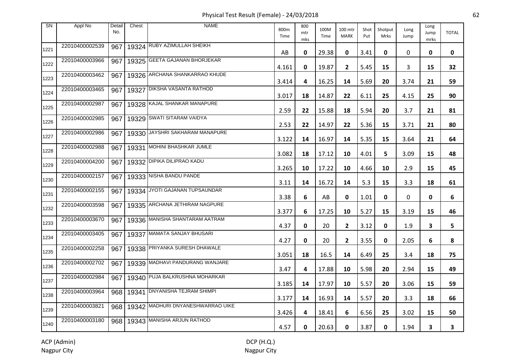Physical Test Result (Female) - 24/03/2018 62

| <b>SN</b> | Appl No        | Detail<br>No. | Chest | <b>NAME</b>                       | 800m<br>Time | 800<br>mtr<br>mks | 100M<br>Time | 100 mtr<br><b>MARK</b> | Shot<br>Put | Shotput<br>Mrks | Long<br>Jump | Long<br>Jump<br>mrks | <b>TOTAL</b> |
|-----------|----------------|---------------|-------|-----------------------------------|--------------|-------------------|--------------|------------------------|-------------|-----------------|--------------|----------------------|--------------|
| 1221      | 22010400002539 | 967           |       | 19324 RUBY AZIMULLAH SHEIKH       | AB           | 0                 | 29.38        | 0                      | 3.41        | 0               | 0            | 0                    | 0            |
| 1222      | 22010400003966 | 967           |       | 19325 GEETA GAJANAN BHORJEKAR     | 4.161        | 0                 | 19.87        | $\mathbf{2}$           | 5.45        | 15              | 3            | 15                   | 32           |
| 1223      | 22010400003462 | 967           |       | 19326 ARCHANA SHANKARRAO KHUDE    | 3.414        | 4                 | 16.25        | 14                     | 5.69        | 20              | 3.74         | 21                   | 59           |
| 1224      | 22010400003465 | 967           | 19327 | <b>DIKSHA VASANTA RATHOD</b>      | 3.017        | 18                | 14.87        | 22                     | 6.11        | 25              | 4.15         | 25                   | 90           |
| 1225      | 22010400002987 | 967           |       | 19328 KAJAL SHANKAR MANAPURE      | 2.59         | 22                | 15.88        | 18                     | 5.94        | 20              | 3.7          | 21                   | 81           |
| 1226      | 22010400002985 | 967           |       | 19329 SWATI SITARAM VAIDYA        | 2.53         | 22                | 14.97        | 22                     | 5.36        | 15              | 3.71         | 21                   | 80           |
| 1227      | 22010400002986 | 967           |       | 19330 JAYSHRI SAKHARAM MANAPURE   | 3.122        | 14                | 16.97        | 14                     | 5.35        | 15              | 3.64         | 21                   | 64           |
| 1228      | 22010400002988 | 967           | 19331 | MOHINI BHASHKAR JUMLE             | 3.082        | 18                | 17.12        | 10                     | 4.01        | 5               | 3.09         | 15                   | 48           |
| 1229      | 22010400004200 | 967           |       | 19332 DIPIKA DILIPRAO KADU        | 3.265        | 10                | 17.22        | 10                     | 4.66        | 10              | 2.9          | 15                   | 45           |
| 1230      | 22010400002157 | 967           |       | 19333 NISHA BANDU PANDE           | 3.11         | 14                | 16.72        | 14                     | 5.3         | 15              | 3.3          | 18                   | 61           |
| 1231      | 22010400002155 | 967           |       | 19334 JYOTI GAJANAN TUPSAUNDAR    | 3.38         | 6                 | AB           | 0                      | 1.01        | 0               | 0            | 0                    | 6            |
| 1232      | 22010400003598 | 967           |       | 19335 ARCHANA JETHIRAM NAGPURE    | 3.377        | 6                 | 17.25        | 10                     | 5.27        | 15              | 3.19         | 15                   | 46           |
| 1233      | 22010400003670 | 967           |       | 19336 MANISHA SHANTARAM AATRAM    | 4.37         | 0                 | 20           | $\mathbf{2}$           | 3.12        | 0               | 1.9          | 3                    | 5            |
| 1234      | 22010400003405 | 967           |       | 19337 MAMATA SANJAY BHUSARI       | 4.27         | 0                 | 20           | $\mathbf{2}$           | 3.55        | 0               | 2.05         | 6                    | 8            |
| 1235      | 22010400002258 | 967           |       | 19338 PRIYANKA SURESH DHAWALE     | 3.051        | 18                | 16.5         | 14                     | 6.49        | 25              | 3.4          | 18                   | 75           |
| 1236      | 22010400002702 | 967           |       | 19339 MADHAVI PANDURANG WANJARE   | 3.47         | 4                 | 17.88        | 10                     | 5.98        | 20              | 2.94         | 15                   | 49           |
| 1237      | 22010400002984 | 967           |       | 19340 PUJA BALKRUSHNA MOHARKAR    | 3.185        | 14                | 17.97        | 10                     | 5.57        | 20              | 3.06         | 15                   | 59           |
| 1238      | 22010400003964 | 968           | 19341 | <b>DNYANISHA TEJRAM SHIMPI</b>    | 3.177        | 14                | 16.93        | 14                     | 5.57        | 20              | 3.3          | 18                   | 66           |
| 1239      | 22010400003821 | 968           |       | 19342 MADHURI DNYANESHWARRAO UIKE | 3.426        | 4                 | 18.41        | 6                      | 6.56        | 25              | 3.02         | 15                   | 50           |
| 1240      | 22010400003180 | 968           |       | 19343 MANISHA ARJUN RATHOD        | 4.57         | 0                 | 20.63        | 0                      | 3.87        | 0               | 1.94         | 3                    | 3            |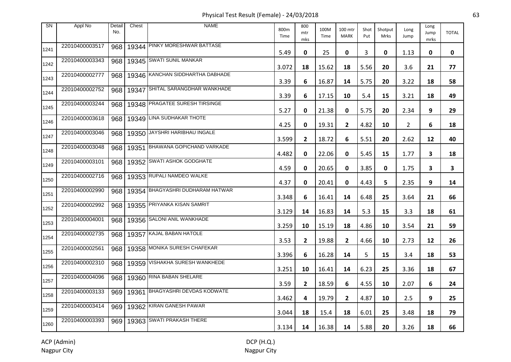Physical Test Result (Female) - 24/03/2018 63

| <b>SN</b> | Appl No        | Detail<br>No. | Chest | <b>NAME</b>                      | 800m<br>Time | 800<br>mtr<br>mks | 100M<br>Time | 100 mtr<br><b>MARK</b> | Shot<br>Put | Shotput<br>Mrks | Long<br>Jump   | Long<br>Jump<br>mrks | <b>TOTAL</b> |
|-----------|----------------|---------------|-------|----------------------------------|--------------|-------------------|--------------|------------------------|-------------|-----------------|----------------|----------------------|--------------|
| 1241      | 22010400003517 | 968           |       | 19344 PINKY MORESHWAR BATTASE    | 5.49         | 0                 | 25           | 0                      | 3           | 0               | 1.13           | 0                    | 0            |
| 1242      | 22010400003343 | 968           |       | 19345 SWATI SUNIL MANKAR         | 3.072        | 18                | 15.62        | 18                     | 5.56        | 20              | 3.6            | 21                   | 77           |
| 1243      | 22010400002777 | 968           |       | 19346 KANCHAN SIDDHARTHA DABHADE | 3.39         | 6                 | 16.87        | 14                     | 5.75        | 20              | 3.22           | 18                   | 58           |
| 1244      | 22010400002752 | 968           | 19347 | SHITAL SARANGDHAR WANKHADE       | 3.39         | 6                 | 17.15        | 10                     | 5.4         | 15              | 3.21           | 18                   | 49           |
| 1245      | 22010400003244 | 968           |       | 19348 PRAGATEE SURESH TIRSINGE   | 5.27         | 0                 | 21.38        | 0                      | 5.75        | 20              | 2.34           | 9                    | 29           |
| 1246      | 22010400003618 | 968           |       | 19349 LINA SUDHAKAR THOTE        | 4.25         | 0                 | 19.31        | $\overline{2}$         | 4.82        | 10              | $\overline{2}$ | 6                    | 18           |
| 1247      | 22010400003046 | 968           |       | 19350 JAYSHRI HARIBHAU INGALE    | 3.599        | $\mathbf{2}$      | 18.72        | 6                      | 5.51        | 20              | 2.62           | 12                   | 40           |
| 1248      | 22010400003048 | 968           | 19351 | BHAWANA GOPICHAND VARKADE        | 4.482        | 0                 | 22.06        | 0                      | 5.45        | 15              | 1.77           | 3                    | 18           |
| 1249      | 22010400003101 | 968           |       | 19352 SWATI ASHOK GODGHATE       | 4.59         | 0                 | 20.65        | 0                      | 3.85        | 0               | 1.75           | 3                    | 3            |
| 1250      | 22010400002716 | 968           |       | 19353 RUPALI NAMDEO WALKE        | 4.37         | 0                 | 20.41        | 0                      | 4.43        | 5               | 2.35           | 9                    | 14           |
| 1251      | 22010400002990 | 968           |       | 19354 BHAGYASHRI DUDHARAM HATWAR | 3.348        | 6                 | 16.41        | 14                     | 6.48        | 25              | 3.64           | 21                   | 66           |
| 1252      | 22010400002992 | 968           |       | 19355 PRIYANKA KISAN SAMRIT      | 3.129        | 14                | 16.83        | 14                     | 5.3         | 15              | 3.3            | 18                   | 61           |
| 1253      | 22010400004001 | 968           |       | 19356 SALONI ANIL WANKHADE       | 3.259        | 10                | 15.19        | 18                     | 4.86        | 10              | 3.54           | 21                   | 59           |
| 1254      | 22010400002735 | 968           |       | 19357 KAJAL BABAN HATOLE         | 3.53         | $\mathbf{2}$      | 19.88        | $\mathbf{2}$           | 4.66        | 10              | 2.73           | 12                   | 26           |
| 1255      | 22010400002561 | 968           |       | 19358 MONIKA SURESH CHAFEKAR     | 3.396        | 6                 | 16.28        | 14                     | 5           | 15              | 3.4            | 18                   | 53           |
| 1256      | 22010400002310 | 968           |       | 19359 VISHAKHA SURESH WANKHEDE   | 3.251        | 10                | 16.41        | 14                     | 6.23        | 25              | 3.36           | 18                   | 67           |
| 1257      | 22010400004096 | 968           |       | 19360 RINA BABAN SHELARE         | 3.59         | $\mathbf{2}$      | 18.59        | 6                      | 4.55        | 10              | 2.07           | 6                    | 24           |
| 1258      | 22010400003133 | 969           |       | 19361 BHAGYASHRI DEVDAS KODWATE  | 3.462        | 4                 | 19.79        | $\mathbf{2}$           | 4.87        | 10              | 2.5            | 9                    | 25           |
| 1259      | 22010400003414 | 969           |       | 19362 KIRAN GANESH PAWAR         | 3.044        | 18                | 15.4         | 18                     | 6.01        | 25              | 3.48           | 18                   | 79           |
| 1260      | 22010400003393 | 969           |       | 19363 SWATI PRAKASH THERE        | 3.134        | 14                | 16.38        | 14                     | 5.88        | 20              | 3.26           | 18                   | 66           |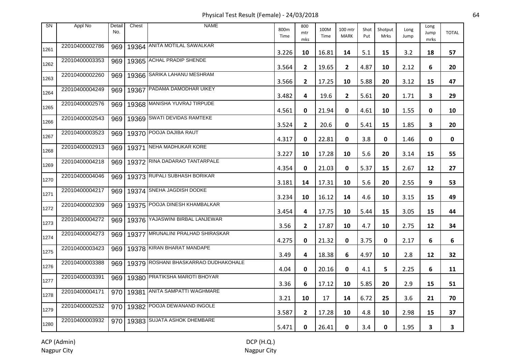Physical Test Result (Female) - 24/03/2018 64

| <b>SN</b> | Appl No        | Detail<br>No. | Chest | <b>NAME</b>                          | 800m<br>Time | 800<br>mtr<br>mks | 100M<br>Time | 100 mtr<br><b>MARK</b> | Shot<br>Put | Shotput<br>Mrks | Long<br>Jump | Long<br>Jump<br>mrks | <b>TOTAL</b> |
|-----------|----------------|---------------|-------|--------------------------------------|--------------|-------------------|--------------|------------------------|-------------|-----------------|--------------|----------------------|--------------|
| 1261      | 22010400002786 | 969           |       | 19364 ANITA MOTILAL SAWALKAR         | 3.226        | 10                | 16.81        | 14                     | 5.1         | 15              | 3.2          | 18                   | 57           |
| 1262      | 22010400003353 | 969           |       | 19365 ACHAL PRADIP SHENDE            | 3.564        | $\overline{2}$    | 19.65        | $\overline{2}$         | 4.87        | 10              | 2.12         | 6                    | 20           |
| 1263      | 22010400002260 | 969           |       | 19366 SARIKA LAHANU MESHRAM          | 3.566        | $\mathbf{2}$      | 17.25        | 10                     | 5.88        | 20              | 3.12         | 15                   | 47           |
| 1264      | 22010400004249 | 969           | 19367 | PADAMA DAMODHAR UIKEY                | 3.482        | 4                 | 19.6         | $\mathbf{2}$           | 5.61        | 20              | 1.71         | 3                    | 29           |
| 1265      | 22010400002576 | 969           |       | 19368 MANISHA YUVRAJ TIRPUDE         | 4.561        | 0                 | 21.94        | 0                      | 4.61        | 10              | 1.55         | 0                    | 10           |
| 1266      | 22010400002543 | 969           |       | 19369 SWATI DEVIDAS RAMTEKE          | 3.524        | $\mathbf{2}$      | 20.6         | 0                      | 5.41        | 15              | 1.85         | 3                    | 20           |
| 1267      | 22010400003523 | 969           |       | 19370 POOJA DAJIBA RAUT              | 4.317        | 0                 | 22.81        | 0                      | 3.8         | 0               | 1.46         | 0                    | 0            |
| 1268      | 22010400002913 | 969           | 19371 | NEHA MADHUKAR KORE                   | 3.227        | 10                | 17.28        | 10                     | 5.6         | 20              | 3.14         | 15                   | 55           |
| 1269      | 22010400004218 | 969           |       | 19372 RINA DADARAO TANTARPALE        | 4.354        | 0                 | 21.03        | 0                      | 5.37        | 15              | 2.67         | 12                   | 27           |
| 1270      | 22010400004046 | 969           |       | 19373 RUPALI SUBHASH BORIKAR         | 3.181        | 14                | 17.31        | 10                     | 5.6         | 20              | 2.55         | 9                    | 53           |
| 1271      | 22010400004217 | 969           |       | 19374 SNEHA JAGDISH DODKE            | 3.234        | 10                | 16.12        | 14                     | 4.6         | 10              | 3.15         | 15                   | 49           |
| 1272      | 22010400002309 | 969           |       | 19375 POOJA DINESH KHAMBALKAR        | 3.454        | 4                 | 17.75        | 10                     | 5.44        | 15              | 3.05         | 15                   | 44           |
| 1273      | 22010400004272 | 969           |       | 19376 YAJASWINI BIRBAL LANJEWAR      | 3.56         | $\mathbf{2}$      | 17.87        | 10                     | 4.7         | 10              | 2.75         | 12                   | 34           |
| 1274      | 22010400004273 | 969           |       | 19377 MRUNALINI PRALHAD SHIRASKAR    | 4.275        | 0                 | 21.32        | 0                      | 3.75        | 0               | 2.17         | 6                    | 6            |
| 1275      | 22010400003423 | 969           |       | 19378 KIRAN BHARAT MANDAPE           | 3.49         | 4                 | 18.38        | 6                      | 4.97        | 10              | 2.8          | 12                   | 32           |
| 1276      | 22010400003388 | 969           |       | 19379 ROSHANI BHASKARRAO DUDHAKOHALE | 4.04         | 0                 | 20.16        | 0                      | 4.1         | 5               | 2.25         | 6                    | 11           |
| 1277      | 22010400003391 | 969           |       | 19380 PRATIKSHA MAROTI BHOYAR        | 3.36         | 6                 | 17.12        | 10                     | 5.85        | 20              | 2.9          | 15                   | 51           |
| 1278      | 22010400004171 | 970           |       | 19381 ANITA SAMPATTI WAGHMARE        | 3.21         | 10                | 17           | 14                     | 6.72        | 25              | 3.6          | 21                   | 70           |
| 1279      | 22010400002532 | 970           |       | 19382 POOJA DEWANAND INGOLE          | 3.587        | $\mathbf{2}$      | 17.28        | 10                     | 4.8         | 10              | 2.98         | 15                   | 37           |
| 1280      | 22010400003932 | 970           |       | 19383 SUJATA ASHOK DHEMBARE          | 5.471        | 0                 | 26.41        | 0                      | 3.4         | $\mathbf 0$     | 1.95         | 3                    | 3            |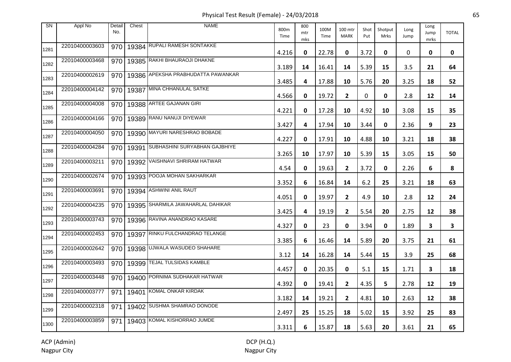Physical Test Result (Female) - 24/03/2018 65

| <b>SN</b> | Appl No        | Detail<br>No. | Chest | <b>NAME</b>                        | 800m<br>Time | 800<br>mtr<br>mks | 100M<br>Time | 100 mtr<br><b>MARK</b> | Shot<br>Put | Shotput<br><b>Mrks</b> | Long<br>Jump | Long<br>Jump<br>mrks | <b>TOTAL</b> |
|-----------|----------------|---------------|-------|------------------------------------|--------------|-------------------|--------------|------------------------|-------------|------------------------|--------------|----------------------|--------------|
| 1281      | 22010400003603 | 970           |       | 19384 RUPALI RAMESH SONTAKKE       | 4.216        | 0                 | 22.78        | 0                      | 3.72        | 0                      | 0            | 0                    | 0            |
| 1282      | 22010400003468 | 970           |       | 19385 RAKHI BHAURAOJI DHAKNE       | 3.189        | 14                | 16.41        | 14                     | 5.39        | 15                     | 3.5          | 21                   | 64           |
| 1283      | 22010400002619 | 970           |       | 19386 APEKSHA PRABHUDATTA PAWANKAR | 3.485        | 4                 | 17.88        | 10                     | 5.76        | 20                     | 3.25         | 18                   | 52           |
| 1284      | 22010400004142 | 970           | 19387 | MINA CHHANULAL SATKE               | 4.566        | 0                 | 19.72        | $\mathbf{2}$           | 0           | 0                      | 2.8          | 12                   | 14           |
| 1285      | 22010400004008 | 970           |       | 19388 ARTEE GAJANAN GIRI           | 4.221        | 0                 | 17.28        | 10                     | 4.92        | 10                     | 3.08         | 15                   | 35           |
| 1286      | 22010400004166 | 970           |       | 19389 RANU NANUJI DIYEWAR          | 3.427        | 4                 | 17.94        | 10                     | 3.44        | 0                      | 2.36         | 9                    | 23           |
| 1287      | 22010400004050 | 970           |       | 19390 MAYURI NARESHRAO BOBADE      | 4.227        | 0                 | 17.91        | 10                     | 4.88        | 10                     | 3.21         | 18                   | 38           |
| 1288      | 22010400004284 | 970           | 19391 | SUBHASHINI SURYABHAN GAJBHIYE      | 3.265        | 10                | 17.97        | 10                     | 5.39        | 15                     | 3.05         | 15                   | 50           |
| 1289      | 22010400003211 | 970           |       | 19392 VAISHNAVI SHRIRAM HATWAR     | 4.54         | 0                 | 19.63        | $\mathbf{2}$           | 3.72        | 0                      | 2.26         | 6                    | 8            |
| 1290      | 22010400002674 | 970           |       | 19393 POOJA MOHAN SAKHARKAR        | 3.352        | 6                 | 16.84        | 14                     | 6.2         | 25                     | 3.21         | 18                   | 63           |
| 1291      | 22010400003691 |               |       | 970   19394   ASHWINI ANIL RAUT    | 4.051        | 0                 | 19.97        | $\mathbf{2}$           | 4.9         | 10                     | 2.8          | 12                   | 24           |
| 1292      | 22010400004235 | 970           |       | 19395 SHARMILA JAWAHARLAL DAHIKAR  | 3.425        | 4                 | 19.19        | $\mathbf{2}$           | 5.54        | 20                     | 2.75         | 12                   | 38           |
| 1293      | 22010400003743 | 970           |       | 19396 RAVINA ANANDRAO KASARE       | 4.327        | 0                 | 23           | 0                      | 3.94        | 0                      | 1.89         | 3                    | 3            |
| 1294      | 22010400002453 | 970           |       | 19397 RINKU FULCHANDRAO TELANGE    | 3.385        | 6                 | 16.46        | 14                     | 5.89        | 20                     | 3.75         | 21                   | 61           |
| 1295      | 22010400002642 | 970           |       | 19398 UJWALA WASUDEO SHAHARE       | 3.12         | 14                | 16.28        | 14                     | 5.44        | 15                     | 3.9          | 25                   | 68           |
| 1296      | 22010400003493 | 970           |       | 19399 TEJAL TULSIDAS KAMBLE        | 4.457        | 0                 | 20.35        | 0                      | 5.1         | 15                     | 1.71         | 3                    | 18           |
| 1297      | 22010400003448 | 970           |       | 19400 PORNIMA SUDHAKAR HATWAR      | 4.392        | 0                 | 19.41        | $\mathbf{2}$           | 4.35        | 5                      | 2.78         | 12                   | 19           |
| 1298      | 22010400003777 | 971           |       | 19401 KOMAL ONKAR KIRDAK           | 3.182        | 14                | 19.21        | $\mathbf{2}$           | 4.81        | 10                     | 2.63         | 12                   | 38           |
| 1299      | 22010400002318 | 971           |       | 19402 SUSHMA SHAMRAO DONODE        | 2.497        | 25                | 15.25        | 18                     | 5.02        | 15                     | 3.92         | 25                   | 83           |
| 1300      | 22010400003859 | 971           |       | 19403 KOMAL KISHORRAO JUMDE        | 3.311        | 6                 | 15.87        | 18                     | 5.63        | 20                     | 3.61         | 21                   | 65           |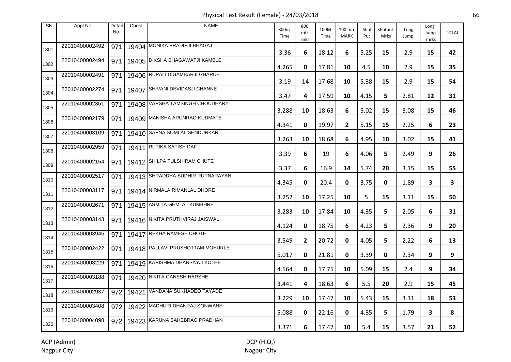Physical Test Result (Female) - 24/03/2018 66

| <b>SN</b> | Appl No        | Detail<br>No. | Chest | <b>NAME</b>                      | 800m<br>Time | 800<br>mtr<br>mks | 100M<br>Time | 100 mtr<br><b>MARK</b> | Shot<br>Put | Shotput<br>Mrks | Long<br>Jump | Long<br>Jump<br>mrks | <b>TOTAL</b>            |
|-----------|----------------|---------------|-------|----------------------------------|--------------|-------------------|--------------|------------------------|-------------|-----------------|--------------|----------------------|-------------------------|
| 1301      | 22010400002492 | 971           |       | 19404 MONIKA PRADIPJI BHAGAT     | 3.36         | 6                 | 18.12        | 6                      | 5.25        | 15              | 2.9          | 15                   | 42                      |
| 1302      | 22010400002494 | 971           |       | 19405 DIKSHA BHAGAWATJI KAMBLE   | 4.265        | 0                 | 17.81        | 10                     | 4.5         | 10              | 2.9          | 15                   | 35                      |
| 1303      | 22010400002491 | 971           |       | 19406 RUPALI DIGAMBARJI GHARDE   | 3.19         | 14                | 17.68        | 10                     | 5.38        | 15              | 2.9          | 15                   | 54                      |
| 1304      | 22010400002274 | 971           | 19407 | SHIVANI DEVIDASJI CHANNE         | 3.47         | 4                 | 17.59        | 10                     | 4.15        | 5               | 2.81         | 12                   | 31                      |
| 1305      | 22010400002361 | 971           |       | 19408 VARSHA TAMSINGH CHOUDHARY  | 3.288        | 10                | 18.63        | 6                      | 5.02        | 15              | 3.08         | 15                   | 46                      |
| 1306      | 22010400002179 | 971           |       | 19409 MANISHA ARUNRAO KUDMATE    | 4.341        | 0                 | 19.97        | $\overline{2}$         | 5.15        | 15              | 2.25         | 6                    | 23                      |
| 1307      | 22010400003109 | 971           |       | 19410 SAPNA SOMLAL SENDURKAR     | 3.263        | 10                | 18.68        | 6                      | 4.95        | 10              | 3.02         | 15                   | 41                      |
| 1308      | 22010400002959 | 971           |       | 19411 RUTIKA SATISH DAF          | 3.39         | 6                 | 19           | 6                      | 4.06        | 5               | 2.49         | 9                    | 26                      |
| 1309      | 22010400002154 | 971           |       | 19412 SHILPA TULSHIRAM CHUTE     | 3.37         | 6                 | 16.9         | 14                     | 5.74        | 20              | 3.15         | 15                   | 55                      |
| 1310      | 22010400002517 | 971           |       | 19413 SHRADDHA SUDHIR RUPNARAYAN | 4.345        | 0                 | 20.4         | 0                      | 3.75        | 0               | 1.89         | 3                    | $\overline{\mathbf{3}}$ |
| 1311      | 22010400003117 | 971           |       | 19414 NIRMALA RIMANLAL DHORE     | 3.252        | 10                | 17.25        | 10                     | 5           | 15              | 3.11         | 15                   | 50                      |
| 1312      | 22010400002671 | 971           |       | 19415 ASMITA GEMLAL KUMBHRE      | 3.283        | 10                | 17.84        | 10                     | 4.35        | 5               | 2.05         | 6                    | 31                      |
| 1313      | 22010400003143 | 971           |       | 19416 NIKITA PRUTHVIRAJ JAISWAL  | 4.124        | 0                 | 18.75        | 6                      | 4.23        | 5               | 2.36         | 9                    | 20                      |
| 1314      | 22010400003945 | 971           |       | 19417 REKHA RAMESH DHOTE         | 3.549        | $\mathbf{2}$      | 20.72        | 0                      | 4.05        | 5               | 2.22         | 6                    | 13                      |
| 1315      | 22010400002422 | 971           |       | 19418 PALLAVI PRUSHOTTAM MOHURLE | 5.017        | 0                 | 21.81        | 0                      | 3.39        | 0               | 2.34         | 9                    | 9                       |
| 1316      | 22010400003229 | 971           |       | 19419 KARISHMA DHANSAYJI KOLHE   | 4.564        | 0                 | 17.75        | 10                     | 5.09        | 15              | 2.4          | 9                    | 34                      |
| 1317      | 22010400003188 | 971           |       | 19420 NIKITA GANESH HARSHE       | 3.441        | 4                 | 18.63        | 6                      | 5.5         | 20              | 2.9          | 15                   | 45                      |
| 1318      | 22010400002937 | 972           |       | 19421 VANDANA SUKHADEO TAYADE    | 3.229        | 10                | 17.47        | 10                     | 5.43        | 15              | 3.31         | 18                   | 53                      |
| 1319      | 22010400003408 | 972           |       | 19422 MADHURI DHANRAJ SONWANE    | 5.088        | 0                 | 22.16        | 0                      | 4.35        | 5               | 1.79         | 3                    | 8                       |
| 1320      | 22010400004098 | 972           |       | 19423 KARUNA SAHEBRAO PRADHAN    | 3.371        | 6                 | 17.47        | 10                     | 5.4         | 15              | 3.57         | 21                   | 52                      |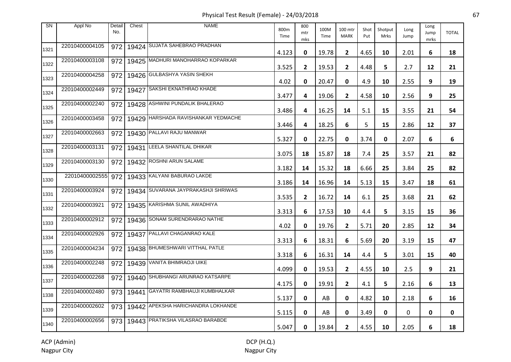Physical Test Result (Female) - 24/03/2018 67

| <b>SN</b> | Appl No        | Detail<br>No. | Chest | <b>NAME</b>                         | 800m<br>Time | 800<br>mtr<br>mks | 100M<br>Time | 100 mtr<br><b>MARK</b> | Shot<br>Put | Shotput<br><b>Mrks</b> | Long<br>Jump | Long<br>Jump<br>mrks | <b>TOTAL</b> |
|-----------|----------------|---------------|-------|-------------------------------------|--------------|-------------------|--------------|------------------------|-------------|------------------------|--------------|----------------------|--------------|
| 1321      | 22010400004105 | 972           |       | 19424 SUJATA SAHEBRAO PRADHAN       | 4.123        | 0                 | 19.78        | $\mathbf{2}$           | 4.65        | 10                     | 2.01         | 6                    | 18           |
| 1322      | 22010400003108 | 972           |       | 19425 MADHURI MANOHARRAO KOPARKAR   | 3.525        | $\mathbf{2}$      | 19.53        | $\mathbf{2}$           | 4.48        | 5                      | 2.7          | 12                   | 21           |
| 1323      | 22010400004258 | 972           |       | 19426 GULBASHYA YASIN SHEKH         | 4.02         | 0                 | 20.47        | 0                      | 4.9         | 10                     | 2.55         | 9                    | 19           |
| 1324      | 22010400002449 | 972           | 19427 | SAKSHI EKNATHRAO KHADE              | 3.477        | 4                 | 19.06        | $\mathbf{2}$           | 4.58        | 10                     | 2.56         | 9                    | 25           |
| 1325      | 22010400002240 | 972           |       | 19428 ASHWINI PUNDALIK BHALERAO     | 3.486        | 4                 | 16.25        | 14                     | 5.1         | 15                     | 3.55         | 21                   | 54           |
| 1326      | 22010400003458 | 972           |       | 19429 HARSHADA RAVISHANKAR YEDMACHE | 3.446        | 4                 | 18.25        | 6                      | 5           | 15                     | 2.86         | 12                   | 37           |
| 1327      | 22010400002663 | 972           |       | 19430 PALLAVI RAJU MANWAR           | 5.327        | 0                 | 22.75        | 0                      | 3.74        | 0                      | 2.07         | 6                    | 6            |
| 1328      | 22010400003131 | 972           | 19431 | LEELA SHANTILAL DHIKAR              | 3.075        | 18                | 15.87        | 18                     | 7.4         | 25                     | 3.57         | 21                   | 82           |
| 1329      | 22010400003130 | 972           |       | 19432 ROSHNI ARUN SALAME            | 3.182        | 14                | 15.32        | 18                     | 6.66        | 25                     | 3.84         | 25                   | 82           |
| 1330      | 22010400002555 | 972           |       | 19433 KALYANI BABURAO LAKDE         | 3.186        | 14                | 16.96        | 14                     | 5.13        | 15                     | 3.47         | 18                   | 61           |
| 1331      | 22010400003924 | 972           |       | 19434 SUVARANA JAYPRAKASHJI SHRIWAS | 3.535        | $\mathbf{2}$      | 16.72        | 14                     | 6.1         | 25                     | 3.68         | 21                   | 62           |
| 1332      | 22010400003921 | 972           |       | 19435 KARISHMA SUNIL AWADHIYA       | 3.313        | 6                 | 17.53        | 10                     | 4.4         | 5                      | 3.15         | 15                   | 36           |
| 1333      | 22010400002912 | 972           |       | 19436 SONAM SURENDRARAO NATHE       | 4.02         | 0                 | 19.76        | $\mathbf{2}$           | 5.71        | 20                     | 2.85         | 12                   | 34           |
| 1334      | 22010400002926 | 972           |       | 19437 PALLAVI CHAGANRAO KALE        | 3.313        | 6                 | 18.31        | 6                      | 5.69        | 20                     | 3.19         | 15                   | 47           |
| 1335      | 22010400004234 | 972           |       | 19438 BHUMESHWARI VITTHAL PATLE     | 3.318        | 6                 | 16.31        | 14                     | 4.4         | 5                      | 3.01         | 15                   | 40           |
| 1336      | 22010400002248 | 972           |       | 19439 VANITA BHIMRAOJI UIKE         | 4.099        | 0                 | 19.53        | $\mathbf{2}$           | 4.55        | 10                     | 2.5          | 9                    | 21           |
| 1337      | 22010400002268 | 972           |       | 19440 SHUBHANGI ARUNRAO KATSARPE    | 4.175        | 0                 | 19.91        | 2                      | 4.1         | 5                      | 2.16         | 6                    | 13           |
| 1338      | 22010400002480 | 973           | 19441 | GAYATRI RAMBHAUJI KUMBHALKAR        | 5.137        | 0                 | AB           | 0                      | 4.82        | 10                     | 2.18         | 6                    | 16           |
| 1339      | 22010400002602 | 973           |       | 19442 APEKSHA HARICHANDRA LOKHANDE  | 5.115        | 0                 | AB           | 0                      | 3.49        | 0                      | 0            | $\mathbf 0$          | 0            |
| 1340      | 22010400002656 | 973           |       | 19443 PRATIKSHA VILASRAO BARABDE    | 5.047        | 0                 | 19.84        | $\mathbf{2}$           | 4.55        | 10                     | 2.05         | 6                    | 18           |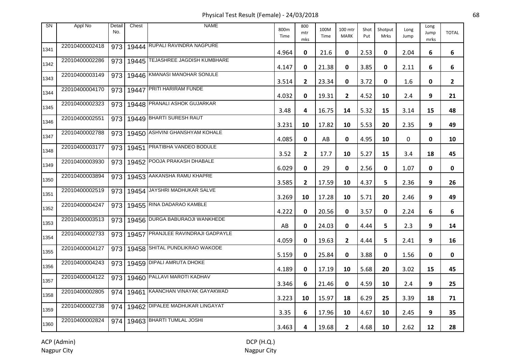Physical Test Result (Female) - 24/03/2018 68

| <b>SN</b> | Appl No        | Detail<br>No. | Chest | <b>NAME</b>                        | 800m<br>Time | 800<br>mtr<br>mks | 100M<br>Time | 100 mtr<br><b>MARK</b> | Shot<br>Put | Shotput<br>Mrks | Long<br>Jump | Long<br>Jump<br>mrks | <b>TOTAL</b>   |
|-----------|----------------|---------------|-------|------------------------------------|--------------|-------------------|--------------|------------------------|-------------|-----------------|--------------|----------------------|----------------|
| 1341      | 22010400002418 | 973           |       | 19444 RUPALI RAVINDRA NAGPURE      | 4.964        | 0                 | 21.6         | 0                      | 2.53        | 0               | 2.04         | 6                    | 6              |
| 1342      | 22010400002286 | 973           |       | 19445 TEJASHREE JAGDISH KUMBHARE   | 4.147        | 0                 | 21.38        | 0                      | 3.85        | 0               | 2.11         | 6                    | 6              |
| 1343      | 22010400003149 | 973           |       | 19446 KMANASI MANOHAR SONULE       | 3.514        | $\mathbf{2}$      | 23.34        | 0                      | 3.72        | 0               | 1.6          | 0                    | $\overline{2}$ |
| 1344      | 22010400004170 | 973           | 19447 | <b>PRITI HARIRAM FUNDE</b>         | 4.032        | 0                 | 19.31        | $\mathbf{2}$           | 4.52        | 10              | 2.4          | 9                    | 21             |
| 1345      | 22010400002323 | 973           |       | 19448 PRANALI ASHOK GUJARKAR       | 3.48         | 4                 | 16.75        | 14                     | 5.32        | 15              | 3.14         | 15                   | 48             |
| 1346      | 22010400002551 | 973           |       | 19449 BHARTI SURESH RAUT           | 3.231        | 10                | 17.82        | 10                     | 5.53        | 20              | 2.35         | 9                    | 49             |
| 1347      | 22010400002788 | 973           |       | 19450 ASHVINI GHANSHYAM KOHALE     | 4.085        | 0                 | AB           | 0                      | 4.95        | 10              | 0            | 0                    | 10             |
| 1348      | 22010400003177 | 973           | 19451 | PRATIBHA VANDEO BODULE             | 3.52         | $\mathbf{2}$      | 17.7         | 10                     | 5.27        | 15              | 3.4          | 18                   | 45             |
| 1349      | 22010400003930 | 973           |       | 19452 POOJA PRAKASH DHABALE        | 6.029        | 0                 | 29           | 0                      | 2.56        | 0               | 1.07         | 0                    | 0              |
| 1350      | 22010400003894 | 973           |       | 19453 AAKANSHA RAMU KHAPRE         | 3.585        | $\mathbf{2}$      | 17.59        | 10                     | 4.37        | 5               | 2.36         | 9                    | 26             |
| 1351      | 22010400002519 |               |       | 973   19454 JAYSHRI MADHUKAR SALVE | 3.269        | 10                | 17.28        | 10                     | 5.71        | 20              | 2.46         | 9                    | 49             |
| 1352      | 22010400004247 | 973           |       | 19455 RINA DADARAO KAMBLE          | 4.222        | 0                 | 20.56        | 0                      | 3.57        | 0               | 2.24         | 6                    | 6              |
| 1353      | 22010400003513 | 973           |       | 19456 DURGA BABURAOJI WANKHEDE     | AB           | 0                 | 24.03        | 0                      | 4.44        | 5.              | 2.3          | 9                    | 14             |
| 1354      | 22010400002733 | 973           |       | 19457 PRANJLEE RAVINDRAJI GADPAYLE | 4.059        | $\mathbf 0$       | 19.63        | $\overline{2}$         | 4.44        | 5               | 2.41         | 9                    | 16             |
| 1355      | 22010400004127 | 973           |       | 19458 SHITAL PUNDLIKRAO WAKODE     | 5.159        | 0                 | 25.84        | 0                      | 3.88        | 0               | 1.56         | 0                    | 0              |
| 1356      | 22010400004243 | 973           |       | 19459 DIPALI AMRUTA DHOKE          | 4.189        | 0                 | 17.19        | 10                     | 5.68        | 20              | 3.02         | 15                   | 45             |
| 1357      | 22010400004122 | 973           |       | 19460 PALLAVI MAROTI KADHAV        | 3.346        | 6                 | 21.46        | 0                      | 4.59        | 10              | 2.4          | 9                    | 25             |
| 1358      | 22010400002805 | 974           |       | 19461 KAANCHAN VINAYAK GAYAKWAD    | 3.223        | 10                | 15.97        | 18                     | 6.29        | 25              | 3.39         | 18                   | 71             |
| 1359      | 22010400002738 | 974           |       | 19462 DIPALEE MADHUKAR LINGAYAT    | 3.35         | 6                 | 17.96        | 10                     | 4.67        | 10              | 2.45         | 9                    | 35             |
| 1360      | 22010400002824 | 974           |       | 19463 BHARTI TUMLAL JOSHI          | 3.463        | 4                 | 19.68        | $\mathbf{2}$           | 4.68        | 10              | 2.62         | 12                   | 28             |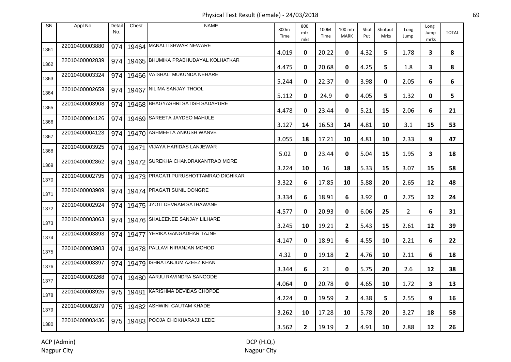Physical Test Result (Female) - 24/03/2018 69

| <b>SN</b> | Appl No        | Detail<br>No. | Chest | <b>NAME</b>                           | 800m<br>Time | 800<br>mtr<br>mks | 100M<br>Time | 100 mtr<br><b>MARK</b> | Shot<br>Put | Shotput<br>Mrks | Long<br>Jump   | Long<br>Jump<br>mrks | <b>TOTAL</b> |
|-----------|----------------|---------------|-------|---------------------------------------|--------------|-------------------|--------------|------------------------|-------------|-----------------|----------------|----------------------|--------------|
| 1361      | 22010400003880 | 974           |       | 19464 MANALI ISHWAR NEWARE            | 4.019        | 0                 | 20.22        | 0                      | 4.32        | 5               | 1.78           | 3                    | 8            |
| 1362      | 22010400002839 | 974           |       | 19465 BHUMIKA PRABHUDAYAL KOLHATKAR   | 4.475        | 0                 | 20.68        | 0                      | 4.25        | 5.              | 1.8            | $\mathbf{3}$         | 8            |
| 1363      | 22010400003324 | 974           |       | 19466 VAISHALI MUKUNDA NEHARE         | 5.244        | 0                 | 22.37        | 0                      | 3.98        | 0               | 2.05           | 6                    | 6            |
| 1364      | 22010400002659 | 974           |       | 19467 NILIMA SANJAY THOOL             | 5.112        | 0                 | 24.9         | 0                      | 4.05        | 5               | 1.32           | 0                    | 5            |
| 1365      | 22010400003908 | 974           |       | 19468 BHAGYASHRI SATISH SADAPURE      | 4.478        | 0                 | 23.44        | 0                      | 5.21        | 15              | 2.06           | 6                    | 21           |
| 1366      | 22010400004126 | 974           |       | 19469 SAREETA JAYDEO MAHULE           | 3.127        | 14                | 16.53        | 14                     | 4.81        | 10              | 3.1            | 15                   | 53           |
| 1367      | 22010400004123 | 974           |       | 19470 ASHMEETA ANKUSH WANVE           | 3.055        | 18                | 17.21        | 10                     | 4.81        | 10              | 2.33           | 9                    | 47           |
| 1368      | 22010400003925 | 974           | 19471 | <b>VIJAYA HARIDAS LANJEWAR</b>        | 5.02         | 0                 | 23.44        | 0                      | 5.04        | 15              | 1.95           | 3                    | 18           |
| 1369      | 22010400002862 | 974           |       | 19472 SUREKHA CHANDRAKANTRAO MORE     | 3.224        | 10                | 16           | 18                     | 5.33        | 15              | 3.07           | 15                   | 58           |
| 1370      | 22010400002795 | 974           |       | 19473 PRAGATI PURUSHOTTAMRAO DIGHIKAR | 3.322        | 6                 | 17.85        | 10                     | 5.88        | 20              | 2.65           | 12                   | 48           |
| 1371      | 22010400003909 | 974           |       | 19474 PRAGATI SUNIL DONGRE            | 3.334        | 6                 | 18.91        | 6                      | 3.92        | 0               | 2.75           | 12                   | 24           |
| 1372      | 22010400002924 | 974           |       | 19475 JYOTI DEVRAM SATHAWANE          | 4.577        | 0                 | 20.93        | 0                      | 6.06        | 25              | $\overline{2}$ | 6                    | 31           |
| 1373      | 22010400003063 | 974           |       | 19476 SHALEENEE SANJAY LILHARE        | 3.245        | 10                | 19.21        | $\mathbf{2}$           | 5.43        | 15              | 2.61           | 12                   | 39           |
| 1374      | 22010400003893 | 974           |       | 19477 YERIKA GANGADHAR TAJNE          | 4.147        | 0                 | 18.91        | 6                      | 4.55        | 10              | 2.21           | 6                    | 22           |
| 1375      | 22010400003903 | 974           |       | 19478 PALLAVI NIRANJAN MOHOD          | 4.32         | 0                 | 19.18        | $\mathbf{2}$           | 4.76        | 10              | 2.11           | 6                    | 18           |
| 1376      | 22010400003397 | 974           |       | 19479 ISHRATANJUM AZEEZ KHAN          | 3.344        | 6                 | 21           | 0                      | 5.75        | 20              | 2.6            | 12                   | 38           |
| 1377      | 22010400003268 | 974           |       | 19480 AARJU RAVINDRA SANGODE          | 4.064        | 0                 | 20.78        | 0                      | 4.65        | 10              | 1.72           | 3                    | 13           |
| 1378      | 22010400003926 | 975           |       | 19481 KARISHMA DEVIDAS CHOPDE         | 4.224        | 0                 | 19.59        | $\mathbf{2}$           | 4.38        | 5.              | 2.55           | 9                    | 16           |
| 1379      | 22010400002879 | 975           |       | 19482   ASHWINI GAUTAM KHADE          | 3.262        | 10                | 17.28        | 10                     | 5.78        | 20              | 3.27           | 18                   | 58           |
| 1380      | 22010400003436 | 975           |       | 19483 POOJA CHOKHARAJJI LEDE          | 3.562        | $\mathbf{2}$      | 19.19        | $\mathbf{2}$           | 4.91        | 10              | 2.88           | 12                   | 26           |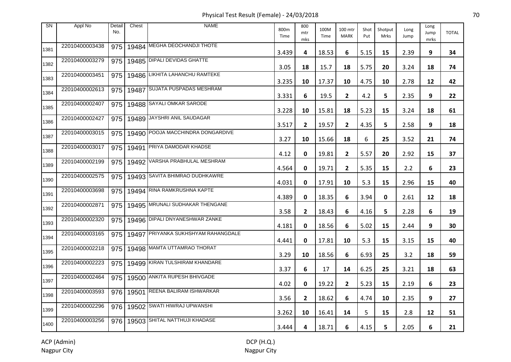Physical Test Result (Female) - 24/03/2018 70

| <b>SN</b> | Appl No        | Detail<br>No. | Chest | <b>NAME</b>                         | 800m<br>Time | 800<br>mtr<br>mks | 100M<br>Time | 100 mtr<br><b>MARK</b> | Shot<br>Put | Shotput<br><b>Mrks</b> | Long<br>Jump | Long<br>Jump<br>mrks | <b>TOTAL</b> |
|-----------|----------------|---------------|-------|-------------------------------------|--------------|-------------------|--------------|------------------------|-------------|------------------------|--------------|----------------------|--------------|
| 1381      | 22010400003438 | 975           |       | 19484 MEGHA DEOCHANDJI THOTE        | 3.439        | 4                 | 18.53        | 6                      | 5.15        | 15                     | 2.39         | 9                    | 34           |
| 1382      | 22010400003279 | 975           |       | 19485 DIPALI DEVIDAS GHATTE         | 3.05         | 18                | 15.7         | 18                     | 5.75        | 20                     | 3.24         | 18                   | 74           |
| 1383      | 22010400003451 | 975           |       | 19486 LIKHITA LAHANCHU RAMTEKE      | 3.235        | 10                | 17.37        | 10                     | 4.75        | 10                     | 2.78         | 12                   | 42           |
| 1384      | 22010400002613 | 975           | 19487 | SUJATA PUSPADAS MESHRAM             | 3.331        | 6                 | 19.5         | $\mathbf{2}$           | 4.2         | 5                      | 2.35         | 9                    | 22           |
| 1385      | 22010400002407 | 975           |       | 19488 SAYALI OMKAR SARODE           | 3.228        | 10                | 15.81        | 18                     | 5.23        | 15                     | 3.24         | 18                   | 61           |
| 1386      | 22010400002427 | 975           |       | 19489 JAYSHRI ANIL SAUDAGAR         | 3.517        | $\mathbf{2}$      | 19.57        | $\mathbf{2}$           | 4.35        | 5                      | 2.58         | 9                    | 18           |
| 1387      | 22010400003015 | 975           |       | 19490 POOJA MACCHINDRA DONGARDIVE   | 3.27         | 10                | 15.66        | 18                     | 6           | 25                     | 3.52         | 21                   | 74           |
| 1388      | 22010400003017 | 975           | 19491 | <b>PRIYA DAMODAR KHADSE</b>         | 4.12         | 0                 | 19.81        | $\mathbf{2}$           | 5.57        | 20                     | 2.92         | 15                   | 37           |
| 1389      | 22010400002199 | 975           |       | 19492 VARSHA PRABHULAL MESHRAM      | 4.564        | 0                 | 19.71        | $\mathbf{2}$           | 5.35        | 15                     | 2.2          | 6                    | 23           |
| 1390      | 22010400002575 | 975           |       | 19493 SAVITA BHIMRAO DUDHKAWRE      | 4.031        | 0                 | 17.91        | 10                     | 5.3         | 15                     | 2.96         | 15                   | 40           |
| 1391      | 22010400003698 | 975           |       | 19494 RINA RAMKRUSHNA KAPTE         | 4.389        | 0                 | 18.35        | 6                      | 3.94        | 0                      | 2.61         | 12                   | 18           |
| 1392      | 22010400002871 | 975           |       | 19495 MRUNALI SUDHAKAR THENGANE     | 3.58         | $\mathbf{2}$      | 18.43        | 6                      | 4.16        | 5                      | 2.28         | 6                    | 19           |
| 1393      | 22010400002320 | 975           |       | 19496 DIPALI DNYANESHWAR ZANKE      | 4.181        | 0                 | 18.56        | 6                      | 5.02        | 15                     | 2.44         | 9                    | 30           |
| 1394      | 22010400003165 | 975           |       | 19497 PRIYANKA SUKHSHYAM RAHANGDALE | 4.441        | 0                 | 17.81        | 10                     | 5.3         | 15                     | 3.15         | 15                   | 40           |
| 1395      | 22010400002218 | 975           |       | 19498 MAMTA UTTAMRAO THORAT         | 3.29         | 10                | 18.56        | 6                      | 6.93        | 25                     | 3.2          | 18                   | 59           |
| 1396      | 22010400002223 | 975           |       | 19499 KIRAN TULSHIRAM KHANDARE      | 3.37         | 6                 | 17           | 14                     | 6.25        | 25                     | 3.21         | 18                   | 63           |
| 1397      | 22010400002464 | 975           |       | 19500 ANKITA RUPESH BHIVGADE        | 4.02         | 0                 | 19.22        | $\mathbf{2}$           | 5.23        | 15                     | 2.19         | 6                    | 23           |
| 1398      | 22010400003593 | 976           |       | 19501 REENA BALIRAM ISHWARKAR       | 3.56         | $\mathbf{2}$      | 18.62        | 6                      | 4.74        | 10                     | 2.35         | 9                    | 27           |
| 1399      | 22010400002296 | 976           |       | 19502 SWATI HIWRAJ UPWANSHI         | 3.262        | 10                | 16.41        | 14                     | 5           | 15                     | 2.8          | 12                   | 51           |
| 1400      | 22010400003256 | 976           |       | 19503 SHITAL NATTHUJI KHADASE       | 3.444        | 4                 | 18.71        | 6                      | 4.15        | 5                      | 2.05         | 6                    | 21           |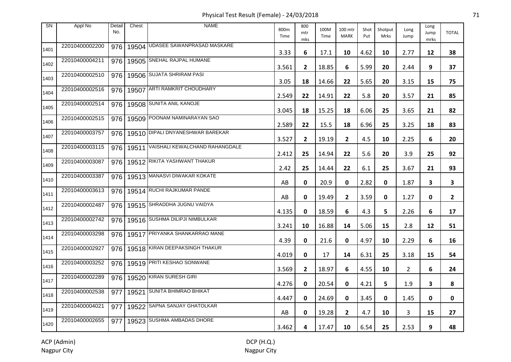Physical Test Result (Female) - 24/03/2018 71

| <b>SN</b> | Appl No        | Detail<br>No. | Chest     | <b>NAME</b>                      | 800m<br>Time | 800<br>mtr<br>mks | 100M<br>Time | 100 mtr<br><b>MARK</b> | Shot<br>Put | Shotput<br>Mrks | Long<br>Jump | Long<br>Jump<br>mrks | <b>TOTAL</b>   |
|-----------|----------------|---------------|-----------|----------------------------------|--------------|-------------------|--------------|------------------------|-------------|-----------------|--------------|----------------------|----------------|
| 1401      | 22010400002200 | 976           |           | 19504 UDASEE SAWANPRASAD MASKARE | 3.33         | 6                 | 17.1         | 10                     | 4.62        | 10              | 2.77         | 12                   | 38             |
| 1402      | 22010400004211 | 976           |           | 19505 SNEHAL RAJPAL HUMANE       | 3.561        | $\overline{2}$    | 18.85        | 6                      | 5.99        | 20              | 2.44         | 9                    | 37             |
| 1403      | 22010400002510 | 976           |           | 19506 SUJATA SHRIRAM PASI        | 3.05         | 18                | 14.66        | 22                     | 5.65        | 20              | 3.15         | 15                   | 75             |
| 1404      | 22010400002516 | 976           | 19507     | ARTI RAMKRIT CHOUDHARY           | 2.549        | 22                | 14.91        | 22                     | 5.8         | 20              | 3.57         | 21                   | 85             |
| 1405      | 22010400002514 | 976           |           | 19508 SUNITA ANIL KANOJE         | 3.045        | 18                | 15.25        | 18                     | 6.06        | 25              | 3.65         | 21                   | 82             |
| 1406      | 22010400002515 | 976           |           | 19509 POONAM NAMINARAYAN SAO     | 2.589        | 22                | 15.5         | 18                     | 6.96        | 25              | 3.25         | 18                   | 83             |
| 1407      | 22010400003757 | 976           |           | 19510 DIPALI DNYANESHWAR BAREKAR | 3.527        | $\mathbf{2}$      | 19.19        | $\mathbf{2}$           | 4.5         | 10              | 2.25         | 6                    | 20             |
| 1408      | 22010400003115 |               | 976 19511 | VAISHALI KEWALCHAND RAHANGDALE   | 2.412        | 25                | 14.94        | 22                     | 5.6         | 20              | 3.9          | 25                   | 92             |
| 1409      | 22010400003087 | 976           |           | 19512 RIKITA YASHWANT THAKUR     | 2.42         | 25                | 14.44        | 22                     | 6.1         | 25              | 3.67         | 21                   | 93             |
| 1410      | 22010400003387 | 976           |           | 19513 MANASVI DIWAKAR KOKATE     | AB           | 0                 | 20.9         | 0                      | 2.82        | 0               | 1.87         | 3                    | 3              |
| 1411      | 22010400003613 | 976           |           | 19514 RUCHI RAJKUMAR PANDE       | AB           | 0                 | 19.49        | $\mathbf{2}$           | 3.59        | 0               | 1.27         | 0                    | $\overline{2}$ |
| 1412      | 22010400002487 | 976           |           | 19515 SHRADDHA JUGNU VAIDYA      | 4.135        | 0                 | 18.59        | 6                      | 4.3         | 5               | 2.26         | 6                    | 17             |
| 1413      | 22010400002742 | 976           |           | 19516 SUSHMA DILIPJI NIMBULKAR   | 3.241        | 10                | 16.88        | 14                     | 5.06        | 15              | 2.8          | 12                   | 51             |
| 1414      | 22010400003298 | 976           |           | 19517 PRIYANKA SHANKARRAO MANE   | 4.39         | 0                 | 21.6         | 0                      | 4.97        | 10              | 2.29         | 6                    | 16             |
| 1415      | 22010400002927 | 976           |           | 19518 KIRAN DEEPAKSINGH THAKUR   | 4.019        | 0                 | 17           | 14                     | 6.31        | 25              | 3.18         | 15                   | 54             |
| 1416      | 22010400003252 | 976           |           | 19519 PRITI KESHAO SONWANE       | 3.569        | $\mathbf{2}$      | 18.97        | 6                      | 4.55        | 10              | $\mathbf{2}$ | 6                    | 24             |
| 1417      | 22010400002289 | 976           |           | 19520 KIRAN SURESH GIRI          | 4.276        | 0                 | 20.54        | 0                      | 4.21        | 5               | 1.9          | 3                    | 8              |
| 1418      | 22010400002538 | 977           |           | 19521 SUNITA BHIMRAO BHIKAT      | 4.447        | 0                 | 24.69        | 0                      | 3.45        | 0               | 1.45         | 0                    | 0              |
| 1419      | 22010400004021 | 977           |           | 19522 SAPNA SANJAY GHATOLKAR     | AB           | 0                 | 19.28        | $\overline{2}$         | 4.7         | 10              | 3            | 15                   | 27             |
| 1420      | 22010400002655 | 977           |           | 19523 SUSHMA AMBADAS DHORE       | 3.462        | 4                 | 17.47        | 10                     | 6.54        | 25              | 2.53         | 9                    | 48             |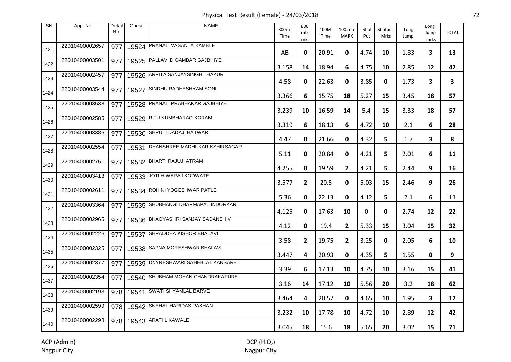Physical Test Result (Female) - 24/03/2018 72

| <b>SN</b> | Appl No        | Detail<br>No. | Chest | <b>NAME</b>                        | 800m<br>Time | 800<br>mtr<br>mks | 100M<br>Time | 100 mtr<br><b>MARK</b> | Shot<br>Put | Shotput<br>Mrks | Long<br>Jump | Long<br>Jump<br>mrks | <b>TOTAL</b> |
|-----------|----------------|---------------|-------|------------------------------------|--------------|-------------------|--------------|------------------------|-------------|-----------------|--------------|----------------------|--------------|
| 1421      | 22010400002657 | 977           |       | 19524 PRANALI VASANTA KAMBLE       | AB           | 0                 | 20.91        | 0                      | 4.74        | 10              | 1.83         | 3                    | 13           |
| 1422      | 22010400003501 | 977           |       | 19525 PALLAVI DIGAMBAR GAJBHIYE    | 3.158        | 14                | 18.94        | 6                      | 4.75        | 10              | 2.85         | 12                   | 42           |
| 1423      | 22010400002457 | 977           |       | 19526 ARPITA SANJAYSINGH THAKUR    | 4.58         | 0                 | 22.63        | 0                      | 3.85        | 0               | 1.73         | 3                    | 3            |
| 1424      | 22010400003544 | 977           | 19527 | SINDHU RADHESHYAM SONI             | 3.366        | 6                 | 15.75        | 18                     | 5.27        | 15              | 3.45         | 18                   | 57           |
| 1425      | 22010400003538 | 977           |       | 19528 PRANALI PRABHAKAR GAJBHIYE   | 3.239        | 10                | 16.59        | 14                     | 5.4         | 15              | 3.33         | 18                   | 57           |
| 1426      | 22010400002585 | 977           |       | 19529 RITU KUMBHARAO KORAM         | 3.319        | 6                 | 18.13        | 6                      | 4.72        | 10              | 2.1          | 6                    | 28           |
| 1427      | 22010400003386 | 977           |       | 19530 SHRUTI DADAJI HATWAR         | 4.47         | 0                 | 21.66        | 0                      | 4.32        | 5               | 1.7          | 3                    | 8            |
| 1428      | 22010400002554 | 977           | 19531 | DHANSHREE MADHUKAR KSHIRSAGAR      | 5.11         | 0                 | 20.84        | 0                      | 4.21        | 5.              | 2.01         | 6                    | 11           |
| 1429      | 22010400002751 | 977           |       | 19532 BHARTI RAJUJI ATRAM          | 4.255        | 0                 | 19.59        | $\mathbf{2}$           | 4.21        | 5               | 2.44         | 9                    | 16           |
| 1430      | 22010400003413 | 977           |       | 19533 JOTI HIWARAJ KODWATE         | 3.577        | $\overline{2}$    | 20.5         | 0                      | 5.03        | 15              | 2.46         | 9                    | 26           |
| 1431      | 22010400002611 | 977           |       | 19534 ROHINI YOGESHWAR PATLE       | 5.36         | 0                 | 22.13        | 0                      | 4.12        | 5               | 2.1          | 6                    | 11           |
| 1432      | 22010400003364 | 977           |       | 19535 SHUBHANGI DHARMAPAL INDORKAR | 4.125        | 0                 | 17.63        | 10                     | 0           | 0               | 2.74         | 12                   | 22           |
| 1433      | 22010400002965 | 977           |       | 19536 BHAGYASHRI SANJAY SADANSHIV  | 4.12         | 0                 | 19.4         | 2                      | 5.33        | 15              | 3.04         | 15                   | 32           |
| 1434      | 22010400002226 | 977           |       | 19537 SHRADDHA KISHOR BHALAVI      | 3.58         | $\mathbf{2}$      | 19.75        | $\overline{2}$         | 3.25        | 0               | 2.05         | 6                    | 10           |
| 1435      | 22010400002325 | 977           |       | 19538 SAPNA MORESHWAR BHALAVI      | 3.447        | 4                 | 20.93        | 0                      | 4.35        | 5               | 1.55         | 0                    | 9            |
| 1436      | 22010400002377 | 977           |       | 19539 DNYNESHWARI SAHEBLAL KANSARE | 3.39         | 6                 | 17.13        | 10                     | 4.75        | 10              | 3.16         | 15                   | 41           |
| 1437      | 22010400002354 | 977           |       | 19540 SHUBHAM MOHAN CHANDRAKAPURE  | 3.16         | 14                | 17.12        | 10                     | 5.56        | 20              | 3.2          | 18                   | 62           |
| 1438      | 22010400002193 | 978           | 19541 | SWATI SHYAMLAL BARVE               | 3.464        | 4                 | 20.57        | 0                      | 4.65        | 10              | 1.95         | 3                    | 17           |
| 1439      | 22010400002599 | 978           |       | 19542 SNEHAL HARIDAS PAKHAN        | 3.232        | 10                | 17.78        | 10                     | 4.72        | 10              | 2.89         | 12                   | 42           |
| 1440      | 22010400002298 |               |       | 978   19543   ARATI L KAWALE       | 3.045        | 18                | 15.6         | 18                     | 5.65        | 20              | 3.02         | 15                   | 71           |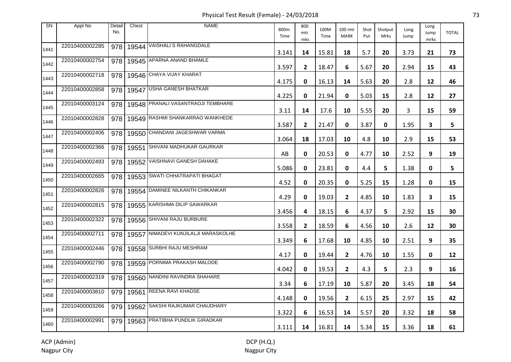Physical Test Result (Female) - 24/03/2018 73

| <b>SN</b> | Appl No        | Detail<br>No. | Chest | <b>NAME</b>                            | 800m<br>Time | 800<br>mtr<br>mks | 100M<br>Time | 100 mtr<br><b>MARK</b> | Shot<br>Put | Shotput<br>Mrks | Long<br>Jump | Long<br>Jump<br>mrks | <b>TOTAL</b> |
|-----------|----------------|---------------|-------|----------------------------------------|--------------|-------------------|--------------|------------------------|-------------|-----------------|--------------|----------------------|--------------|
| 1441      | 22010400002285 | 978           |       | 19544 VAISHALI S RAHANGDALE            | 3.141        | 14                | 15.81        | 18                     | 5.7         | 20              | 3.73         | 21                   | 73           |
| 1442      | 22010400002754 | 978           |       | 19545 APARNA ANAND BHAMLE              | 3.597        | $\mathbf{2}$      | 18.47        | 6                      | 5.67        | 20              | 2.94         | 15                   | 43           |
| 1443      | 22010400002718 | 978           |       | 19546 CHAYA VIJAY KHARAT               | 4.175        | 0                 | 16.13        | 14                     | 5.63        | 20              | 2.8          | 12                   | 46           |
| 1444      | 22010400002858 | 978           | 19547 | <b>USHA GANESH BHATKAR</b>             | 4.225        | 0                 | 21.94        | 0                      | 5.03        | 15              | 2.8          | 12                   | 27           |
| 1445      | 22010400003124 | 978           |       | 19548 PRANALI VASANTRAOJI TEMBHARE     | 3.11         | 14                | 17.6         | 10                     | 5.55        | 20              | 3            | 15                   | 59           |
| 1446      | 22010400002828 | 978           |       | 19549 RASHMI SHANKARRAO WANKHEDE       | 3.587        | $\mathbf{2}$      | 21.47        | 0                      | 3.87        | 0               | 1.95         | 3                    | 5            |
| 1447      | 22010400002406 | 978           |       | 19550 CHANDANI JAGESHWAR VARMA         | 3.064        | 18                | 17.03        | 10                     | 4.8         | 10              | 2.9          | 15                   | 53           |
| 1448      | 22010400002366 | 978           | 19551 | SHIVANI MADHUKAR GAURKAR               | AB           | 0                 | 20.53        | 0                      | 4.77        | 10              | 2.52         | 9                    | 19           |
| 1449      | 22010400002493 | 978           |       | 19552 VAISHNAVI GANESH DAHAKE          | 5.086        | 0                 | 23.81        | 0                      | 4.4         | 5.              | 1.38         | 0                    | 5            |
| 1450      | 22010400002665 | 978           |       | 19553 SWATI CHHATRAPATI BHAGAT         | 4.52         | 0                 | 20.35        | 0                      | 5.25        | 15              | 1.28         | 0                    | 15           |
| 1451      | 22010400002826 |               |       | 978   19554 DAMINEE NILKANTH CHIKANKAR | 4.29         | 0                 | 19.03        | $\mathbf{2}$           | 4.85        | 10              | 1.83         | 3                    | 15           |
| 1452      | 22010400002815 | 978           |       | 19555 KARISHMA DILIP SAWARKAR          | 3.456        | 4                 | 18.15        | 6                      | 4.37        | 5               | 2.92         | 15                   | 30           |
| 1453      | 22010400002322 | 978           |       | 19556 SHIVANI RAJU BURBURE             | 3.558        | 2                 | 18.59        | 6                      | 4.56        | 10              | 2.6          | 12                   | 30           |
| 1454      | 22010400002711 | 978           |       | 19557 NIMADEVI KUNJILALJI MARASKOLHE   | 3.349        | 6                 | 17.68        | 10                     | 4.85        | 10              | 2.51         | 9                    | 35           |
| 1455      | 22010400002446 | 978           |       | 19558 SURBHI RAJU MESHRAM              | 4.17         | 0                 | 19.44        | $\mathbf{2}$           | 4.76        | 10              | 1.55         | 0                    | 12           |
| 1456      | 22010400002790 | 978           |       | 19559 PORNIMA PRAKASH MALODE           | 4.042        | 0                 | 19.53        | $\mathbf{2}$           | 4.3         | 5.              | 2.3          | 9                    | 16           |
| 1457      | 22010400002319 | 978           |       | 19560 NANDINI RAVINDRA SHAHARE         | 3.34         | 6                 | 17.19        | 10                     | 5.87        | 20              | 3.45         | 18                   | 54           |
| 1458      | 22010400003810 | 979           |       | 19561 REENA RAVI KHADSE                | 4.148        | 0                 | 19.56        | $\mathbf{2}$           | 6.15        | 25              | 2.97         | 15                   | 42           |
| 1459      | 22010400003266 | 979           |       | 19562 SAKSHI RAJKUMAR CHAUDHARY        | 3.322        | 6                 | 16.53        | 14                     | 5.57        | 20              | 3.32         | 18                   | 58           |
| 1460      | 22010400002991 | 979           |       | 19563 PRATIBHA PUNDLIK GIRADKAR        | 3.111        | 14                | 16.81        | 14                     | 5.34        | 15              | 3.36         | 18                   | 61           |